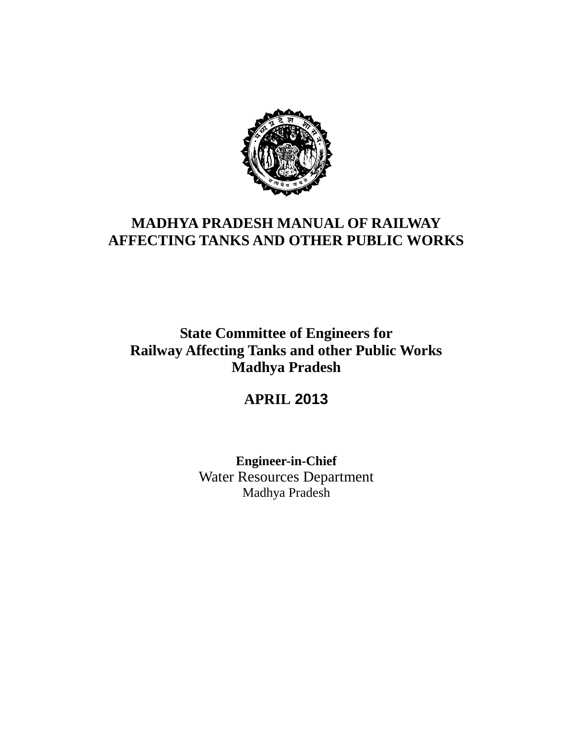

# **MADHYA PRADESH MANUAL OF RAILWAY AFFECTING TANKS AND OTHER PUBLIC WORKS**

# **State Committee of Engineers for Railway Affecting Tanks and other Public Works Madhya Pradesh**

**APRIL 2013**

**Engineer-in-Chief** Water Resources Department Madhya Pradesh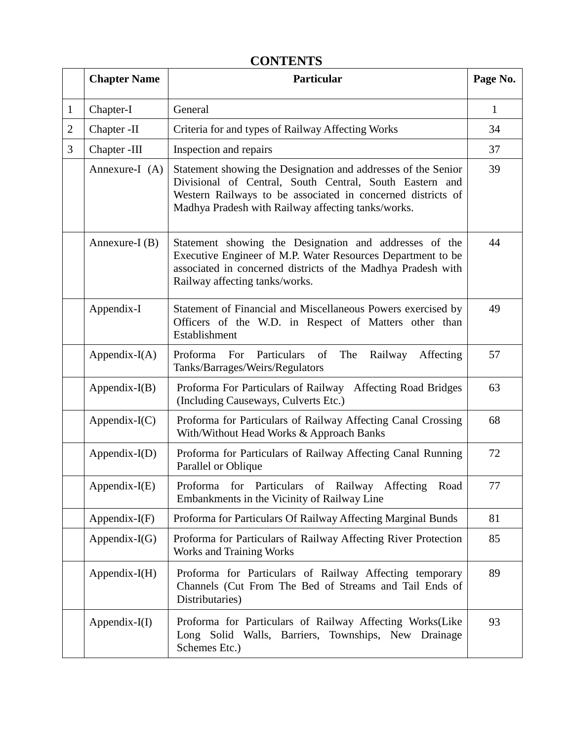# **CONTENTS**

|                | <b>Chapter Name</b> | Particular                                                                                                                                                                                                                                    |              |
|----------------|---------------------|-----------------------------------------------------------------------------------------------------------------------------------------------------------------------------------------------------------------------------------------------|--------------|
| $\mathbf{1}$   | Chapter-I           | General                                                                                                                                                                                                                                       | $\mathbf{1}$ |
| $\overline{2}$ | Chapter -II         | Criteria for and types of Railway Affecting Works                                                                                                                                                                                             | 34           |
| 3              | Chapter -III        | Inspection and repairs                                                                                                                                                                                                                        | 37           |
|                | Annexure-I (A)      | Statement showing the Designation and addresses of the Senior<br>Divisional of Central, South Central, South Eastern and<br>Western Railways to be associated in concerned districts of<br>Madhya Pradesh with Railway affecting tanks/works. | 39           |
|                | Annexure-I $(B)$    | Statement showing the Designation and addresses of the<br>Executive Engineer of M.P. Water Resources Department to be<br>associated in concerned districts of the Madhya Pradesh with<br>Railway affecting tanks/works.                       | 44           |
|                | Appendix-I          | Statement of Financial and Miscellaneous Powers exercised by<br>Officers of the W.D. in Respect of Matters other than<br>Establishment                                                                                                        | 49           |
|                | Appendix- $I(A)$    | The<br>Proforma<br>For Particulars<br>of<br>Railway<br>Affecting<br>Tanks/Barrages/Weirs/Regulators                                                                                                                                           | 57           |
|                | $Appendix-I(B)$     | Proforma For Particulars of Railway Affecting Road Bridges<br>(Including Causeways, Culverts Etc.)                                                                                                                                            | 63           |
|                | $Appendix-I(C)$     | Proforma for Particulars of Railway Affecting Canal Crossing<br>With/Without Head Works & Approach Banks                                                                                                                                      | 68           |
|                | Appendix- $I(D)$    | Proforma for Particulars of Railway Affecting Canal Running<br>Parallel or Oblique                                                                                                                                                            | 72           |
|                | $Appendix-I(E)$     | Proforma for Particulars of Railway Affecting Road<br>Embankments in the Vicinity of Railway Line                                                                                                                                             | 77           |
|                | $Appendix-I(F)$     | Proforma for Particulars Of Railway Affecting Marginal Bunds                                                                                                                                                                                  | 81           |
|                | $Appendix-I(G)$     | Proforma for Particulars of Railway Affecting River Protection<br>Works and Training Works                                                                                                                                                    | 85           |
|                | $Appendix-I(H)$     | Proforma for Particulars of Railway Affecting temporary<br>Channels (Cut From The Bed of Streams and Tail Ends of<br>Distributaries)                                                                                                          | 89           |
|                | $Appendix-I(I)$     | Proforma for Particulars of Railway Affecting Works(Like<br>Long Solid Walls, Barriers, Townships, New Drainage<br>Schemes Etc.)                                                                                                              | 93           |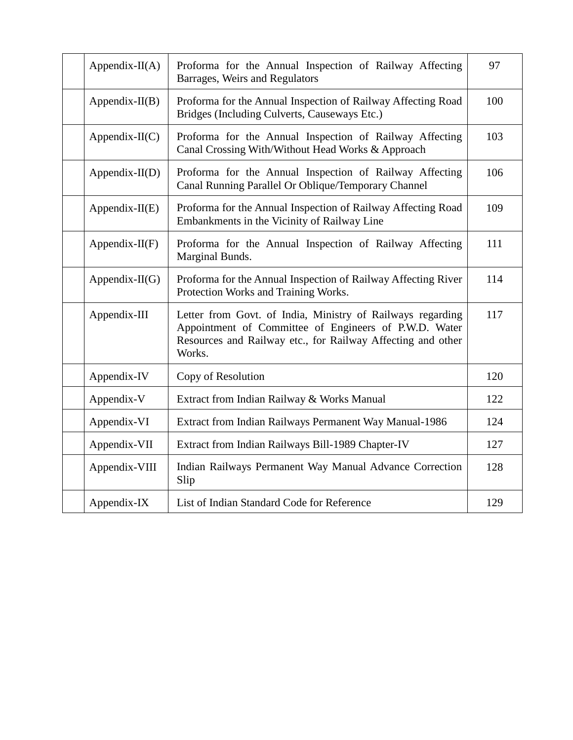| Appendix- $II(A)$                                                                                                                 | Proforma for the Annual Inspection of Railway Affecting<br>Barrages, Weirs and Regulators                                                                                                    | 97  |
|-----------------------------------------------------------------------------------------------------------------------------------|----------------------------------------------------------------------------------------------------------------------------------------------------------------------------------------------|-----|
| Proforma for the Annual Inspection of Railway Affecting Road<br>Appendix- $II(B)$<br>Bridges (Including Culverts, Causeways Etc.) |                                                                                                                                                                                              | 100 |
| $Appendix-II(C)$                                                                                                                  | Proforma for the Annual Inspection of Railway Affecting<br>Canal Crossing With/Without Head Works & Approach                                                                                 | 103 |
| $Appendix-II(D)$                                                                                                                  | Proforma for the Annual Inspection of Railway Affecting<br>Canal Running Parallel Or Oblique/Temporary Channel                                                                               | 106 |
| $Appendix-II(E)$                                                                                                                  | Proforma for the Annual Inspection of Railway Affecting Road<br>Embankments in the Vicinity of Railway Line                                                                                  | 109 |
| $Appendix-II(F)$                                                                                                                  | Proforma for the Annual Inspection of Railway Affecting<br>Marginal Bunds.                                                                                                                   | 111 |
| $Appendix-II(G)$                                                                                                                  | Proforma for the Annual Inspection of Railway Affecting River<br>Protection Works and Training Works.                                                                                        | 114 |
| Appendix-III                                                                                                                      | Letter from Govt. of India, Ministry of Railways regarding<br>Appointment of Committee of Engineers of P.W.D. Water<br>Resources and Railway etc., for Railway Affecting and other<br>Works. | 117 |
| Appendix-IV                                                                                                                       | Copy of Resolution                                                                                                                                                                           | 120 |
| Appendix-V                                                                                                                        | Extract from Indian Railway & Works Manual                                                                                                                                                   | 122 |
| Appendix-VI                                                                                                                       | Extract from Indian Railways Permanent Way Manual-1986                                                                                                                                       | 124 |
| Appendix-VII                                                                                                                      | Extract from Indian Railways Bill-1989 Chapter-IV                                                                                                                                            | 127 |
| Appendix-VIII                                                                                                                     | Indian Railways Permanent Way Manual Advance Correction<br>Slip                                                                                                                              | 128 |
| Appendix-IX                                                                                                                       | List of Indian Standard Code for Reference                                                                                                                                                   | 129 |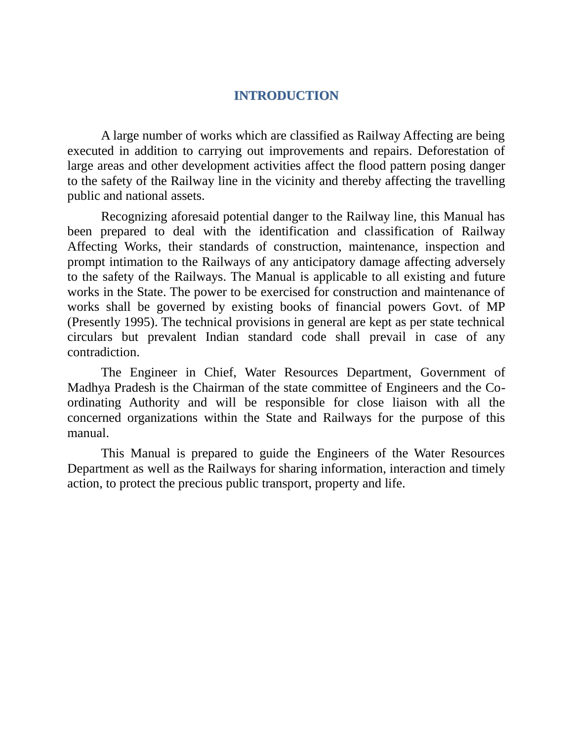## **INTRODUCTION**

A large number of works which are classified as Railway Affecting are being executed in addition to carrying out improvements and repairs. Deforestation of large areas and other development activities affect the flood pattern posing danger to the safety of the Railway line in the vicinity and thereby affecting the travelling public and national assets.

Recognizing aforesaid potential danger to the Railway line, this Manual has been prepared to deal with the identification and classification of Railway Affecting Works, their standards of construction, maintenance, inspection and prompt intimation to the Railways of any anticipatory damage affecting adversely to the safety of the Railways. The Manual is applicable to all existing and future works in the State. The power to be exercised for construction and maintenance of works shall be governed by existing books of financial powers Govt. of MP (Presently 1995). The technical provisions in general are kept as per state technical circulars but prevalent Indian standard code shall prevail in case of any contradiction.

The Engineer in Chief, Water Resources Department, Government of Madhya Pradesh is the Chairman of the state committee of Engineers and the Coordinating Authority and will be responsible for close liaison with all the concerned organizations within the State and Railways for the purpose of this manual.

This Manual is prepared to guide the Engineers of the Water Resources Department as well as the Railways for sharing information, interaction and timely action, to protect the precious public transport, property and life.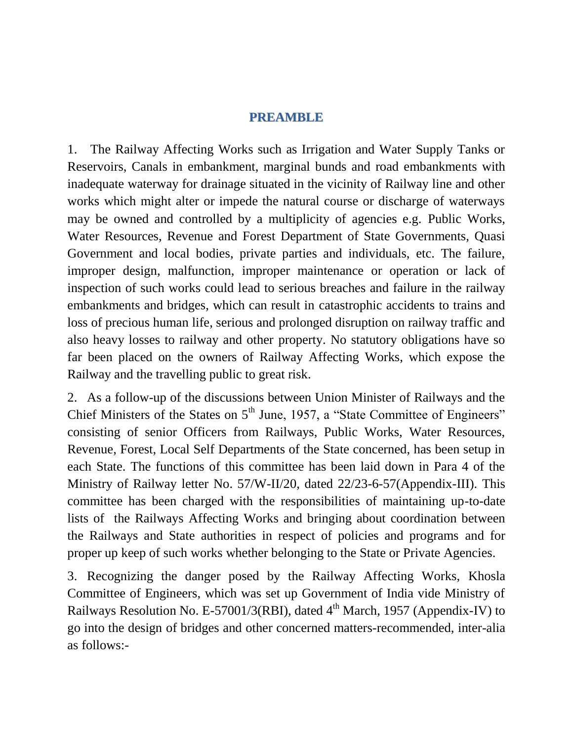# **PREAMBLE**

1. The Railway Affecting Works such as Irrigation and Water Supply Tanks or Reservoirs, Canals in embankment, marginal bunds and road embankments with inadequate waterway for drainage situated in the vicinity of Railway line and other works which might alter or impede the natural course or discharge of waterways may be owned and controlled by a multiplicity of agencies e.g. Public Works, Water Resources, Revenue and Forest Department of State Governments, Quasi Government and local bodies, private parties and individuals, etc. The failure, improper design, malfunction, improper maintenance or operation or lack of inspection of such works could lead to serious breaches and failure in the railway embankments and bridges, which can result in catastrophic accidents to trains and loss of precious human life, serious and prolonged disruption on railway traffic and also heavy losses to railway and other property. No statutory obligations have so far been placed on the owners of Railway Affecting Works, which expose the Railway and the travelling public to great risk.

2. As a follow-up of the discussions between Union Minister of Railways and the Chief Ministers of the States on  $5<sup>th</sup>$  June, 1957, a "State Committee of Engineers" consisting of senior Officers from Railways, Public Works, Water Resources, Revenue, Forest, Local Self Departments of the State concerned, has been setup in each State. The functions of this committee has been laid down in Para 4 of the Ministry of Railway letter No. 57/W-II/20, dated 22/23-6-57(Appendix-III). This committee has been charged with the responsibilities of maintaining up-to-date lists of the Railways Affecting Works and bringing about coordination between the Railways and State authorities in respect of policies and programs and for proper up keep of such works whether belonging to the State or Private Agencies.

3. Recognizing the danger posed by the Railway Affecting Works, Khosla Committee of Engineers, which was set up Government of India vide Ministry of Railways Resolution No. E-57001/3(RBI), dated  $4<sup>th</sup>$  March, 1957 (Appendix-IV) to go into the design of bridges and other concerned matters-recommended, inter-alia as follows:-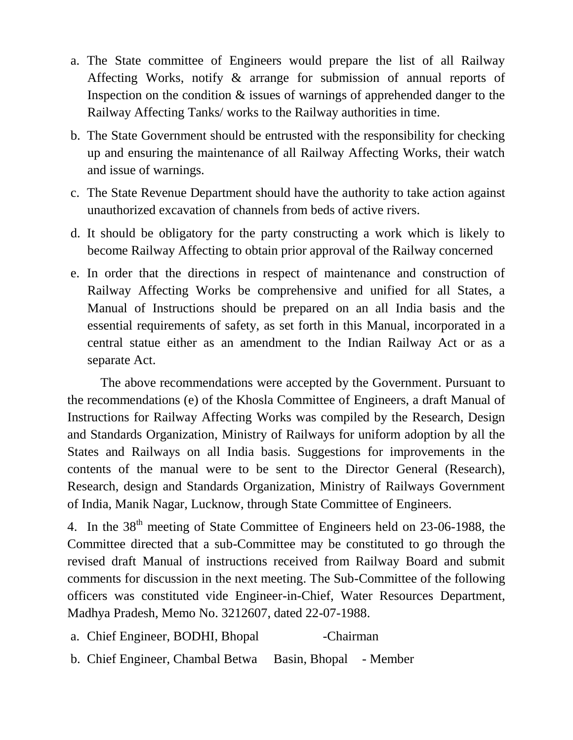- a. The State committee of Engineers would prepare the list of all Railway Affecting Works, notify & arrange for submission of annual reports of Inspection on the condition  $\&$  issues of warnings of apprehended danger to the Railway Affecting Tanks/ works to the Railway authorities in time.
- b. The State Government should be entrusted with the responsibility for checking up and ensuring the maintenance of all Railway Affecting Works, their watch and issue of warnings.
- c. The State Revenue Department should have the authority to take action against unauthorized excavation of channels from beds of active rivers.
- d. It should be obligatory for the party constructing a work which is likely to become Railway Affecting to obtain prior approval of the Railway concerned
- e. In order that the directions in respect of maintenance and construction of Railway Affecting Works be comprehensive and unified for all States, a Manual of Instructions should be prepared on an all India basis and the essential requirements of safety, as set forth in this Manual, incorporated in a central statue either as an amendment to the Indian Railway Act or as a separate Act.

The above recommendations were accepted by the Government. Pursuant to the recommendations (e) of the Khosla Committee of Engineers, a draft Manual of Instructions for Railway Affecting Works was compiled by the Research, Design and Standards Organization, Ministry of Railways for uniform adoption by all the States and Railways on all India basis. Suggestions for improvements in the contents of the manual were to be sent to the Director General (Research), Research, design and Standards Organization, Ministry of Railways Government of India, Manik Nagar, Lucknow, through State Committee of Engineers.

4. In the  $38<sup>th</sup>$  meeting of State Committee of Engineers held on 23-06-1988, the Committee directed that a sub-Committee may be constituted to go through the revised draft Manual of instructions received from Railway Board and submit comments for discussion in the next meeting. The Sub-Committee of the following officers was constituted vide Engineer-in-Chief, Water Resources Department, Madhya Pradesh, Memo No. 3212607, dated 22-07-1988.

a. Chief Engineer, BODHI, Bhopal -Chairman

b. Chief Engineer, Chambal Betwa Basin, Bhopal - Member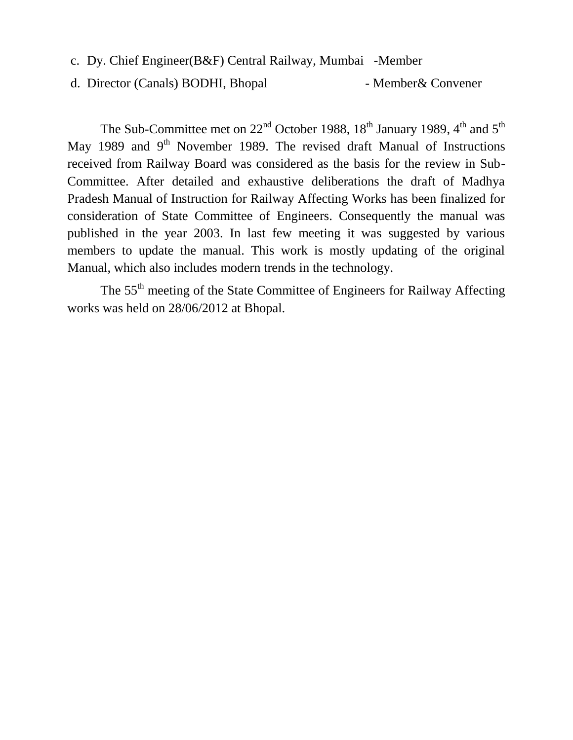c. Dy. Chief Engineer(B&F) Central Railway, Mumbai -Member

d. Director (Canals) BODHI, Bhopal - Member& Convener

The Sub-Committee met on  $22<sup>nd</sup>$  October 1988, 18<sup>th</sup> January 1989, 4<sup>th</sup> and 5<sup>th</sup> May 1989 and  $9<sup>th</sup>$  November 1989. The revised draft Manual of Instructions received from Railway Board was considered as the basis for the review in Sub-Committee. After detailed and exhaustive deliberations the draft of Madhya Pradesh Manual of Instruction for Railway Affecting Works has been finalized for consideration of State Committee of Engineers. Consequently the manual was published in the year 2003. In last few meeting it was suggested by various members to update the manual. This work is mostly updating of the original Manual, which also includes modern trends in the technology.

The 55<sup>th</sup> meeting of the State Committee of Engineers for Railway Affecting works was held on 28/06/2012 at Bhopal.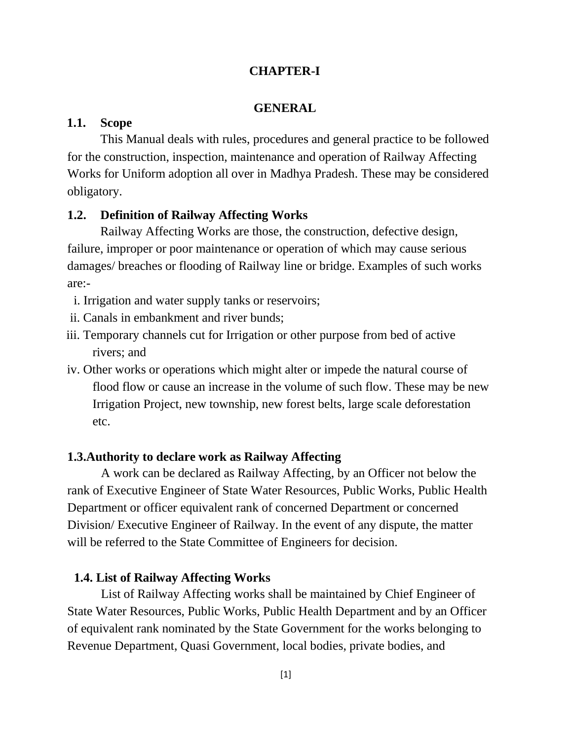# **CHAPTER-I**

### **GENERAL**

### **1.1. Scope**

This Manual deals with rules, procedures and general practice to be followed for the construction, inspection, maintenance and operation of Railway Affecting Works for Uniform adoption all over in Madhya Pradesh. These may be considered obligatory.

#### **1.2. Definition of Railway Affecting Works**

Railway Affecting Works are those, the construction, defective design, failure, improper or poor maintenance or operation of which may cause serious damages/ breaches or flooding of Railway line or bridge. Examples of such works are:-

- i. Irrigation and water supply tanks or reservoirs;
- ii. Canals in embankment and river bunds;
- iii. Temporary channels cut for Irrigation or other purpose from bed of active rivers; and
- iv. Other works or operations which might alter or impede the natural course of flood flow or cause an increase in the volume of such flow. These may be new Irrigation Project, new township, new forest belts, large scale deforestation etc.

#### **1.3.Authority to declare work as Railway Affecting**

A work can be declared as Railway Affecting, by an Officer not below the rank of Executive Engineer of State Water Resources, Public Works, Public Health Department or officer equivalent rank of concerned Department or concerned Division/ Executive Engineer of Railway. In the event of any dispute, the matter will be referred to the State Committee of Engineers for decision.

### **1.4. List of Railway Affecting Works**

List of Railway Affecting works shall be maintained by Chief Engineer of State Water Resources, Public Works, Public Health Department and by an Officer of equivalent rank nominated by the State Government for the works belonging to Revenue Department, Quasi Government, local bodies, private bodies, and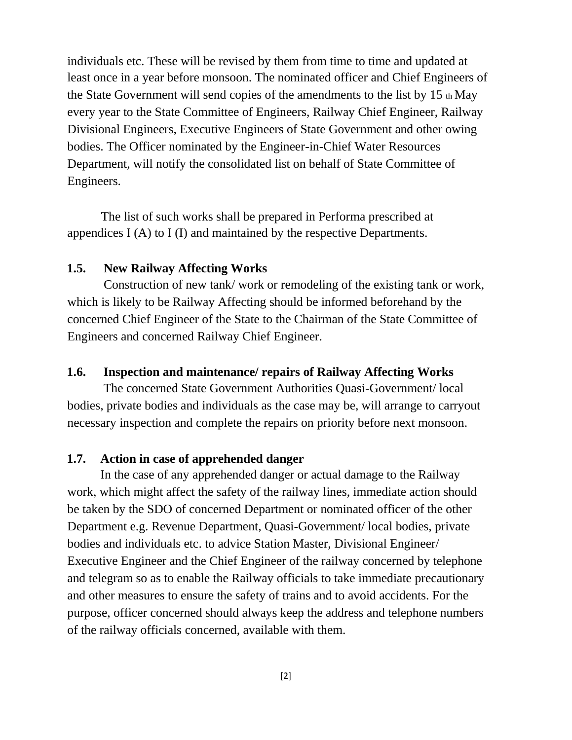individuals etc. These will be revised by them from time to time and updated at least once in a year before monsoon. The nominated officer and Chief Engineers of the State Government will send copies of the amendments to the list by 15 th May every year to the State Committee of Engineers, Railway Chief Engineer, Railway Divisional Engineers, Executive Engineers of State Government and other owing bodies. The Officer nominated by the Engineer-in-Chief Water Resources Department, will notify the consolidated list on behalf of State Committee of Engineers.

The list of such works shall be prepared in Performa prescribed at appendices I (A) to I (I) and maintained by the respective Departments.

### **1.5. New Railway Affecting Works**

Construction of new tank/ work or remodeling of the existing tank or work, which is likely to be Railway Affecting should be informed beforehand by the concerned Chief Engineer of the State to the Chairman of the State Committee of Engineers and concerned Railway Chief Engineer.

### **1.6. Inspection and maintenance/ repairs of Railway Affecting Works**

The concerned State Government Authorities Quasi-Government/ local bodies, private bodies and individuals as the case may be, will arrange to carryout necessary inspection and complete the repairs on priority before next monsoon.

### **1.7. Action in case of apprehended danger**

In the case of any apprehended danger or actual damage to the Railway work, which might affect the safety of the railway lines, immediate action should be taken by the SDO of concerned Department or nominated officer of the other Department e.g. Revenue Department, Quasi-Government/ local bodies, private bodies and individuals etc. to advice Station Master, Divisional Engineer/ Executive Engineer and the Chief Engineer of the railway concerned by telephone and telegram so as to enable the Railway officials to take immediate precautionary and other measures to ensure the safety of trains and to avoid accidents. For the purpose, officer concerned should always keep the address and telephone numbers of the railway officials concerned, available with them.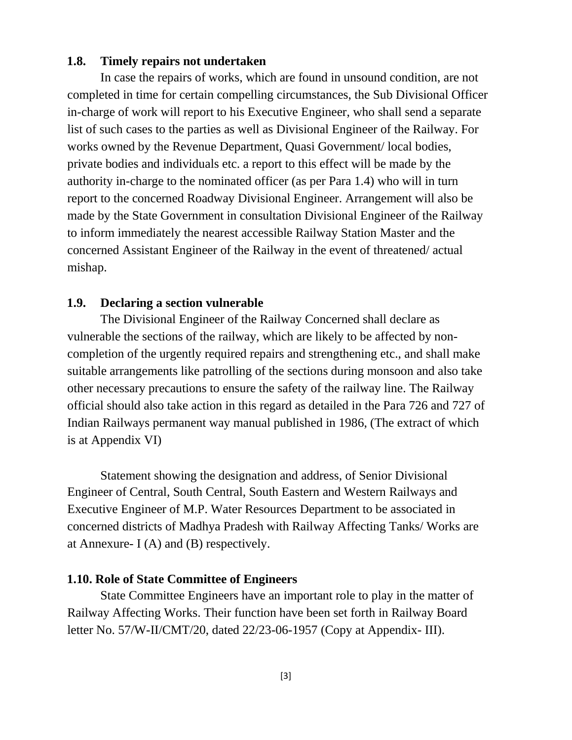#### **1.8. Timely repairs not undertaken**

In case the repairs of works, which are found in unsound condition, are not completed in time for certain compelling circumstances, the Sub Divisional Officer in-charge of work will report to his Executive Engineer, who shall send a separate list of such cases to the parties as well as Divisional Engineer of the Railway. For works owned by the Revenue Department, Quasi Government/ local bodies, private bodies and individuals etc. a report to this effect will be made by the authority in-charge to the nominated officer (as per Para 1.4) who will in turn report to the concerned Roadway Divisional Engineer. Arrangement will also be made by the State Government in consultation Divisional Engineer of the Railway to inform immediately the nearest accessible Railway Station Master and the concerned Assistant Engineer of the Railway in the event of threatened/ actual mishap.

## **1.9. Declaring a section vulnerable**

The Divisional Engineer of the Railway Concerned shall declare as vulnerable the sections of the railway, which are likely to be affected by noncompletion of the urgently required repairs and strengthening etc., and shall make suitable arrangements like patrolling of the sections during monsoon and also take other necessary precautions to ensure the safety of the railway line. The Railway official should also take action in this regard as detailed in the Para 726 and 727 of Indian Railways permanent way manual published in 1986, (The extract of which is at Appendix VI)

Statement showing the designation and address, of Senior Divisional Engineer of Central, South Central, South Eastern and Western Railways and Executive Engineer of M.P. Water Resources Department to be associated in concerned districts of Madhya Pradesh with Railway Affecting Tanks/ Works are at Annexure-  $I(A)$  and  $(B)$  respectively.

### **1.10. Role of State Committee of Engineers**

State Committee Engineers have an important role to play in the matter of Railway Affecting Works. Their function have been set forth in Railway Board letter No. 57/W-II/CMT/20, dated 22/23-06-1957 (Copy at Appendix- III).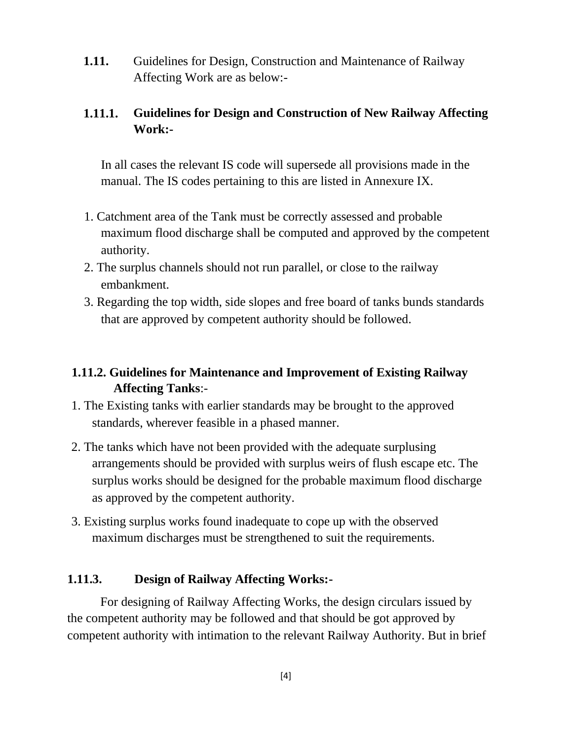**1.11.**  Guidelines for Design, Construction and Maintenance of Railway Affecting Work are as below:-

#### **1.11.1. Guidelines for Design and Construction of New Railway Affecting Work:-**

In all cases the relevant IS code will supersede all provisions made in the manual. The IS codes pertaining to this are listed in Annexure IX.

- 1. Catchment area of the Tank must be correctly assessed and probable maximum flood discharge shall be computed and approved by the competent authority.
- 2. The surplus channels should not run parallel, or close to the railway embankment.
- 3. Regarding the top width, side slopes and free board of tanks bunds standards that are approved by competent authority should be followed.

# **1.11.2. Guidelines for Maintenance and Improvement of Existing Railway Affecting Tanks**:-

- 1. The Existing tanks with earlier standards may be brought to the approved standards, wherever feasible in a phased manner.
- 2. The tanks which have not been provided with the adequate surplusing arrangements should be provided with surplus weirs of flush escape etc. The surplus works should be designed for the probable maximum flood discharge as approved by the competent authority.
- 3. Existing surplus works found inadequate to cope up with the observed maximum discharges must be strengthened to suit the requirements.

# **1.11.3. Design of Railway Affecting Works:-**

For designing of Railway Affecting Works, the design circulars issued by the competent authority may be followed and that should be got approved by competent authority with intimation to the relevant Railway Authority. But in brief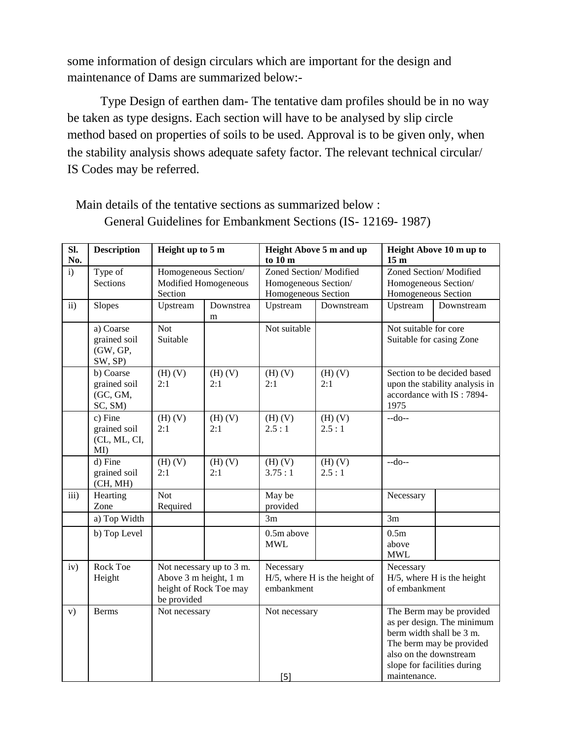some information of design circulars which are important for the design and maintenance of Dams are summarized below:-

Type Design of earthen dam- The tentative dam profiles should be in no way be taken as type designs. Each section will have to be analysed by slip circle method based on properties of soils to be used. Approval is to be given only, when the stability analysis shows adequate safety factor. The relevant technical circular/ IS Codes may be referred.

| SI.<br>No.        | <b>Description</b>                               | Height up to 5 m                     |                                                    | Height Above 5 m and up<br>to 10 m                                                                                         |                                                                       | Height Above 10 m up to<br>15 <sub>m</sub> |                                                                                                                                               |  |
|-------------------|--------------------------------------------------|--------------------------------------|----------------------------------------------------|----------------------------------------------------------------------------------------------------------------------------|-----------------------------------------------------------------------|--------------------------------------------|-----------------------------------------------------------------------------------------------------------------------------------------------|--|
| $\mathbf{i}$      | Type of<br>Sections                              | Homogeneous Section/<br>Section      | Modified Homogeneous                               |                                                                                                                            | Zoned Section/Modified<br>Homogeneous Section/<br>Homogeneous Section |                                            | Zoned Section/Modified<br>Homogeneous Section/<br>Homogeneous Section                                                                         |  |
| $\overline{11}$ ) | Slopes                                           | Upstream                             | Downstrea<br>m                                     | Upstream                                                                                                                   | Downstream                                                            | Upstream                                   | Downstream                                                                                                                                    |  |
|                   | a) Coarse<br>grained soil<br>(GW, GP,<br>SW, SP) | <b>Not</b><br>Suitable               |                                                    | Not suitable                                                                                                               |                                                                       | Not suitable for core                      | Suitable for casing Zone                                                                                                                      |  |
|                   | b) Coarse<br>grained soil<br>(GC, GM,<br>SC, SM) | $(H)$ $(V)$<br>2:1                   | $(H)$ $(V)$<br>2:1                                 | $(H)$ $(V)$<br>2:1                                                                                                         | $(H)$ $(V)$<br>2:1                                                    | 1975                                       | Section to be decided based<br>upon the stability analysis in<br>accordance with IS: 7894-                                                    |  |
|                   | c) Fine<br>grained soil<br>(CL, ML, CI,<br>MI)   | $(H)$ $(V)$<br>2:1                   | $(H)$ $(V)$<br>2:1                                 | $(H)$ $(V)$<br>2.5:1                                                                                                       | $(H)$ $(V)$<br>2.5:1                                                  | $-do-$                                     |                                                                                                                                               |  |
|                   | d) Fine<br>grained soil<br>(CH, MH)              | $(H)$ $(V)$<br>2:1                   | $(H)$ $(V)$<br>2:1                                 | $(H)$ $(V)$<br>3.75:1                                                                                                      | $(H)$ $(V)$<br>2.5:1                                                  | $-do-$                                     |                                                                                                                                               |  |
| iii)              | Hearting<br>Zone                                 | <b>Not</b><br>Required               |                                                    | May be<br>provided                                                                                                         |                                                                       | Necessary                                  |                                                                                                                                               |  |
|                   | a) Top Width                                     |                                      |                                                    | 3m                                                                                                                         |                                                                       | 3m                                         |                                                                                                                                               |  |
|                   | b) Top Level                                     |                                      |                                                    | 0.5m above<br><b>MWL</b>                                                                                                   |                                                                       | 0.5 <sub>m</sub><br>above<br><b>MWL</b>    |                                                                                                                                               |  |
| iv)               | Rock Toe<br>Height                               | Above 3 m height, 1 m<br>be provided | Not necessary up to 3 m.<br>height of Rock Toe may | Necessary<br>Necessary<br>$H/5$ , where H is the height<br>$H/5$ , where H is the height of<br>embankment<br>of embankment |                                                                       |                                            |                                                                                                                                               |  |
| V)                | <b>Berms</b>                                     | Not necessary                        |                                                    | Not necessary<br>$[5]$                                                                                                     |                                                                       | also on the downstream<br>maintenance.     | The Berm may be provided<br>as per design. The minimum<br>berm width shall be 3 m.<br>The berm may be provided<br>slope for facilities during |  |

# Main details of the tentative sections as summarized below : General Guidelines for Embankment Sections (IS- 12169- 1987)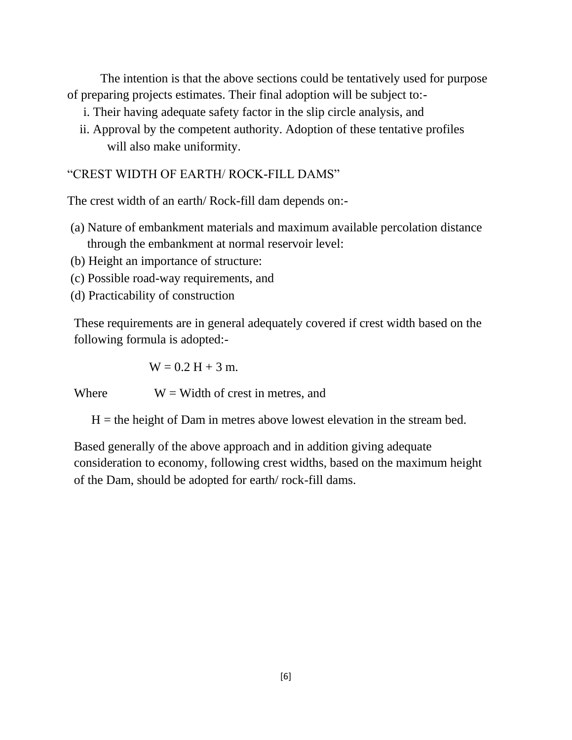The intention is that the above sections could be tentatively used for purpose of preparing projects estimates. Their final adoption will be subject to:-

- i. Their having adequate safety factor in the slip circle analysis, and
- ii. Approval by the competent authority. Adoption of these tentative profiles will also make uniformity.

### "CREST WIDTH OF EARTH/ ROCK-FILL DAMS"

The crest width of an earth/ Rock-fill dam depends on:-

- (a) Nature of embankment materials and maximum available percolation distance through the embankment at normal reservoir level:
- (b) Height an importance of structure:
- (c) Possible road-way requirements, and
- (d) Practicability of construction

These requirements are in general adequately covered if crest width based on the following formula is adopted:-

$$
W = 0.2 H + 3 m.
$$

Where  $W = \text{Width of crest in metres, and}$ 

 $H =$  the height of Dam in metres above lowest elevation in the stream bed.

Based generally of the above approach and in addition giving adequate consideration to economy, following crest widths, based on the maximum height of the Dam, should be adopted for earth/ rock-fill dams.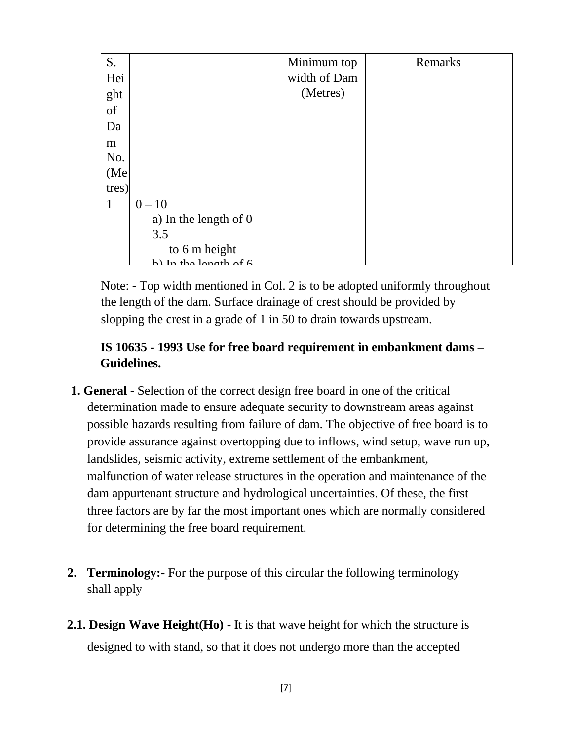| S.           |                            | Minimum top  | Remarks |
|--------------|----------------------------|--------------|---------|
| Hei          |                            | width of Dam |         |
| ght          |                            | (Metres)     |         |
| of           |                            |              |         |
| Da           |                            |              |         |
| m            |                            |              |         |
| No.          |                            |              |         |
| (Me)         |                            |              |         |
| tres)        |                            |              |         |
| $\mathbf{1}$ | $0 - 10$                   |              |         |
|              | a) In the length of $0$    |              |         |
|              | 3.5                        |              |         |
|              | to 6 m height              |              |         |
|              | $h$ ) In the langth of $6$ |              |         |

Note: - Top width mentioned in Col. 2 is to be adopted uniformly throughout the dam System  $2^{10}$  –  $2^{10}$  –  $2^{10}$  –  $2^{10}$  –  $2^{10}$  –  $2^{10}$  –  $2^{10}$  –  $2^{10}$  –  $2^{10}$  –  $2^{10}$  –  $2^{10}$  –  $2^{10}$  –  $2^{10}$  –  $2^{10}$  –  $2^{10}$  –  $2^{10}$  –  $2^{10}$  –  $2^{10}$  –  $2^{10}$  –  $2^{10}$  –  $2^{10}$  –  $2^{10}$  – slopping the crest in a grade of 1 in 50 to drain towards upstream. the length of the dam. Surface drainage of crest should be provided by

#### omhonkment dams representative  $\overline{\phantom{a}}$ **IS 10635 - 1993 Use for free board requirement in embankment dams – Guidelines.**

- **1. General**  Selection of the correct design free board in one of the critical determination made to ensure adequate security to downstream areas against possible hazards resulting from failure of dam. The objective of free board is to provide assurance against overtopping due to inflows, wind setup, wave run up, landslides, seismic activity, extreme settlement of the embankment, malfunction of water release structures in the operation and maintenance of the dam appurtenant structure and hydrological uncertainties. Of these, the first three factors are by far the most important ones which are normally considered for determining the free board requirement.
- **2. Terminology:-** For the purpose of this circular the following terminology shall apply
- **2.1. Design Wave Height(Ho) -** It is that wave height for which the structure is designed to with stand, so that it does not undergo more than the accepted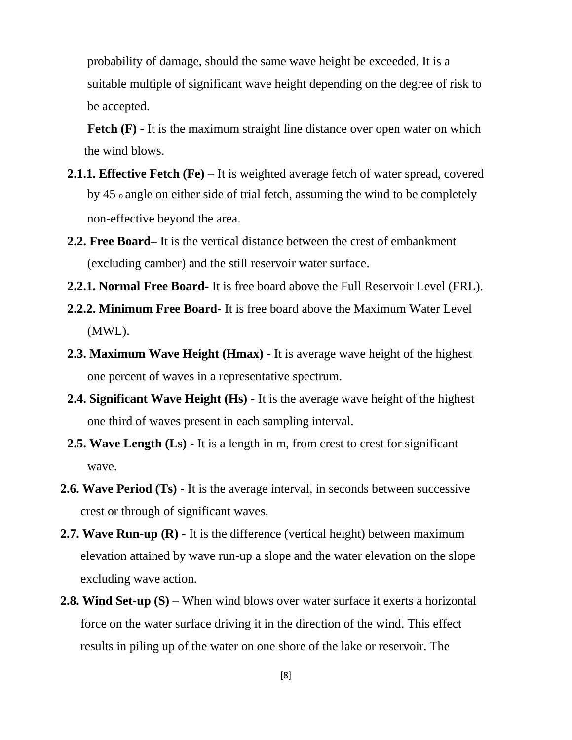probability of damage, should the same wave height be exceeded. It is a suitable multiple of significant wave height depending on the degree of risk to be accepted.

**Fetch (F)** - It is the maximum straight line distance over open water on which the wind blows.

- **2.1.1. Effective Fetch (Fe) –** It is weighted average fetch of water spread, covered by 45 o angle on either side of trial fetch, assuming the wind to be completely non-effective beyond the area.
- **2.2. Free Board–** It is the vertical distance between the crest of embankment (excluding camber) and the still reservoir water surface.
- **2.2.1. Normal Free Board-** It is free board above the Full Reservoir Level (FRL).
- **2.2.2. Minimum Free Board-** It is free board above the Maximum Water Level (MWL).
- **2.3. Maximum Wave Height (Hmax) -** It is average wave height of the highest one percent of waves in a representative spectrum.
- **2.4. Significant Wave Height (Hs) -** It is the average wave height of the highest one third of waves present in each sampling interval.
- **2.5. Wave Length (Ls) -** It is a length in m, from crest to crest for significant wave.
- **2.6. Wave Period (Ts) -** It is the average interval, in seconds between successive crest or through of significant waves.
- **2.7. Wave Run-up (R) -** It is the difference (vertical height) between maximum elevation attained by wave run-up a slope and the water elevation on the slope excluding wave action.
- **2.8. Wind Set-up (S) –** When wind blows over water surface it exerts a horizontal force on the water surface driving it in the direction of the wind. This effect results in piling up of the water on one shore of the lake or reservoir. The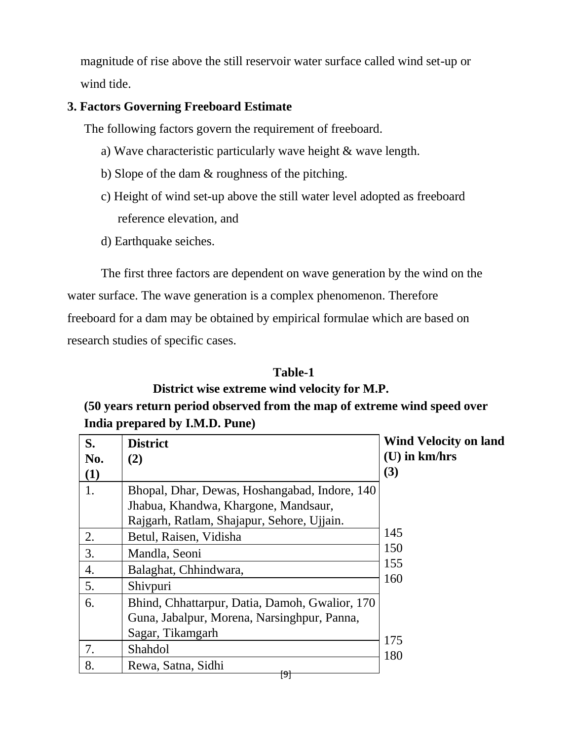magnitude of rise above the still reservoir water surface called wind set-up or wind tide.

# **3. Factors Governing Freeboard Estimate**

The following factors govern the requirement of freeboard.

- a) Wave characteristic particularly wave height & wave length.
- b) Slope of the dam & roughness of the pitching.
- c) Height of wind set-up above the still water level adopted as freeboard reference elevation, and
- d) Earthquake seiches.

The first three factors are dependent on wave generation by the wind on the water surface. The wave generation is a complex phenomenon. Therefore freeboard for a dam may be obtained by empirical formulae which are based on research studies of specific cases.

# **Table-1**

# **District wise extreme wind velocity for M.P.**

# **(50 years return period observed from the map of extreme wind speed over India prepared by I.M.D. Pune)**

| S.  | <b>District</b>                                | <b>Wind Velocity on land</b> |
|-----|------------------------------------------------|------------------------------|
| No. | (2)                                            | $(U)$ in $km/hrs$            |
| (1) |                                                | (3)                          |
| 1.  | Bhopal, Dhar, Dewas, Hoshangabad, Indore, 140  |                              |
|     | Jhabua, Khandwa, Khargone, Mandsaur,           |                              |
|     | Rajgarh, Ratlam, Shajapur, Sehore, Ujjain.     |                              |
| 2.  | Betul, Raisen, Vidisha                         | 145                          |
| 3.  | Mandla, Seoni                                  | 150                          |
| 4.  | Balaghat, Chhindwara,                          | 155                          |
| 5.  | Shivpuri                                       | 160                          |
| 6.  | Bhind, Chhattarpur, Datia, Damoh, Gwalior, 170 |                              |
|     | Guna, Jabalpur, Morena, Narsinghpur, Panna,    |                              |
|     | Sagar, Tikamgarh                               |                              |
| 7.  | Shahdol                                        | 175<br>180                   |
| 8.  | Rewa, Satna, Sidhi<br>[9]                      |                              |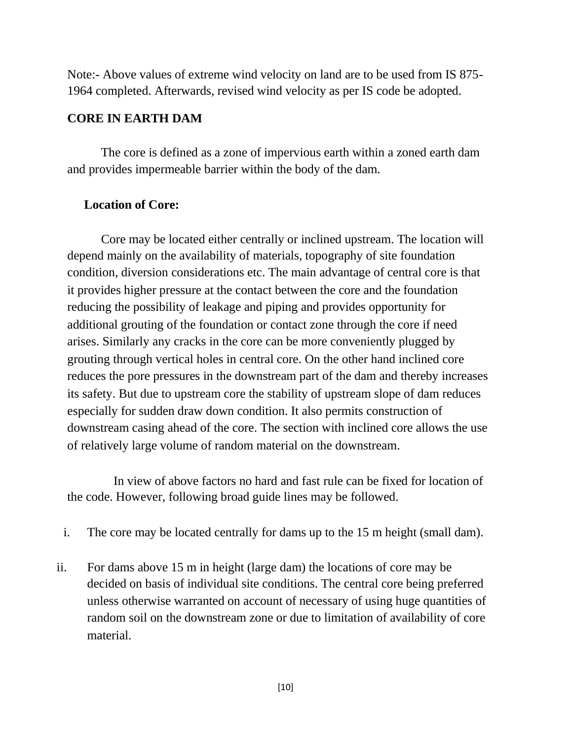Note:- Above values of extreme wind velocity on land are to be used from IS 875- 1964 completed. Afterwards, revised wind velocity as per IS code be adopted.

### **CORE IN EARTH DAM**

The core is defined as a zone of impervious earth within a zoned earth dam and provides impermeable barrier within the body of the dam.

## **Location of Core:**

Core may be located either centrally or inclined upstream. The location will depend mainly on the availability of materials, topography of site foundation condition, diversion considerations etc. The main advantage of central core is that it provides higher pressure at the contact between the core and the foundation reducing the possibility of leakage and piping and provides opportunity for additional grouting of the foundation or contact zone through the core if need arises. Similarly any cracks in the core can be more conveniently plugged by grouting through vertical holes in central core. On the other hand inclined core reduces the pore pressures in the downstream part of the dam and thereby increases its safety. But due to upstream core the stability of upstream slope of dam reduces especially for sudden draw down condition. It also permits construction of downstream casing ahead of the core. The section with inclined core allows the use of relatively large volume of random material on the downstream.

In view of above factors no hard and fast rule can be fixed for location of the code. However, following broad guide lines may be followed.

- i. The core may be located centrally for dams up to the 15 m height (small dam).
- ii. For dams above 15 m in height (large dam) the locations of core may be decided on basis of individual site conditions. The central core being preferred unless otherwise warranted on account of necessary of using huge quantities of random soil on the downstream zone or due to limitation of availability of core material.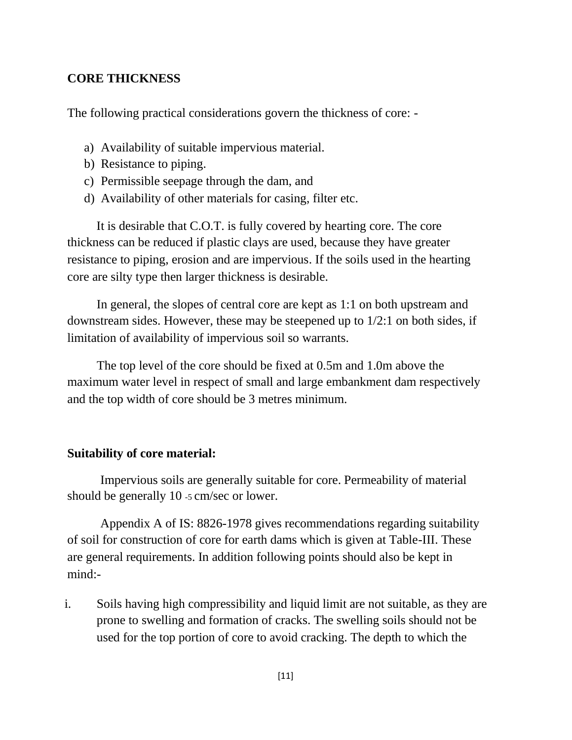## **CORE THICKNESS**

The following practical considerations govern the thickness of core: -

- a) Availability of suitable impervious material.
- b) Resistance to piping.
- c) Permissible seepage through the dam, and
- d) Availability of other materials for casing, filter etc.

It is desirable that C.O.T. is fully covered by hearting core. The core thickness can be reduced if plastic clays are used, because they have greater resistance to piping, erosion and are impervious. If the soils used in the hearting core are silty type then larger thickness is desirable.

In general, the slopes of central core are kept as 1:1 on both upstream and downstream sides. However, these may be steepened up to 1/2:1 on both sides, if limitation of availability of impervious soil so warrants.

The top level of the core should be fixed at 0.5m and 1.0m above the maximum water level in respect of small and large embankment dam respectively and the top width of core should be 3 metres minimum.

#### **Suitability of core material:**

Impervious soils are generally suitable for core. Permeability of material should be generally 10 -5 cm/sec or lower.

Appendix A of IS: 8826-1978 gives recommendations regarding suitability of soil for construction of core for earth dams which is given at Table-III. These are general requirements. In addition following points should also be kept in mind:-

i. Soils having high compressibility and liquid limit are not suitable, as they are prone to swelling and formation of cracks. The swelling soils should not be used for the top portion of core to avoid cracking. The depth to which the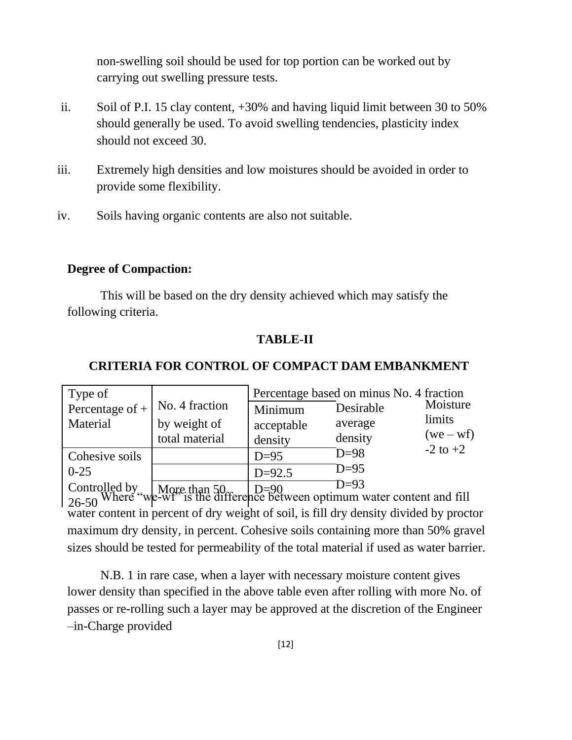non-swelling soil should be used for top portion can be worked out by carrying out swelling pressure tests.

- ii. Soil of P.I. 15 clay content, +30% and having liquid limit between 30 to 50% should generally be used. To avoid swelling tendencies, plasticity index should not exceed 30.
- iii. Extremely high densities and low moistures should be avoided in order to provide some flexibility.
- iv. Soils having organic contents are also not suitable.

## **Degree of Compaction:**

This will be based on the dry density achieved which may satisfy the following criteria.

# **TABLE-II**

## **CRITERIA FOR CONTROL OF COMPACT DAM EMBANKMENT**

| Type of           |                                                 |            | Percentage based on minus No. 4 fraction |              |
|-------------------|-------------------------------------------------|------------|------------------------------------------|--------------|
| Percentage of $+$ | No. 4 fraction                                  | Minimum    | Desirable                                | Moisture     |
| Material          | by weight of                                    | acceptable | average                                  | limits       |
|                   | total material                                  | density    | density                                  | $(we - wf)$  |
| Cohesive soils    |                                                 | $D=95$     | $D=98$                                   | $-2$ to $+2$ |
| $0 - 25$          |                                                 | $D=92.5$   | $D=95$                                   |              |
|                   | Controlled by $M$ More than 50 $_{\text{ffor}}$ |            | $D=93$<br>$D=90$                         |              |

26-50 water content in percent of dry weight of soil, is fill dry density divided by proctor Where "we-will is the difference between optimum water content and fill maximum dry density, in percent. Cohesive soils containing more than 50% gravel sizes should be tested for permeability of the total material if used as water barrier.

N.B. 1 in rare case, when a layer with necessary moisture content gives lower density than specified in the above table even after rolling with more No. of passes or re-rolling such a layer may be approved at the discretion of the Engineer –in-Charge provided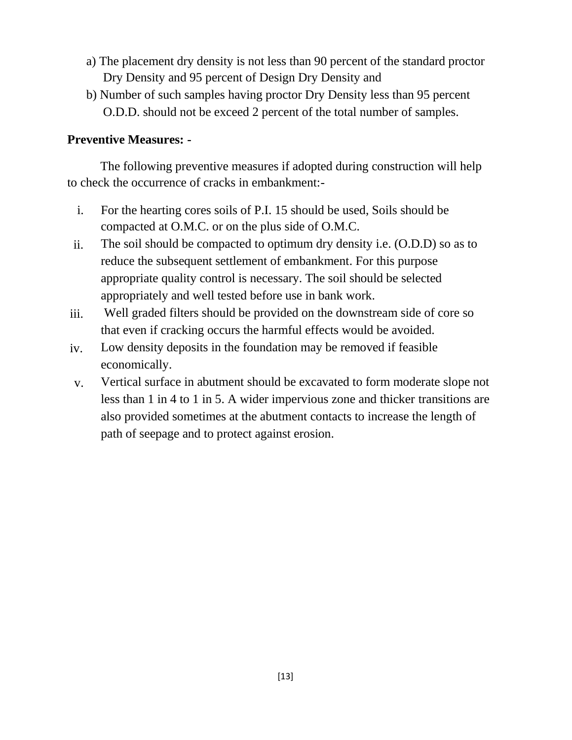- a) The placement dry density is not less than 90 percent of the standard proctor Dry Density and 95 percent of Design Dry Density and
- b) Number of such samples having proctor Dry Density less than 95 percent O.D.D. should not be exceed 2 percent of the total number of samples.

# **Preventive Measures: -**

The following preventive measures if adopted during construction will help to check the occurrence of cracks in embankment:-

- i. For the hearting cores soils of P.I. 15 should be used, Soils should be compacted at O.M.C. or on the plus side of O.M.C.
- ii. The soil should be compacted to optimum dry density i.e. (O.D.D) so as to reduce the subsequent settlement of embankment. For this purpose appropriate quality control is necessary. The soil should be selected appropriately and well tested before use in bank work.
- iii. Well graded filters should be provided on the downstream side of core so that even if cracking occurs the harmful effects would be avoided.
- iv. Low density deposits in the foundation may be removed if feasible economically.
- v. Vertical surface in abutment should be excavated to form moderate slope not less than 1 in 4 to 1 in 5. A wider impervious zone and thicker transitions are also provided sometimes at the abutment contacts to increase the length of path of seepage and to protect against erosion.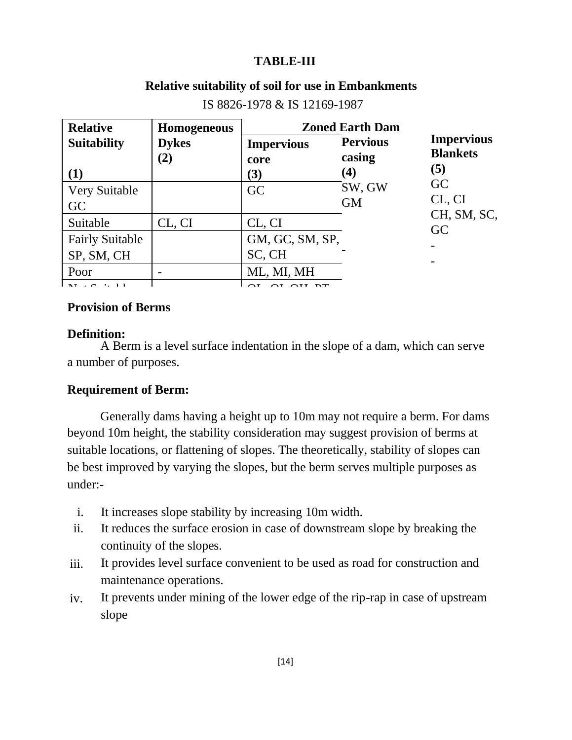# **TABLE-III**

# **Relative suitability of soil for use in Embankments**

| <b>Relative</b><br><b>Homogeneous</b>                                         |                     | <b>Zoned Earth Dam</b>                                                                            |                                       |                                             |  |
|-------------------------------------------------------------------------------|---------------------|---------------------------------------------------------------------------------------------------|---------------------------------------|---------------------------------------------|--|
| <b>Suitability</b><br>(1)                                                     | <b>Dykes</b><br>(2) | <b>Impervious</b><br>core<br>(3)                                                                  | <b>Pervious</b><br>casing<br>$\bf(4)$ | <b>Impervious</b><br><b>Blankets</b><br>(5) |  |
| <b>Very Suitable</b><br>GC                                                    |                     | GC                                                                                                | SW, GW<br><b>GM</b>                   | GC<br>CL, CI                                |  |
| Suitable                                                                      | CL, CI              | CL, CI                                                                                            |                                       | CH, SM, SC,                                 |  |
| <b>Fairly Suitable</b><br>SP, SM, CH<br>Poor<br>$\mathbf{r}$ $\alpha$<br>1.11 |                     | GM, GC, SM, SP,<br>SC, CH<br>ML, MI, MH<br>$\sim$<br>$\alpha$ $\alpha$ $\alpha$ $\alpha$ $\alpha$ |                                       | GC                                          |  |

IS 8826-1978 & IS 12169-1987

# **Provision of Berms**

### **Definition:**

A Berm is a level surface indentation in the slope of a dam, which can serve a number of purposes.

# **Requirement of Berm:**

Generally dams having a height up to 10m may not require a berm. For dams beyond 10m height, the stability consideration may suggest provision of berms at suitable locations, or flattening of slopes. The theoretically, stability of slopes can be best improved by varying the slopes, but the berm serves multiple purposes as under:-

- i. It increases slope stability by increasing 10m width.
- ii. It reduces the surface erosion in case of downstream slope by breaking the continuity of the slopes.
- iii. It provides level surface convenient to be used as road for construction and maintenance operations.
- iv. It prevents under mining of the lower edge of the rip-rap in case of upstream slope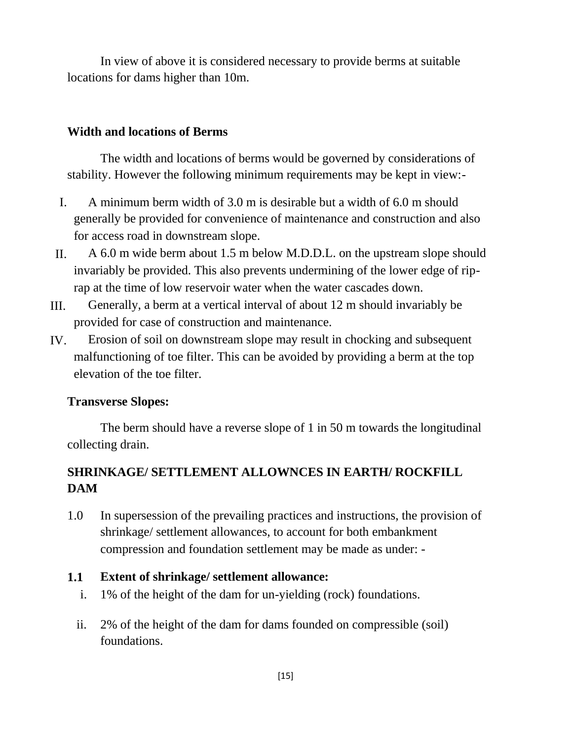In view of above it is considered necessary to provide berms at suitable locations for dams higher than 10m.

# **Width and locations of Berms**

The width and locations of berms would be governed by considerations of stability. However the following minimum requirements may be kept in view:-

- I. A minimum berm width of 3.0 m is desirable but a width of 6.0 m should generally be provided for convenience of maintenance and construction and also for access road in downstream slope.
- II. A 6.0 m wide berm about 1.5 m below M.D.D.L. on the upstream slope should invariably be provided. This also prevents undermining of the lower edge of riprap at the time of low reservoir water when the water cascades down.
- III. Generally, a berm at a vertical interval of about 12 m should invariably be provided for case of construction and maintenance.
- IV. Erosion of soil on downstream slope may result in chocking and subsequent malfunctioning of toe filter. This can be avoided by providing a berm at the top elevation of the toe filter.

### **Transverse Slopes:**

The berm should have a reverse slope of 1 in 50 m towards the longitudinal collecting drain.

# **SHRINKAGE/ SETTLEMENT ALLOWNCES IN EARTH/ ROCKFILL DAM**

1.0 In supersession of the prevailing practices and instructions, the provision of shrinkage/ settlement allowances, to account for both embankment compression and foundation settlement may be made as under: -

#### **1.1 Extent of shrinkage/ settlement allowance:**

- i. 1% of the height of the dam for un-yielding (rock) foundations.
- ii. 2% of the height of the dam for dams founded on compressible (soil) foundations.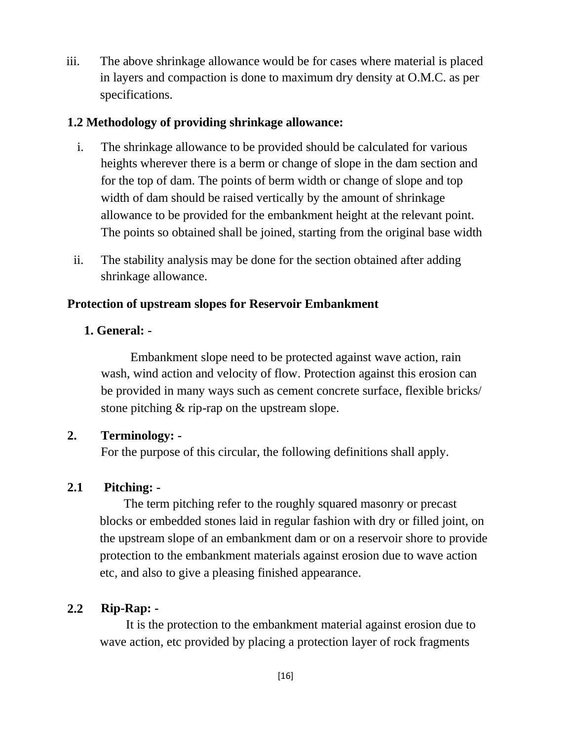iii. The above shrinkage allowance would be for cases where material is placed in layers and compaction is done to maximum dry density at O.M.C. as per specifications.

# **1.2 Methodology of providing shrinkage allowance:**

- i. The shrinkage allowance to be provided should be calculated for various heights wherever there is a berm or change of slope in the dam section and for the top of dam. The points of berm width or change of slope and top width of dam should be raised vertically by the amount of shrinkage allowance to be provided for the embankment height at the relevant point. The points so obtained shall be joined, starting from the original base width
- ii. The stability analysis may be done for the section obtained after adding shrinkage allowance.

# **Protection of upstream slopes for Reservoir Embankment**

# **1. General: -**

Embankment slope need to be protected against wave action, rain wash, wind action and velocity of flow. Protection against this erosion can be provided in many ways such as cement concrete surface, flexible bricks/ stone pitching & rip-rap on the upstream slope.

#### **2. Terminology: -**

For the purpose of this circular, the following definitions shall apply.

#### **2.1 Pitching: -**

The term pitching refer to the roughly squared masonry or precast blocks or embedded stones laid in regular fashion with dry or filled joint, on the upstream slope of an embankment dam or on a reservoir shore to provide protection to the embankment materials against erosion due to wave action etc, and also to give a pleasing finished appearance.

#### **2.2 Rip-Rap: -**

It is the protection to the embankment material against erosion due to wave action, etc provided by placing a protection layer of rock fragments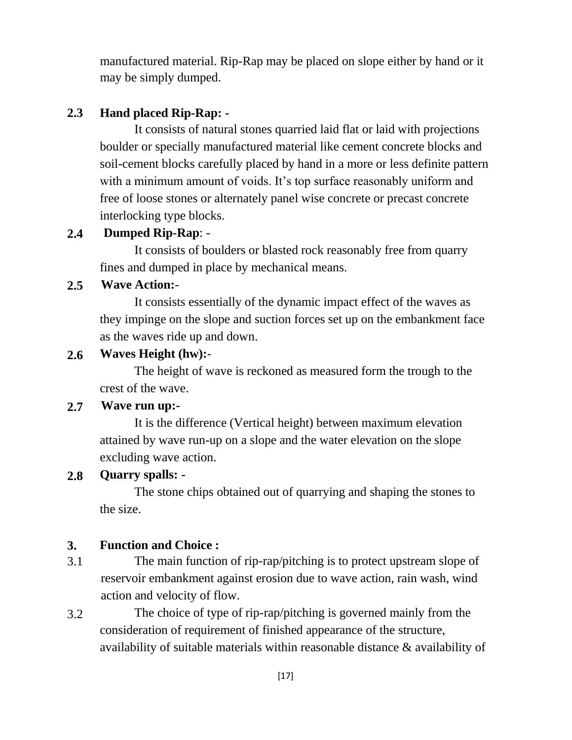manufactured material. Rip-Rap may be placed on slope either by hand or it may be simply dumped.

#### **2.3 Hand placed Rip-Rap: -**

It consists of natural stones quarried laid flat or laid with projections boulder or specially manufactured material like cement concrete blocks and soil-cement blocks carefully placed by hand in a more or less definite pattern with a minimum amount of voids. It's top surface reasonably uniform and free of loose stones or alternately panel wise concrete or precast concrete interlocking type blocks.

#### **2.4 Dumped Rip-Rap**: -

It consists of boulders or blasted rock reasonably free from quarry fines and dumped in place by mechanical means.

#### **2.5 Wave Action:**-

It consists essentially of the dynamic impact effect of the waves as they impinge on the slope and suction forces set up on the embankment face as the waves ride up and down.

#### **2.6 Waves Height (hw):**-

The height of wave is reckoned as measured form the trough to the crest of the wave.

#### **2.7 Wave run up:-**

It is the difference (Vertical height) between maximum elevation attained by wave run-up on a slope and the water elevation on the slope excluding wave action.

#### **2.8 Quarry spalls: -**

The stone chips obtained out of quarrying and shaping the stones to the size.

#### **3. Function and Choice :**

- 3.1 The main function of rip-rap/pitching is to protect upstream slope of reservoir embankment against erosion due to wave action, rain wash, wind action and velocity of flow.
- 3.2 The choice of type of rip-rap/pitching is governed mainly from the consideration of requirement of finished appearance of the structure, availability of suitable materials within reasonable distance & availability of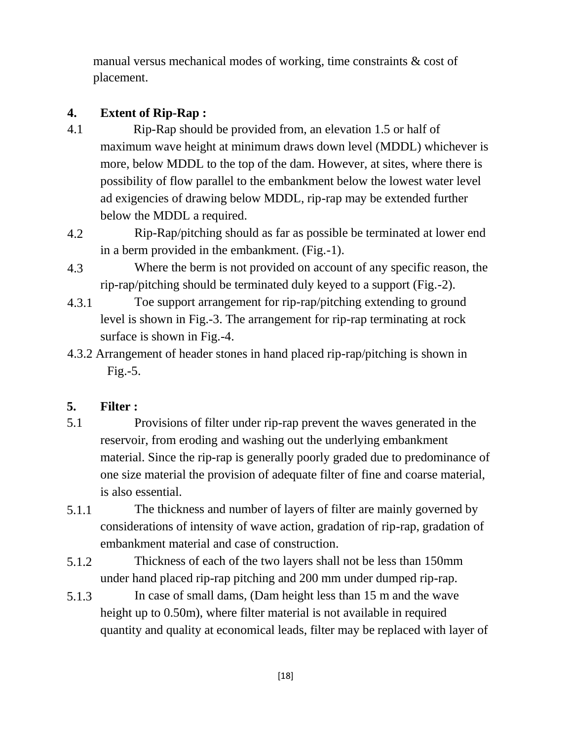manual versus mechanical modes of working, time constraints & cost of placement.

#### **4. Extent of Rip-Rap :**

- 4.1 Rip-Rap should be provided from, an elevation 1.5 or half of maximum wave height at minimum draws down level (MDDL) whichever is more, below MDDL to the top of the dam. However, at sites, where there is possibility of flow parallel to the embankment below the lowest water level ad exigencies of drawing below MDDL, rip-rap may be extended further below the MDDL a required.
- 4.2 Rip-Rap/pitching should as far as possible be terminated at lower end in a berm provided in the embankment. (Fig.-1).
- 4.3 Where the berm is not provided on account of any specific reason, the rip-rap/pitching should be terminated duly keyed to a support (Fig.-2).
- 4.3.1 Toe support arrangement for rip-rap/pitching extending to ground level is shown in Fig.-3. The arrangement for rip-rap terminating at rock surface is shown in Fig.-4.
- 4.3.2 Arrangement of header stones in hand placed rip-rap/pitching is shown in Fig.-5.

#### **5. Filter :**

- 5.1 Provisions of filter under rip-rap prevent the waves generated in the reservoir, from eroding and washing out the underlying embankment material. Since the rip-rap is generally poorly graded due to predominance of one size material the provision of adequate filter of fine and coarse material, is also essential.
- 5.1.1 The thickness and number of layers of filter are mainly governed by considerations of intensity of wave action, gradation of rip-rap, gradation of embankment material and case of construction.
- 5.1.2 Thickness of each of the two layers shall not be less than 150mm under hand placed rip-rap pitching and 200 mm under dumped rip-rap.
- 5.1.3 In case of small dams, (Dam height less than 15 m and the wave height up to 0.50m), where filter material is not available in required quantity and quality at economical leads, filter may be replaced with layer of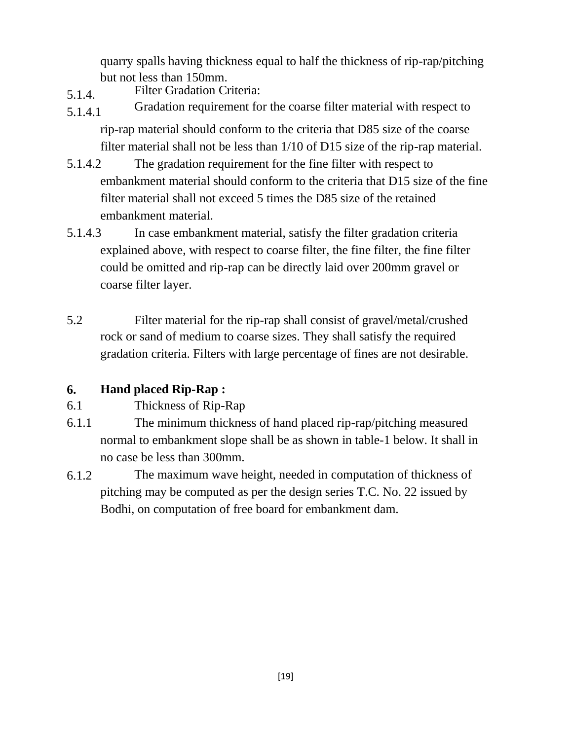quarry spalls having thickness equal to half the thickness of rip-rap/pitching but not less than 150mm.

- 5.1.4. Filter Gradation Criteria:
- 5.1.4.1 Gradation requirement for the coarse filter material with respect to

rip-rap material should conform to the criteria that D85 size of the coarse filter material shall not be less than 1/10 of D15 size of the rip-rap material.

- 5.1.4.2 The gradation requirement for the fine filter with respect to embankment material should conform to the criteria that D15 size of the fine filter material shall not exceed 5 times the D85 size of the retained embankment material.
- 5.1.4.3 In case embankment material, satisfy the filter gradation criteria explained above, with respect to coarse filter, the fine filter, the fine filter could be omitted and rip-rap can be directly laid over 200mm gravel or coarse filter layer.
- 5.2 Filter material for the rip-rap shall consist of gravel/metal/crushed rock or sand of medium to coarse sizes. They shall satisfy the required gradation criteria. Filters with large percentage of fines are not desirable.

#### **6. Hand placed Rip-Rap :**

#### 6.1 Thickness of Rip-Rap

- 6.1.1 The minimum thickness of hand placed rip-rap/pitching measured normal to embankment slope shall be as shown in table-1 below. It shall in no case be less than 300mm.
- 6.1.2 The maximum wave height, needed in computation of thickness of pitching may be computed as per the design series T.C. No. 22 issued by Bodhi, on computation of free board for embankment dam.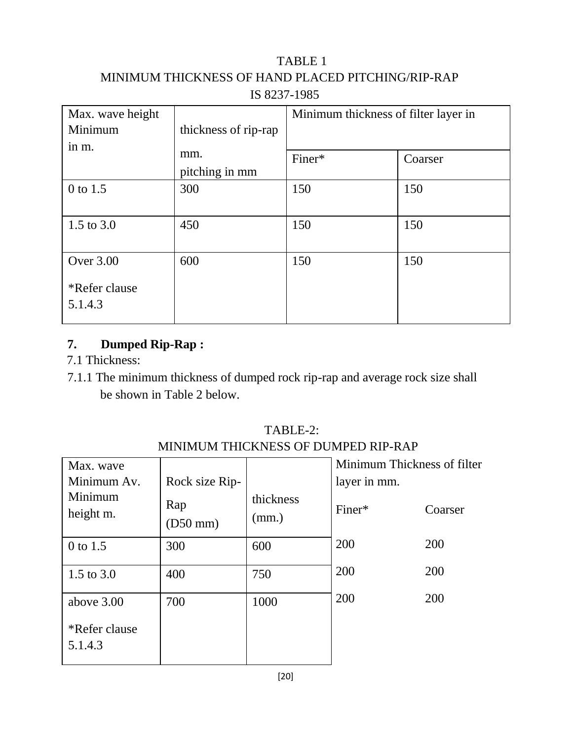# TABLE 1 MINIMUM THICKNESS OF HAND PLACED PITCHING/RIP-RAP IS 8237-1985

| Max. wave height                 |                       | Minimum thickness of filter layer in |         |
|----------------------------------|-----------------------|--------------------------------------|---------|
| Minimum                          | thickness of rip-rap  |                                      |         |
| 10 m.                            | mm.<br>pitching in mm | Finer*                               | Coarser |
| 0 to 1.5                         | 300                   | 150                                  | 150     |
| 1.5 to $3.0$                     | 450                   | 150                                  | 150     |
| Over 3.00                        | 600                   | 150                                  | 150     |
| <i>*</i> Refer clause<br>5.1.4.3 |                       |                                      |         |

# **7. Dumped Rip-Rap :**

- 7.1 Thickness:
- 7.1.1 The minimum thickness of dumped rock rip-rap and average rock size shall be shown in Table 2 below.

| Max. wave<br>Minimum Av.         | Rock size Rip-       |                    | Minimum Thickness of filter<br>layer in mm. |         |
|----------------------------------|----------------------|--------------------|---------------------------------------------|---------|
| Minimum<br>height m.             | Rap<br>$(D50$ mm $)$ | thickness<br>(mm.) | Finer*                                      | Coarser |
| 0 to 1.5                         | 300                  | 600                | 200                                         | 200     |
| 1.5 to $3.0$                     | 400                  | 750                | 200                                         | 200     |
| above 3.00                       | 700                  | 1000               | 200                                         | 200     |
| <i>*</i> Refer clause<br>5.1.4.3 |                      |                    |                                             |         |

# TABLE-2: MINIMUM THICKNESS OF DUMPED RIP-RAP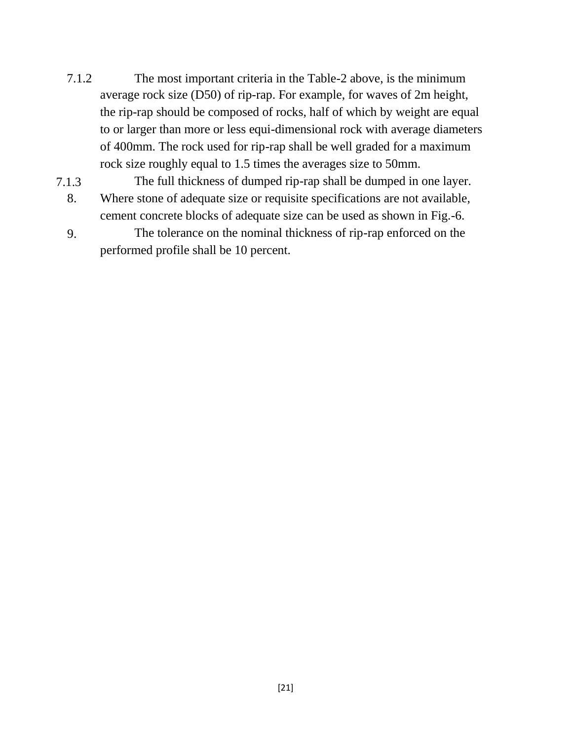- 7.1.2 The most important criteria in the Table-2 above, is the minimum average rock size (D50) of rip-rap. For example, for waves of 2m height, the rip-rap should be composed of rocks, half of which by weight are equal to or larger than more or less equi-dimensional rock with average diameters of 400mm. The rock used for rip-rap shall be well graded for a maximum rock size roughly equal to 1.5 times the averages size to 50mm.
- 7.1.3 The full thickness of dumped rip-rap shall be dumped in one layer.
	- 8. Where stone of adequate size or requisite specifications are not available, cement concrete blocks of adequate size can be used as shown in Fig.-6.
	- 9. The tolerance on the nominal thickness of rip-rap enforced on the performed profile shall be 10 percent.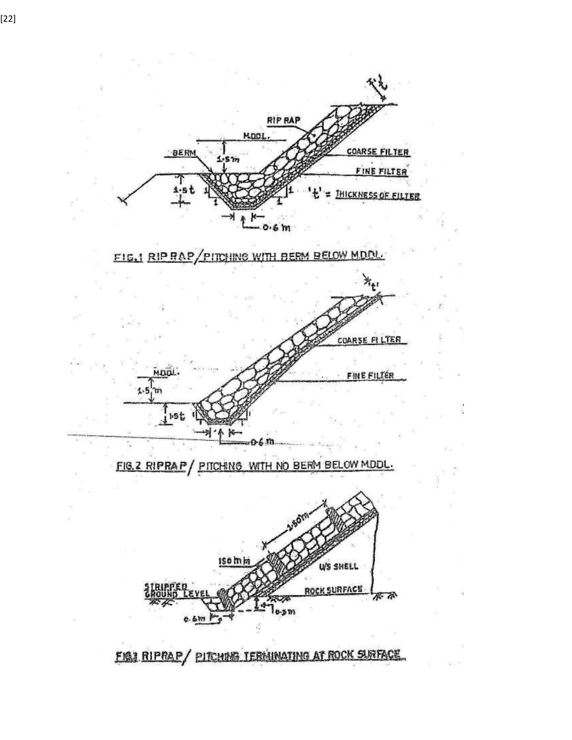

**EIST RIPRAP/ PITCHING LERMINATING AT ROCK SURFACE** 

[22]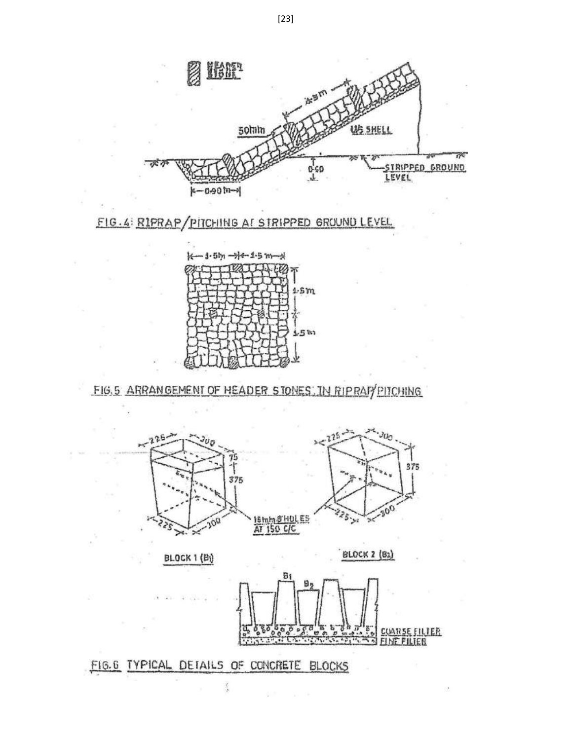

FIG. 4: RIPRAP/PITCHING AT STRIPPED GROUND LEVEL



FIG.5 ARRANGEMENT OF HEADER STONES. IN RIPRAP/PITCHING



BLOCK 1 (Bi)

**BLOCK 2 (B2)** 



FIG.6 TYPICAL DETAILS OF CONCRETE BLOCKS

š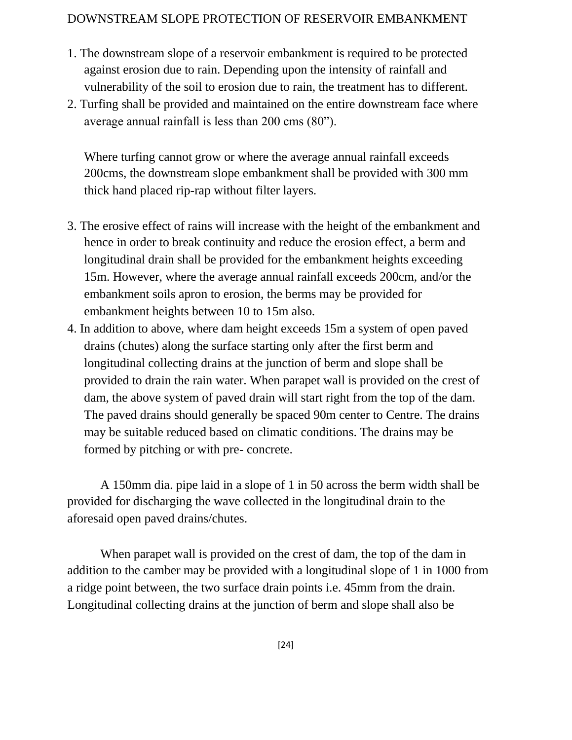### DOWNSTREAM SLOPE PROTECTION OF RESERVOIR EMBANKMENT

- 1. The downstream slope of a reservoir embankment is required to be protected against erosion due to rain. Depending upon the intensity of rainfall and vulnerability of the soil to erosion due to rain, the treatment has to different.
- 2. Turfing shall be provided and maintained on the entire downstream face where average annual rainfall is less than 200 cms (80").

Where turfing cannot grow or where the average annual rainfall exceeds 200cms, the downstream slope embankment shall be provided with 300 mm thick hand placed rip-rap without filter layers.

- 3. The erosive effect of rains will increase with the height of the embankment and hence in order to break continuity and reduce the erosion effect, a berm and longitudinal drain shall be provided for the embankment heights exceeding 15m. However, where the average annual rainfall exceeds 200cm, and/or the embankment soils apron to erosion, the berms may be provided for embankment heights between 10 to 15m also.
- 4. In addition to above, where dam height exceeds 15m a system of open paved drains (chutes) along the surface starting only after the first berm and longitudinal collecting drains at the junction of berm and slope shall be provided to drain the rain water. When parapet wall is provided on the crest of dam, the above system of paved drain will start right from the top of the dam. The paved drains should generally be spaced 90m center to Centre. The drains may be suitable reduced based on climatic conditions. The drains may be formed by pitching or with pre- concrete.

A 150mm dia. pipe laid in a slope of 1 in 50 across the berm width shall be provided for discharging the wave collected in the longitudinal drain to the aforesaid open paved drains/chutes.

When parapet wall is provided on the crest of dam, the top of the dam in addition to the camber may be provided with a longitudinal slope of 1 in 1000 from a ridge point between, the two surface drain points i.e. 45mm from the drain. Longitudinal collecting drains at the junction of berm and slope shall also be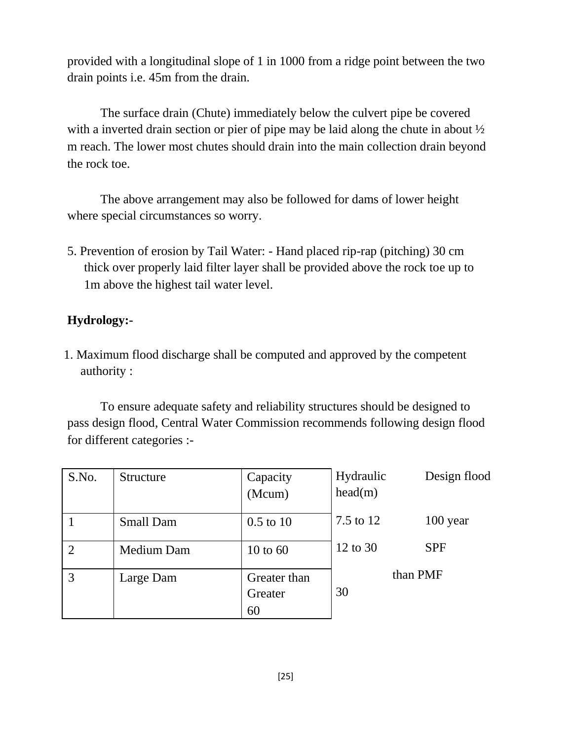provided with a longitudinal slope of 1 in 1000 from a ridge point between the two drain points i.e. 45m from the drain.

The surface drain (Chute) immediately below the culvert pipe be covered with a inverted drain section or pier of pipe may be laid along the chute in about  $\frac{1}{2}$ m reach. The lower most chutes should drain into the main collection drain beyond the rock toe.

The above arrangement may also be followed for dams of lower height where special circumstances so worry.

5. Prevention of erosion by Tail Water: - Hand placed rip-rap (pitching) 30 cm thick over properly laid filter layer shall be provided above the rock toe up to 1m above the highest tail water level.

# **Hydrology:-**

1. Maximum flood discharge shall be computed and approved by the competent authority :

To ensure adequate safety and reliability structures should be designed to pass design flood, Central Water Commission recommends following design flood for different categories :-

| S.No.          | Structure        | Capacity      | Hydraulic | Design flood |
|----------------|------------------|---------------|-----------|--------------|
|                |                  | (Mcum)        | head(m)   |              |
|                | <b>Small Dam</b> | $0.5$ to $10$ | 7.5 to 12 | $100$ year   |
| $\overline{2}$ | Medium Dam       | 10 to $60$    | 12 to 30  | <b>SPF</b>   |
| 3              | Large Dam        | Greater than  |           | than PMF     |
|                |                  | Greater       | 30        |              |
|                |                  | 60            |           |              |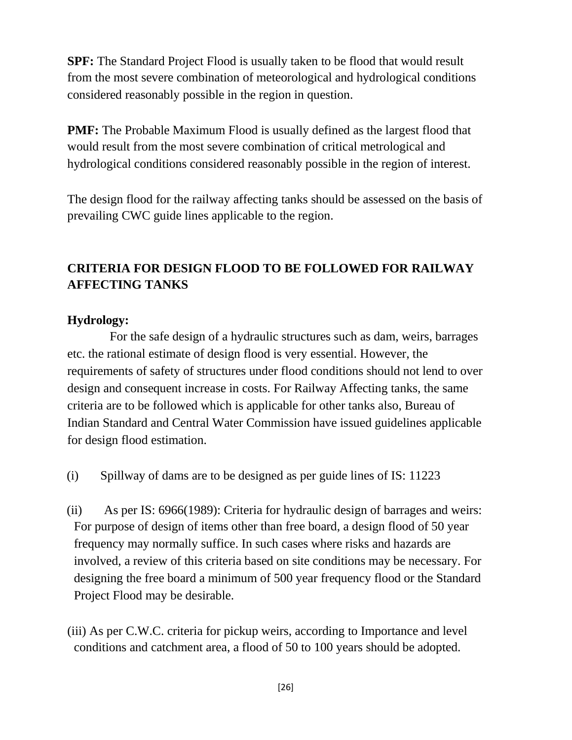**SPF:** The Standard Project Flood is usually taken to be flood that would result from the most severe combination of meteorological and hydrological conditions considered reasonably possible in the region in question.

**PMF:** The Probable Maximum Flood is usually defined as the largest flood that would result from the most severe combination of critical metrological and hydrological conditions considered reasonably possible in the region of interest.

The design flood for the railway affecting tanks should be assessed on the basis of prevailing CWC guide lines applicable to the region.

# **CRITERIA FOR DESIGN FLOOD TO BE FOLLOWED FOR RAILWAY AFFECTING TANKS**

# **Hydrology:**

For the safe design of a hydraulic structures such as dam, weirs, barrages etc. the rational estimate of design flood is very essential. However, the requirements of safety of structures under flood conditions should not lend to over design and consequent increase in costs. For Railway Affecting tanks, the same criteria are to be followed which is applicable for other tanks also, Bureau of Indian Standard and Central Water Commission have issued guidelines applicable for design flood estimation.

- (i) Spillway of dams are to be designed as per guide lines of IS: 11223
- (ii) As per IS: 6966(1989): Criteria for hydraulic design of barrages and weirs: For purpose of design of items other than free board, a design flood of 50 year frequency may normally suffice. In such cases where risks and hazards are involved, a review of this criteria based on site conditions may be necessary. For designing the free board a minimum of 500 year frequency flood or the Standard Project Flood may be desirable.
- (iii) As per C.W.C. criteria for pickup weirs, according to Importance and level conditions and catchment area, a flood of 50 to 100 years should be adopted.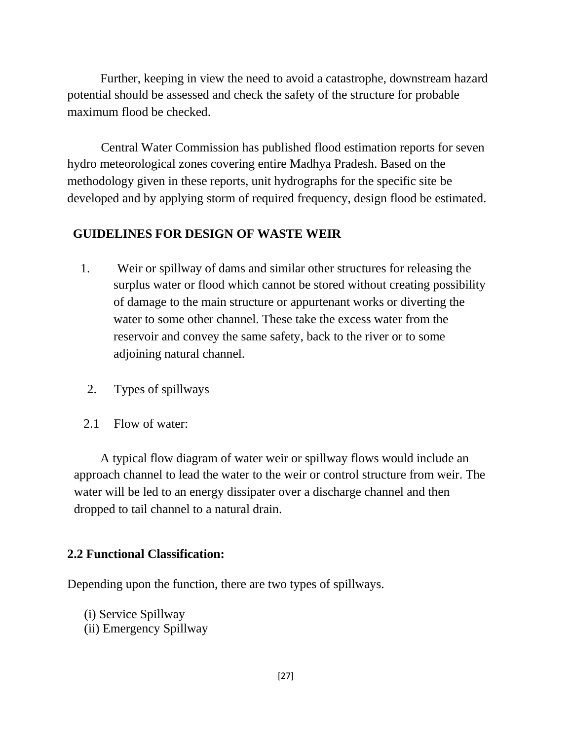Further, keeping in view the need to avoid a catastrophe, downstream hazard potential should be assessed and check the safety of the structure for probable maximum flood be checked.

Central Water Commission has published flood estimation reports for seven hydro meteorological zones covering entire Madhya Pradesh. Based on the methodology given in these reports, unit hydrographs for the specific site be developed and by applying storm of required frequency, design flood be estimated.

### **GUIDELINES FOR DESIGN OF WASTE WEIR**

- 1. Weir or spillway of dams and similar other structures for releasing the surplus water or flood which cannot be stored without creating possibility of damage to the main structure or appurtenant works or diverting the water to some other channel. These take the excess water from the reservoir and convey the same safety, back to the river or to some adjoining natural channel.
	- $2<sup>1</sup>$ Types of spillways
- 2.1 Flow of water:

A typical flow diagram of water weir or spillway flows would include an approach channel to lead the water to the weir or control structure from weir. The water will be led to an energy dissipater over a discharge channel and then dropped to tail channel to a natural drain.

## **2.2 Functional Classification:**

Depending upon the function, there are two types of spillways.

- (i) Service Spillway
- (ii) Emergency Spillway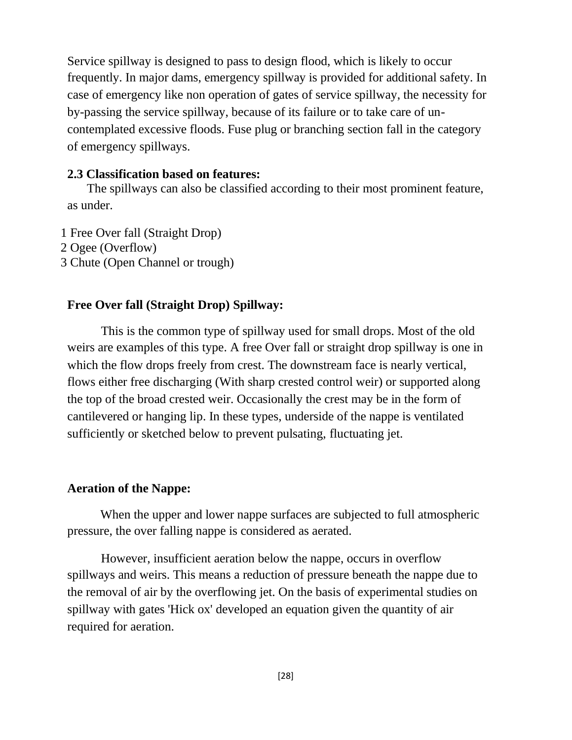Service spillway is designed to pass to design flood, which is likely to occur frequently. In major dams, emergency spillway is provided for additional safety. In case of emergency like non operation of gates of service spillway, the necessity for by-passing the service spillway, because of its failure or to take care of uncontemplated excessive floods. Fuse plug or branching section fall in the category of emergency spillways.

### **2.3 Classification based on features:**

The spillways can also be classified according to their most prominent feature, as under.

- 1 Free Over fall (Straight Drop) 2 Ogee (Overflow)
- 3 Chute (Open Channel or trough)

### **Free Over fall (Straight Drop) Spillway:**

This is the common type of spillway used for small drops. Most of the old weirs are examples of this type. A free Over fall or straight drop spillway is one in which the flow drops freely from crest. The downstream face is nearly vertical, flows either free discharging (With sharp crested control weir) or supported along the top of the broad crested weir. Occasionally the crest may be in the form of cantilevered or hanging lip. In these types, underside of the nappe is ventilated sufficiently or sketched below to prevent pulsating, fluctuating jet.

#### **Aeration of the Nappe:**

When the upper and lower nappe surfaces are subjected to full atmospheric pressure, the over falling nappe is considered as aerated.

However, insufficient aeration below the nappe, occurs in overflow spillways and weirs. This means a reduction of pressure beneath the nappe due to the removal of air by the overflowing jet. On the basis of experimental studies on spillway with gates 'Hick ox' developed an equation given the quantity of air required for aeration.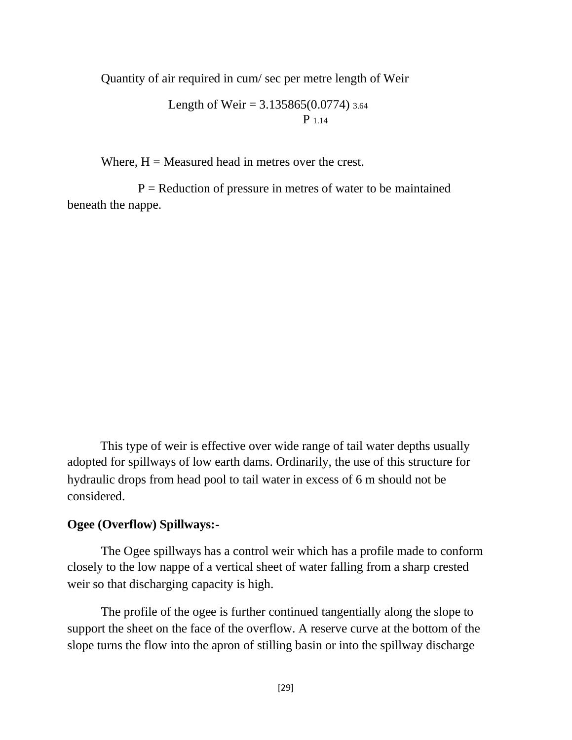Quantity of air required in cum/ sec per metre length of Weir

Length of Weir =  $3.135865(0.0774)$  3.64 P 1.14

Where,  $H = Measured$  head in metres over the crest.

 $P =$  Reduction of pressure in metres of water to be maintained beneath the nappe.

This type of weir is effective over wide range of tail water depths usually adopted for spillways of low earth dams. Ordinarily, the use of this structure for hydraulic drops from head pool to tail water in excess of 6 m should not be considered.

#### **Ogee (Overflow) Spillways:-**

The Ogee spillways has a control weir which has a profile made to conform closely to the low nappe of a vertical sheet of water falling from a sharp crested weir so that discharging capacity is high.

The profile of the ogee is further continued tangentially along the slope to support the sheet on the face of the overflow. A reserve curve at the bottom of the slope turns the flow into the apron of stilling basin or into the spillway discharge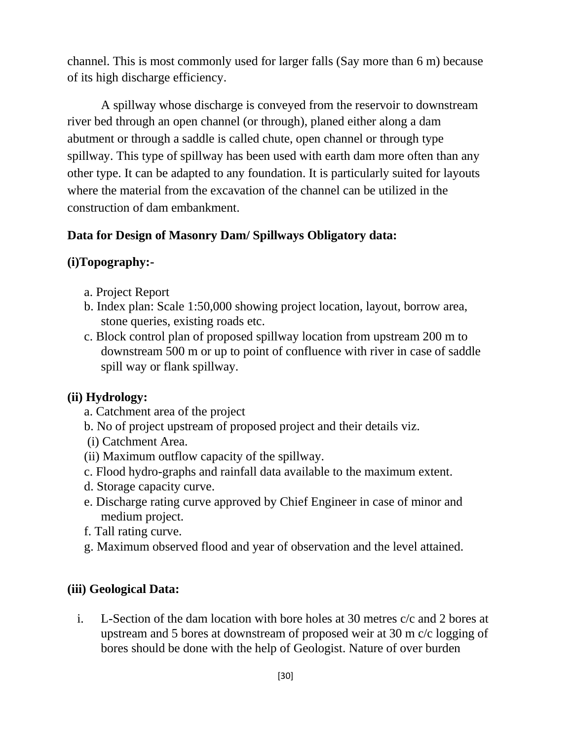channel. This is most commonly used for larger falls (Say more than 6 m) because of its high discharge efficiency.

A spillway whose discharge is conveyed from the reservoir to downstream river bed through an open channel (or through), planed either along a dam abutment or through a saddle is called chute, open channel or through type spillway. This type of spillway has been used with earth dam more often than any other type. It can be adapted to any foundation. It is particularly suited for layouts where the material from the excavation of the channel can be utilized in the construction of dam embankment.

#### **Data for Design of Masonry Dam/ Spillways Obligatory data:**

#### **(i)Topography:-**

- a. Project Report
- b. Index plan: Scale 1:50,000 showing project location, layout, borrow area, stone queries, existing roads etc.
- c. Block control plan of proposed spillway location from upstream 200 m to downstream 500 m or up to point of confluence with river in case of saddle spill way or flank spillway.

#### **(ii) Hydrology:**

- a. Catchment area of the project
- b. No of project upstream of proposed project and their details viz.
- (i) Catchment Area.
- (ii) Maximum outflow capacity of the spillway.
- c. Flood hydro-graphs and rainfall data available to the maximum extent.
- d. Storage capacity curve.
- e. Discharge rating curve approved by Chief Engineer in case of minor and medium project.
- f. Tall rating curve.
- g. Maximum observed flood and year of observation and the level attained.

#### **(iii) Geological Data:**

i. L-Section of the dam location with bore holes at 30 metres c/c and 2 bores at upstream and 5 bores at downstream of proposed weir at 30 m c/c logging of bores should be done with the help of Geologist. Nature of over burden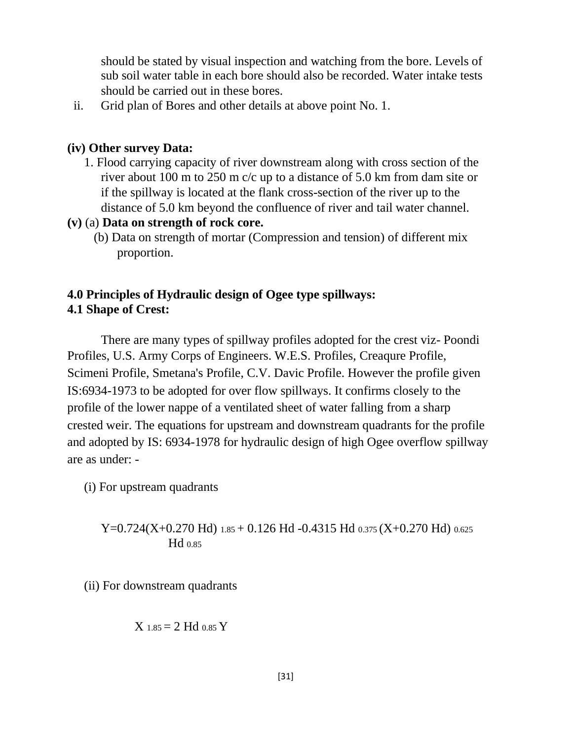should be stated by visual inspection and watching from the bore. Levels of sub soil water table in each bore should also be recorded. Water intake tests should be carried out in these bores.

ii. Grid plan of Bores and other details at above point No. 1.

#### **(iv) Other survey Data:**

1. Flood carrying capacity of river downstream along with cross section of the river about 100 m to 250 m c/c up to a distance of 5.0 km from dam site or if the spillway is located at the flank cross-section of the river up to the distance of 5.0 km beyond the confluence of river and tail water channel.

#### **(v)** (a) **Data on strength of rock core.**

(b) Data on strength of mortar (Compression and tension) of different mix proportion.

#### **4.0 Principles of Hydraulic design of Ogee type spillways: 4.1 Shape of Crest:**

There are many types of spillway profiles adopted for the crest viz- Poondi Profiles, U.S. Army Corps of Engineers. W.E.S. Profiles, Creaqure Profile, Scimeni Profile, Smetana's Profile, C.V. Davic Profile. However the profile given IS:6934-1973 to be adopted for over flow spillways. It confirms closely to the profile of the lower nappe of a ventilated sheet of water falling from a sharp crested weir. The equations for upstream and downstream quadrants for the profile and adopted by IS: 6934-1978 for hydraulic design of high Ogee overflow spillway are as under: -

(i) For upstream quadrants

## $Y=0.724(X+0.270 \text{ Hd})$  1.85 + 0.126 Hd -0.4315 Hd 0.375 (X+0.270 Hd) 0.625 Hd 0.85

(ii) For downstream quadrants

$$
X_{1.85} = 2 \text{ Hd }_{0.85} Y
$$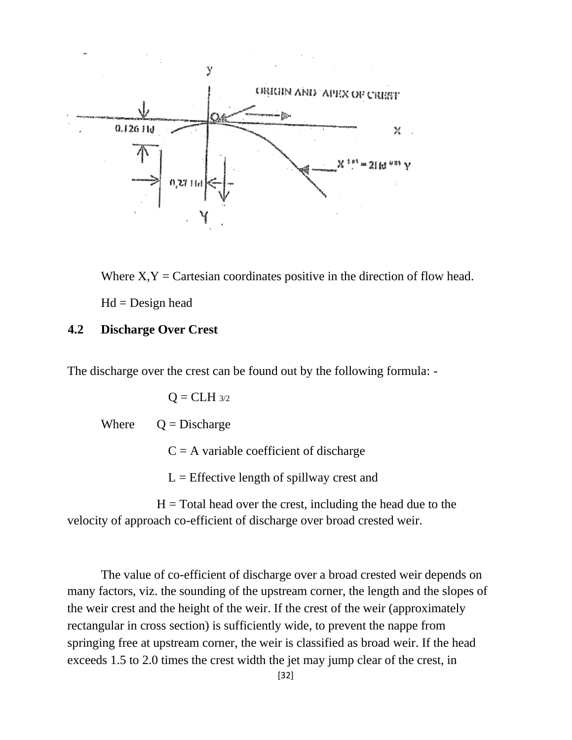

Where  $X, Y =$  Cartesian coordinates positive in the direction of flow head.  $Hd = Design head$ 

#### **4.2 Discharge Over Crest**

The discharge over the crest can be found out by the following formula: -

 $Q = CLH$  3/2

Where  $Q = Discharge$ 

 $C = A$  variable coefficient of discharge

 $L =$  Effective length of spillway crest and

 $H = \text{Total head over the crest, including the head due to the}$ velocity of approach co-efficient of discharge over broad crested weir.

The value of co-efficient of discharge over a broad crested weir depends on many factors, viz. the sounding of the upstream corner, the length and the slopes of the weir crest and the height of the weir. If the crest of the weir (approximately rectangular in cross section) is sufficiently wide, to prevent the nappe from springing free at upstream corner, the weir is classified as broad weir. If the head exceeds 1.5 to 2.0 times the crest width the jet may jump clear of the crest, in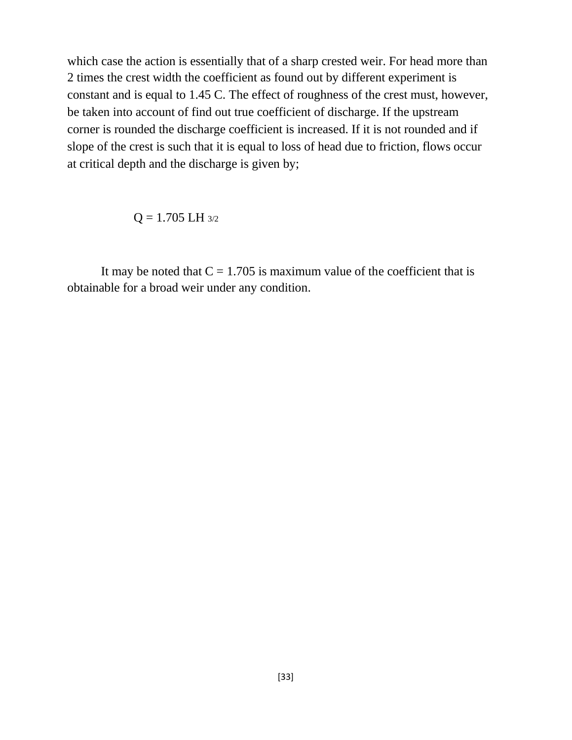which case the action is essentially that of a sharp crested weir. For head more than 2 times the crest width the coefficient as found out by different experiment is constant and is equal to 1.45 C. The effect of roughness of the crest must, however, be taken into account of find out true coefficient of discharge. If the upstream corner is rounded the discharge coefficient is increased. If it is not rounded and if slope of the crest is such that it is equal to loss of head due to friction, flows occur at critical depth and the discharge is given by;

 $Q = 1.705$  LH  $_{3/2}$ 

It may be noted that  $C = 1.705$  is maximum value of the coefficient that is obtainable for a broad weir under any condition.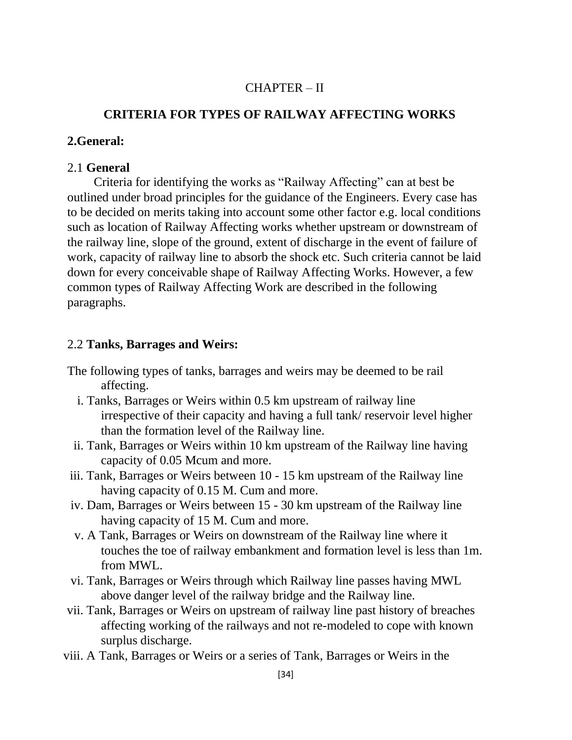#### CHAPTER – II

#### **CRITERIA FOR TYPES OF RAILWAY AFFECTING WORKS**

#### **2.General:**

#### 2.1 **General**

Criteria for identifying the works as "Railway Affecting" can at best be outlined under broad principles for the guidance of the Engineers. Every case has to be decided on merits taking into account some other factor e.g. local conditions such as location of Railway Affecting works whether upstream or downstream of the railway line, slope of the ground, extent of discharge in the event of failure of work, capacity of railway line to absorb the shock etc. Such criteria cannot be laid down for every conceivable shape of Railway Affecting Works. However, a few common types of Railway Affecting Work are described in the following paragraphs.

#### 2.2 **Tanks, Barrages and Weirs:**

- The following types of tanks, barrages and weirs may be deemed to be rail affecting.
	- i. Tanks, Barrages or Weirs within 0.5 km upstream of railway line irrespective of their capacity and having a full tank/ reservoir level higher than the formation level of the Railway line.
- ii. Tank, Barrages or Weirs within 10 km upstream of the Railway line having capacity of 0.05 Mcum and more.
- iii. Tank, Barrages or Weirs between 10 15 km upstream of the Railway line having capacity of 0.15 M. Cum and more.
- iv. Dam, Barrages or Weirs between 15 30 km upstream of the Railway line having capacity of 15 M. Cum and more.
- v. A Tank, Barrages or Weirs on downstream of the Railway line where it touches the toe of railway embankment and formation level is less than 1m. from MWL.
- vi. Tank, Barrages or Weirs through which Railway line passes having MWL above danger level of the railway bridge and the Railway line.
- vii. Tank, Barrages or Weirs on upstream of railway line past history of breaches affecting working of the railways and not re-modeled to cope with known surplus discharge.
- viii. A Tank, Barrages or Weirs or a series of Tank, Barrages or Weirs in the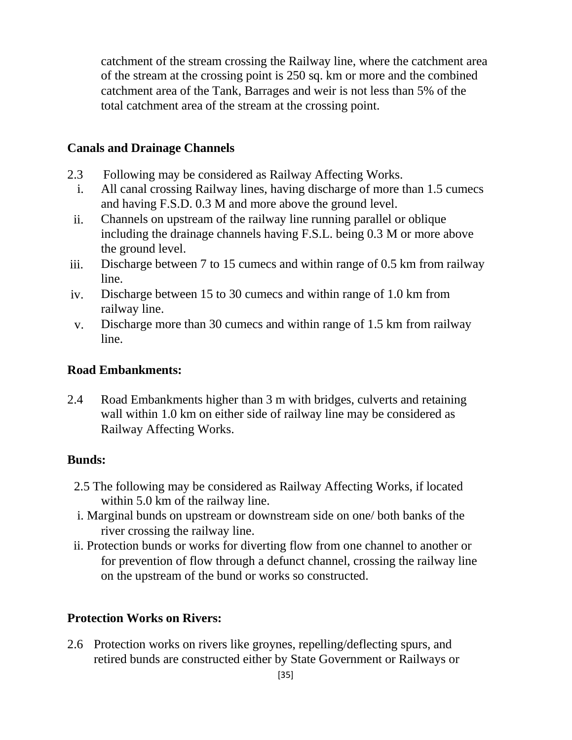catchment of the stream crossing the Railway line, where the catchment area of the stream at the crossing point is 250 sq. km or more and the combined catchment area of the Tank, Barrages and weir is not less than 5% of the total catchment area of the stream at the crossing point.

#### **Canals and Drainage Channels**

- 2.3 Following may be considered as Railway Affecting Works.
	- i. All canal crossing Railway lines, having discharge of more than 1.5 cumecs and having F.S.D. 0.3 M and more above the ground level.
- ii. Channels on upstream of the railway line running parallel or oblique including the drainage channels having F.S.L. being 0.3 M or more above the ground level.
- iii. Discharge between 7 to 15 cumecs and within range of 0.5 km from railway line.
- iv. Discharge between 15 to 30 cumecs and within range of 1.0 km from railway line.
- v. Discharge more than 30 cumecs and within range of 1.5 km from railway line.

#### **Road Embankments:**

2.4 Road Embankments higher than 3 m with bridges, culverts and retaining wall within 1.0 km on either side of railway line may be considered as Railway Affecting Works.

#### **Bunds:**

- 2.5 The following may be considered as Railway Affecting Works, if located within 5.0 km of the railway line.
- i. Marginal bunds on upstream or downstream side on one/ both banks of the river crossing the railway line.
- ii. Protection bunds or works for diverting flow from one channel to another or for prevention of flow through a defunct channel, crossing the railway line on the upstream of the bund or works so constructed.

### **Protection Works on Rivers:**

2.6 Protection works on rivers like groynes, repelling/deflecting spurs, and retired bunds are constructed either by State Government or Railways or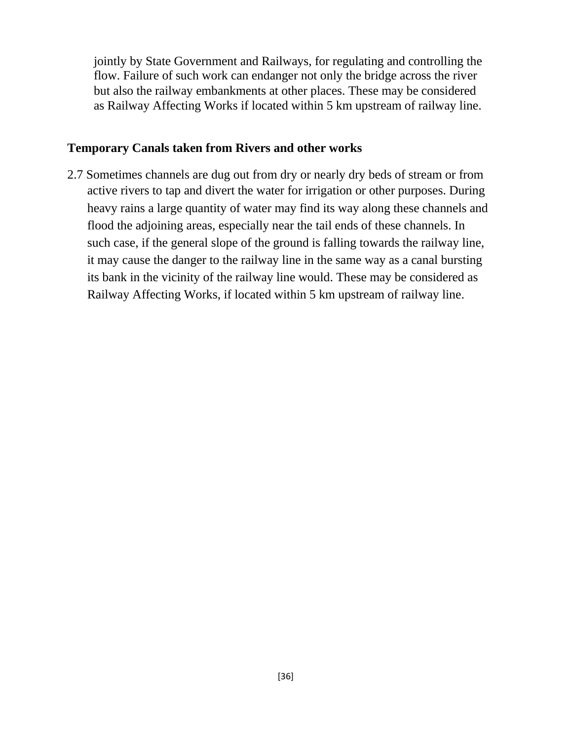jointly by State Government and Railways, for regulating and controlling the flow. Failure of such work can endanger not only the bridge across the river but also the railway embankments at other places. These may be considered as Railway Affecting Works if located within 5 km upstream of railway line.

#### **Temporary Canals taken from Rivers and other works**

2.7 Sometimes channels are dug out from dry or nearly dry beds of stream or from active rivers to tap and divert the water for irrigation or other purposes. During heavy rains a large quantity of water may find its way along these channels and flood the adjoining areas, especially near the tail ends of these channels. In such case, if the general slope of the ground is falling towards the railway line, it may cause the danger to the railway line in the same way as a canal bursting its bank in the vicinity of the railway line would. These may be considered as Railway Affecting Works, if located within 5 km upstream of railway line.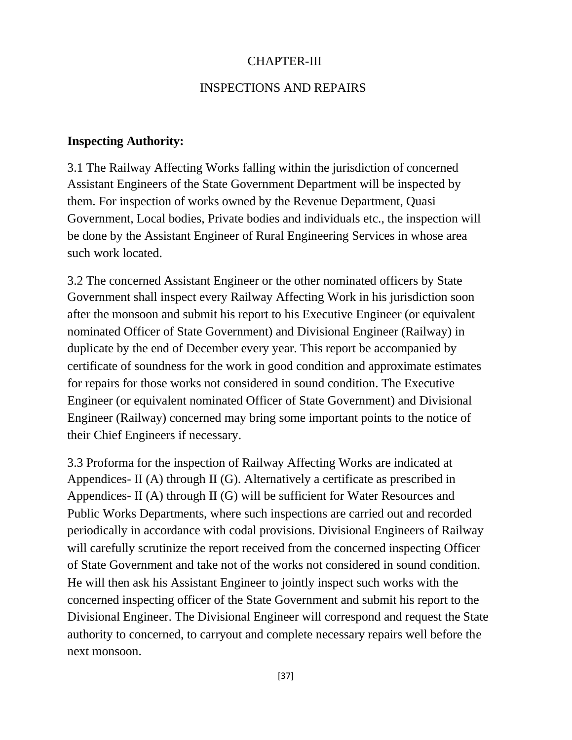#### CHAPTER-III

#### INSPECTIONS AND REPAIRS

#### **Inspecting Authority:**

3.1 The Railway Affecting Works falling within the jurisdiction of concerned Assistant Engineers of the State Government Department will be inspected by them. For inspection of works owned by the Revenue Department, Quasi Government, Local bodies, Private bodies and individuals etc., the inspection will be done by the Assistant Engineer of Rural Engineering Services in whose area such work located.

3.2 The concerned Assistant Engineer or the other nominated officers by State Government shall inspect every Railway Affecting Work in his jurisdiction soon after the monsoon and submit his report to his Executive Engineer (or equivalent nominated Officer of State Government) and Divisional Engineer (Railway) in duplicate by the end of December every year. This report be accompanied by certificate of soundness for the work in good condition and approximate estimates for repairs for those works not considered in sound condition. The Executive Engineer (or equivalent nominated Officer of State Government) and Divisional Engineer (Railway) concerned may bring some important points to the notice of their Chief Engineers if necessary.

3.3 Proforma for the inspection of Railway Affecting Works are indicated at Appendices- II (A) through II (G). Alternatively a certificate as prescribed in Appendices- II (A) through II (G) will be sufficient for Water Resources and Public Works Departments, where such inspections are carried out and recorded periodically in accordance with codal provisions. Divisional Engineers of Railway will carefully scrutinize the report received from the concerned inspecting Officer of State Government and take not of the works not considered in sound condition. He will then ask his Assistant Engineer to jointly inspect such works with the concerned inspecting officer of the State Government and submit his report to the Divisional Engineer. The Divisional Engineer will correspond and request the State authority to concerned, to carryout and complete necessary repairs well before the next monsoon.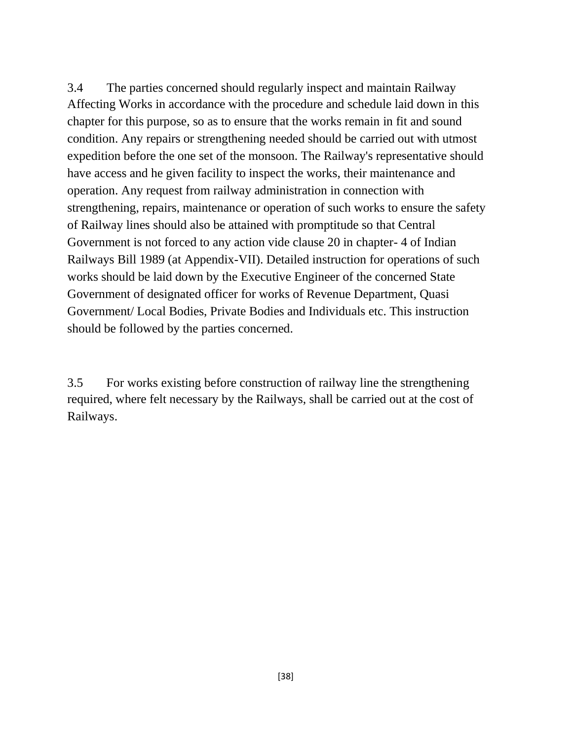3.4 The parties concerned should regularly inspect and maintain Railway Affecting Works in accordance with the procedure and schedule laid down in this chapter for this purpose, so as to ensure that the works remain in fit and sound condition. Any repairs or strengthening needed should be carried out with utmost expedition before the one set of the monsoon. The Railway's representative should have access and he given facility to inspect the works, their maintenance and operation. Any request from railway administration in connection with strengthening, repairs, maintenance or operation of such works to ensure the safety of Railway lines should also be attained with promptitude so that Central Government is not forced to any action vide clause 20 in chapter- 4 of Indian Railways Bill 1989 (at Appendix-VII). Detailed instruction for operations of such works should be laid down by the Executive Engineer of the concerned State Government of designated officer for works of Revenue Department, Quasi Government/ Local Bodies, Private Bodies and Individuals etc. This instruction should be followed by the parties concerned.

3.5 For works existing before construction of railway line the strengthening required, where felt necessary by the Railways, shall be carried out at the cost of Railways.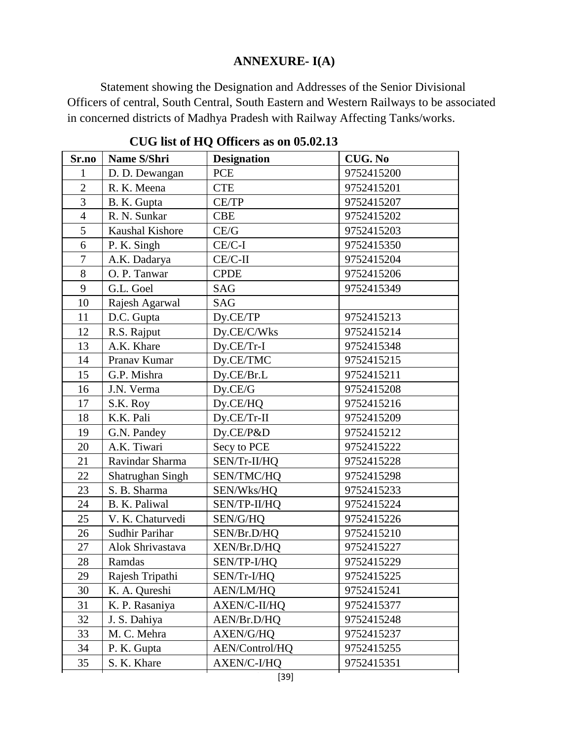#### **ANNEXURE- I(A)**

Statement showing the Designation and Addresses of the Senior Divisional Officers of central, South Central, South Eastern and Western Railways to be associated in concerned districts of Madhya Pradesh with Railway Affecting Tanks/works.

| Sr.no          | Name S/Shri      | <b>Designation</b>  | CUG. No    |
|----------------|------------------|---------------------|------------|
| $\mathbf{1}$   | D. D. Dewangan   | <b>PCE</b>          | 9752415200 |
| $\overline{2}$ | R. K. Meena      | <b>CTE</b>          | 9752415201 |
| $\overline{3}$ | B. K. Gupta      | CE/TP               | 9752415207 |
| $\overline{4}$ | R. N. Sunkar     | <b>CBE</b>          | 9752415202 |
| 5              | Kaushal Kishore  | CE/G                | 9752415203 |
| 6              | P. K. Singh      | $CE/C-I$            | 9752415350 |
| $\tau$         | A.K. Dadarya     | $CE/C-II$           | 9752415204 |
| 8              | O. P. Tanwar     | <b>CPDE</b>         | 9752415206 |
| 9              | G.L. Goel        | SAG                 | 9752415349 |
| 10             | Rajesh Agarwal   | SAG                 |            |
| 11             | D.C. Gupta       | Dy.CE/TP            | 9752415213 |
| 12             | R.S. Rajput      | Dy.CE/C/Wks         | 9752415214 |
| 13             | A.K. Khare       | $Dy.CE/Tr-I$        | 9752415348 |
| 14             | Pranav Kumar     | Dy.CE/TMC           | 9752415215 |
| 15             | G.P. Mishra      | Dy.CE/Br.L          | 9752415211 |
| 16             | J.N. Verma       | Dy.CE/G             | 9752415208 |
| 17             | S.K. Roy         | Dy.CE/HQ            | 9752415216 |
| 18             | K.K. Pali        | Dy.CE/Tr-II         | 9752415209 |
| 19             | G.N. Pandey      | Dy.CE/P&D           | 9752415212 |
| 20             | A.K. Tiwari      | Secy to PCE         | 9752415222 |
| 21             | Ravindar Sharma  | SEN/Tr-II/HQ        | 9752415228 |
| 22             | Shatrughan Singh | SEN/TMC/HQ          | 9752415298 |
| 23             | S. B. Sharma     | SEN/Wks/HQ          | 9752415233 |
| 24             | B. K. Paliwal    | SEN/TP-II/HQ        | 9752415224 |
| 25             | V. K. Chaturvedi | SEN/G/HQ            | 9752415226 |
| 26             | Sudhir Parihar   | SEN/Br.D/HQ         | 9752415210 |
| 27             | Alok Shrivastava | XEN/Br.D/HQ         | 9752415227 |
| 28             | Ramdas           | SEN/TP-I/HQ         | 9752415229 |
| 29             | Rajesh Tripathi  | SEN/Tr-I/HQ         | 9752415225 |
| 30             | K. A. Qureshi    | <b>AEN/LM/HQ</b>    | 9752415241 |
| 31             | K. P. Rasaniya   | <b>AXEN/C-II/HQ</b> | 9752415377 |
| 32             | J. S. Dahiya     | AEN/Br.D/HQ         | 9752415248 |
| 33             | M. C. Mehra      | <b>AXEN/G/HQ</b>    | 9752415237 |
| 34             | P. K. Gupta      | AEN/Control/HQ      | 9752415255 |
| 35             | S. K. Khare      | AXEN/C-I/HQ         | 9752415351 |
|                |                  | $[39]$              |            |

**CUG list of HQ Officers as on 05.02.13**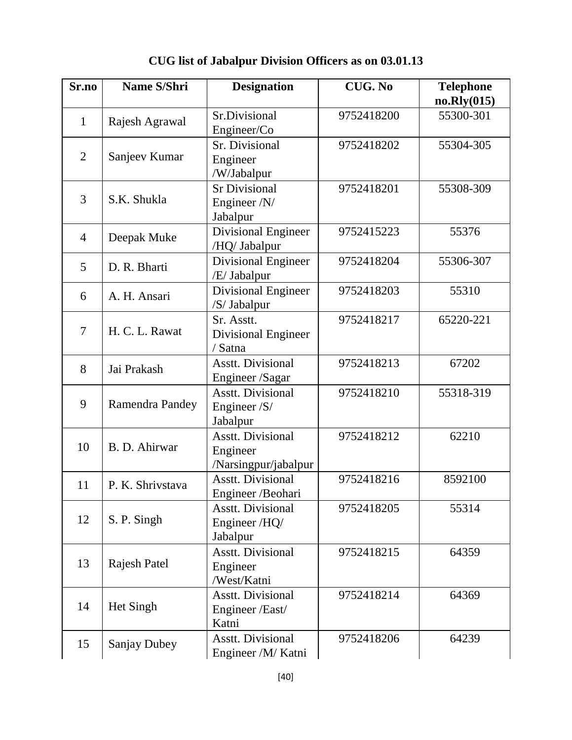| Sr.no          | <b>Name S/Shri</b> | <b>Designation</b>                                           | <b>CUG. No</b> | <b>Telephone</b><br>no.Rly(015) |  |
|----------------|--------------------|--------------------------------------------------------------|----------------|---------------------------------|--|
| $\mathbf{1}$   | Rajesh Agrawal     | Sr.Divisional<br>Engineer/Co                                 | 9752418200     | 55300-301                       |  |
| $\overline{2}$ | Sanjeev Kumar      | Sr. Divisional<br>Engineer<br>/W/Jabalpur                    | 9752418202     | 55304-305                       |  |
| 3              | S.K. Shukla        | <b>Sr Divisional</b><br>Engineer /N/<br>Jabalpur             | 9752418201     | 55308-309                       |  |
| $\overline{4}$ | Deepak Muke        | Divisional Engineer<br>/HQ/ Jabalpur                         | 9752415223     | 55376                           |  |
| 5              | D. R. Bharti       | Divisional Engineer<br>/E/ Jabalpur                          | 9752418204     | 55306-307                       |  |
| 6              | A. H. Ansari       | <b>Divisional Engineer</b><br>/S/ Jabalpur                   | 9752418203     | 55310                           |  |
| $\overline{7}$ | H. C. L. Rawat     | Sr. Asstt.<br>Divisional Engineer<br>/ Satna                 | 9752418217     | 65220-221                       |  |
| 8              | Jai Prakash        | <b>Asstt. Divisional</b><br>Engineer /Sagar                  | 9752418213     | 67202                           |  |
| 9              | Ramendra Pandey    | <b>Asstt. Divisional</b><br>Engineer /S/<br>Jabalpur         | 9752418210     | 55318-319                       |  |
| 10             | B. D. Ahirwar      | <b>Asstt. Divisional</b><br>Engineer<br>/Narsingpur/jabalpur | 9752418212     | 62210                           |  |
| 11             | P. K. Shrivstava   | <b>Asstt. Divisional</b><br>Engineer / Beohari               | 9752418216     | 8592100                         |  |
| 12             | S. P. Singh        | <b>Asstt. Divisional</b><br>Engineer/HQ/<br>Jabalpur         | 9752418205     | 55314                           |  |
| 13             | Rajesh Patel       | <b>Asstt. Divisional</b><br>Engineer<br>/West/Katni          | 9752418215     | 64359                           |  |
| 14             | Het Singh          | <b>Asstt. Divisional</b><br>Engineer /East/<br>Katni         | 9752418214     | 64369                           |  |
| 15             | Sanjay Dubey       | <b>Asstt. Divisional</b><br>Engineer /M/ Katni               | 9752418206     | 64239                           |  |

# **CUG list of Jabalpur Division Officers as on 03.01.13**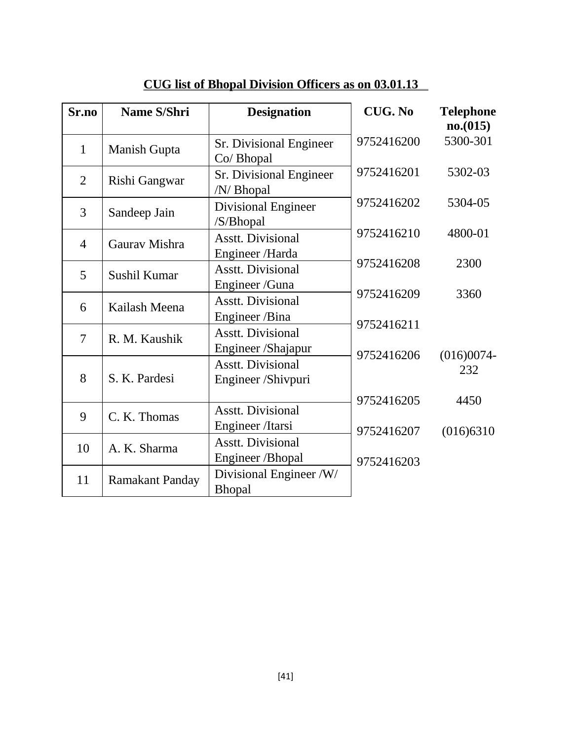| Sr.no          | <b>Name S/Shri</b>     | <b>Designation</b>                             | <b>CUG. No</b>           | <b>Telephone</b><br>no.(015) |
|----------------|------------------------|------------------------------------------------|--------------------------|------------------------------|
| $\mathbf{1}$   | Manish Gupta           | Sr. Divisional Engineer<br>Co/ Bhopal          | 9752416200               | 5300-301                     |
| $\overline{2}$ | Rishi Gangwar          | Sr. Divisional Engineer<br>/N/ Bhopal          | 9752416201               | 5302-03                      |
| 3              | Sandeep Jain           | <b>Divisional Engineer</b><br>/S/Bhopal        | 9752416202               | 5304-05                      |
| $\overline{4}$ | Gaurav Mishra          | <b>Asstt. Divisional</b><br>Engineer /Harda    | 9752416210               | 4800-01                      |
| 5              | Sushil Kumar           | <b>Asstt. Divisional</b><br>Engineer / Guna    | 9752416208               | 2300                         |
| 6              | Kailash Meena          | <b>Asstt. Divisional</b><br>Engineer /Bina     | 9752416209               | 3360                         |
| $\overline{7}$ | R. M. Kaushik          | <b>Asstt. Divisional</b><br>Engineer /Shajapur | 9752416211               |                              |
| 8              | S. K. Pardesi          | <b>Asstt. Divisional</b><br>Engineer /Shivpuri | 9752416206               | $(016)0074-$<br>232          |
| 9              | C. K. Thomas           | <b>Asstt. Divisional</b><br>Engineer /Itarsi   | 9752416205<br>9752416207 | 4450<br>(016)6310            |
| 10             | A. K. Sharma           | <b>Asstt. Divisional</b><br>Engineer /Bhopal   | 9752416203               |                              |
| 11             | <b>Ramakant Panday</b> | Divisional Engineer /W/<br><b>Bhopal</b>       |                          |                              |

# **CUG list of Bhopal Division Officers as on 03.01.13**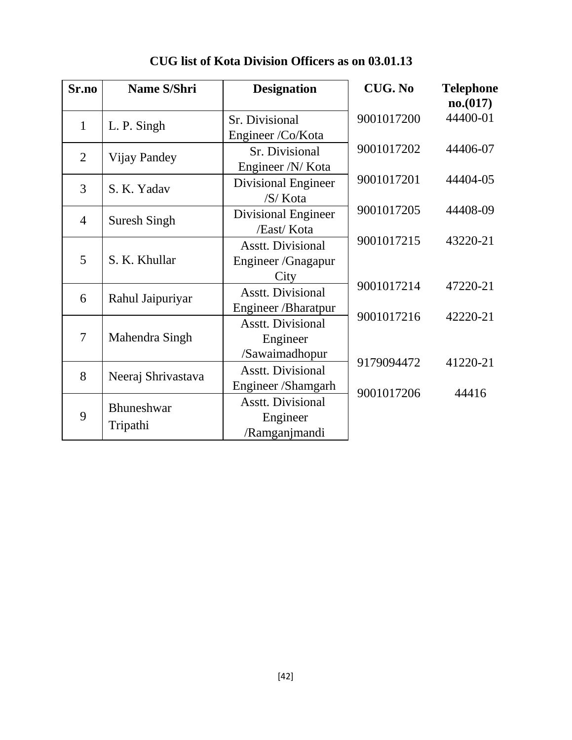| Sr.no          | <b>Name S/Shri</b> | <b>Designation</b>         | <b>CUG. No</b> | <b>Telephone</b><br>no.(017) |  |
|----------------|--------------------|----------------------------|----------------|------------------------------|--|
| $\mathbf{1}$   | L. P. Singh        | Sr. Divisional             | 9001017200     | 44400-01                     |  |
|                |                    | Engineer /Co/Kota          |                |                              |  |
| $\overline{2}$ | Vijay Pandey       | Sr. Divisional             | 9001017202     | 44406-07                     |  |
|                |                    | Engineer /N/ Kota          |                |                              |  |
| 3              | S. K. Yadav        | Divisional Engineer        | 9001017201     | 44404-05                     |  |
|                |                    | /S/Kota                    |                |                              |  |
| $\overline{4}$ | Suresh Singh       | <b>Divisional Engineer</b> | 9001017205     | 44408-09                     |  |
|                |                    | /East/Kota                 |                |                              |  |
|                |                    | <b>Asstt. Divisional</b>   | 9001017215     | 43220-21                     |  |
| 5              | S. K. Khullar      | Engineer/Gnagapur          |                |                              |  |
|                |                    | City                       |                |                              |  |
| 6              | Rahul Jaipuriyar   | <b>Asstt. Divisional</b>   | 9001017214     | 47220-21                     |  |
|                |                    | Engineer /Bharatpur        |                |                              |  |
|                |                    | <b>Asstt. Divisional</b>   | 9001017216     | 42220-21                     |  |
| $\overline{7}$ | Mahendra Singh     | Engineer                   |                |                              |  |
|                |                    | /Sawaimadhopur             | 9179094472     | 41220-21                     |  |
| 8              | Neeraj Shrivastava | <b>Asstt. Divisional</b>   |                |                              |  |
|                |                    | Engineer /Shamgarh         | 9001017206     | 44416                        |  |
|                | Bhuneshwar         | <b>Asstt. Divisional</b>   |                |                              |  |
| 9              |                    | Engineer                   |                |                              |  |
|                | Tripathi           | /Ramganjmandi              |                |                              |  |

# **CUG list of Kota Division Officers as on 03.01.13**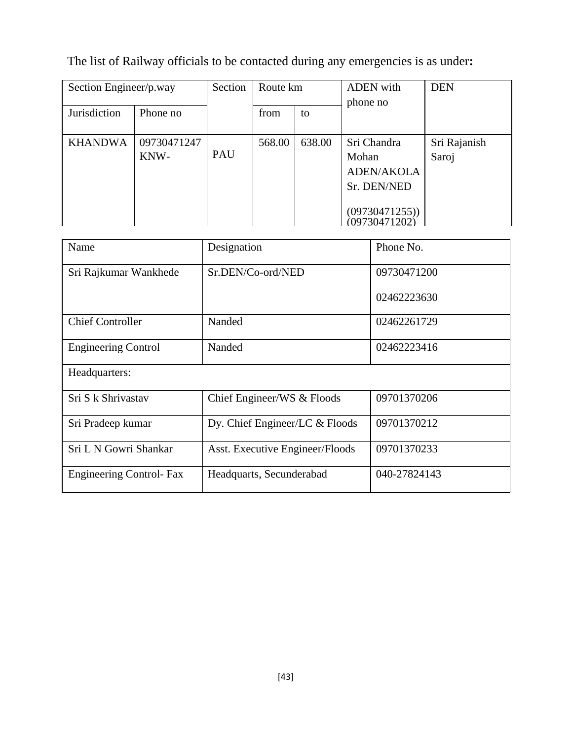The list of Railway officials to be contacted during any emergencies is as under**:** 

| Section Engineer/p.way | Section             | Route km |        | <b>ADEN</b> with | <b>DEN</b>                                                                                      |                       |
|------------------------|---------------------|----------|--------|------------------|-------------------------------------------------------------------------------------------------|-----------------------|
| Jurisdiction           | Phone no            |          | from   | to               | phone no                                                                                        |                       |
| <b>KHANDWA</b>         | 09730471247<br>KNW- | PAU      | 568.00 | 638.00           | Sri Chandra<br>Mohan<br><b>ADEN/AKOLA</b><br>Sr. DEN/NED<br>$(09730471255))$<br>$(09730471202)$ | Sri Rajanish<br>Saroj |

| Name                           | Designation                     | Phone No.    |
|--------------------------------|---------------------------------|--------------|
| Sri Rajkumar Wankhede          | Sr.DEN/Co-ord/NED               | 09730471200  |
|                                |                                 | 02462223630  |
| <b>Chief Controller</b>        | Nanded                          | 02462261729  |
| <b>Engineering Control</b>     | Nanded                          | 02462223416  |
| Headquarters:                  |                                 |              |
| Sri S k Shrivastav             | Chief Engineer/WS & Floods      | 09701370206  |
| Sri Pradeep kumar              | Dy. Chief Engineer/LC & Floods  | 09701370212  |
| Sri L N Gowri Shankar          | Asst. Executive Engineer/Floods | 09701370233  |
| <b>Engineering Control-Fax</b> | Headquarts, Secunderabad        | 040-27824143 |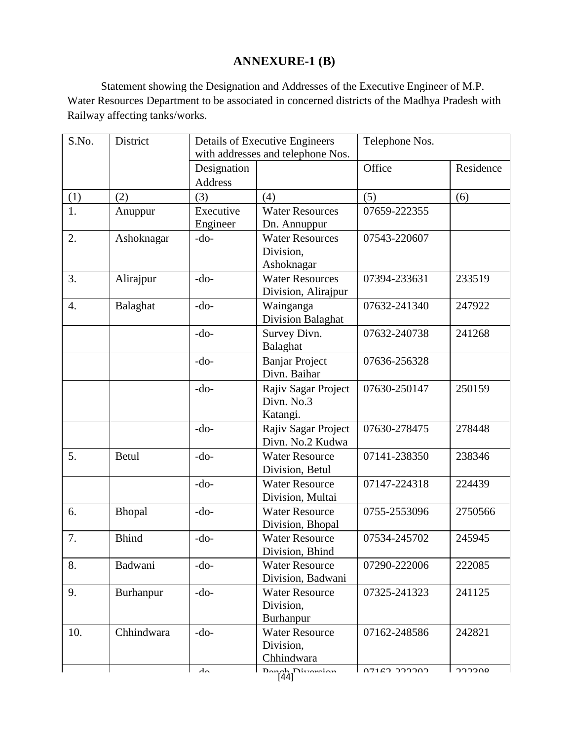# **ANNEXURE-1 (B)**

Statement showing the Designation and Addresses of the Executive Engineer of M.P. Water Resources Department to be associated in concerned districts of the Madhya Pradesh with Railway affecting tanks/works.

| S.No. | District     |                | <b>Details of Executive Engineers</b> | Telephone Nos. |           |  |
|-------|--------------|----------------|---------------------------------------|----------------|-----------|--|
|       |              |                | with addresses and telephone Nos.     |                |           |  |
|       |              | Designation    |                                       | Office         | Residence |  |
|       |              | <b>Address</b> |                                       |                |           |  |
| (1)   | (2)          | (3)            | (4)                                   | (5)            | (6)       |  |
| 1.    | Anuppur      | Executive      | <b>Water Resources</b>                | 07659-222355   |           |  |
|       |              | Engineer       | Dn. Annuppur                          |                |           |  |
| 2.    | Ashoknagar   | $-do-$         | <b>Water Resources</b>                | 07543-220607   |           |  |
|       |              |                | Division,                             |                |           |  |
|       |              |                | Ashoknagar                            |                |           |  |
| 3.    | Alirajpur    | $-do-$         | <b>Water Resources</b>                | 07394-233631   | 233519    |  |
|       |              |                | Division, Alirajpur                   |                |           |  |
| 4.    | Balaghat     | $-do-$         | Wainganga                             | 07632-241340   | 247922    |  |
|       |              |                | Division Balaghat                     |                |           |  |
|       |              | $-do-$         | Survey Divn.                          | 07632-240738   | 241268    |  |
|       |              |                | Balaghat                              |                |           |  |
|       |              | $-do-$         | <b>Banjar Project</b>                 | 07636-256328   |           |  |
|       |              |                | Divn. Baihar                          |                |           |  |
|       |              | $-do-$         | Rajiv Sagar Project                   | 07630-250147   | 250159    |  |
|       |              |                | Divn. No.3                            |                |           |  |
|       |              |                | Katangi.                              |                |           |  |
|       |              | $-do-$         | Rajiv Sagar Project                   | 07630-278475   | 278448    |  |
|       |              |                | Divn. No.2 Kudwa                      |                |           |  |
| 5.    | <b>Betul</b> | $-do-$         | <b>Water Resource</b>                 | 07141-238350   | 238346    |  |
|       |              |                | Division, Betul                       |                |           |  |
|       |              | $-do-$         | <b>Water Resource</b>                 | 07147-224318   | 224439    |  |
|       |              |                | Division, Multai                      |                |           |  |
| 6.    | Bhopal       | $-do-$         | <b>Water Resource</b>                 | 0755-2553096   | 2750566   |  |
|       |              |                | Division, Bhopal                      |                |           |  |
| 7.    | <b>Bhind</b> | $-do-$         | <b>Water Resource</b>                 | 07534-245702   | 245945    |  |
|       |              |                | Division, Bhind                       |                |           |  |
| 8.    | Badwani      | $-do-$         | <b>Water Resource</b>                 | 07290-222006   | 222085    |  |
|       |              |                | Division, Badwani                     |                |           |  |
| 9.    | Burhanpur    | $-do-$         | <b>Water Resource</b>                 | 07325-241323   | 241125    |  |
|       |              |                | Division,                             |                |           |  |
|       |              |                | Burhanpur                             |                |           |  |
| 10.   | Chhindwara   | $-do-$         | <b>Water Resource</b>                 | 07162-248586   | 242821    |  |
|       |              |                | Division,                             |                |           |  |
|       |              |                | Chhindwara                            |                |           |  |
|       |              | $\lambda$      | Dangh Divarcian<br>[44]               | 0716202200     | 22200     |  |

Division, Chourai.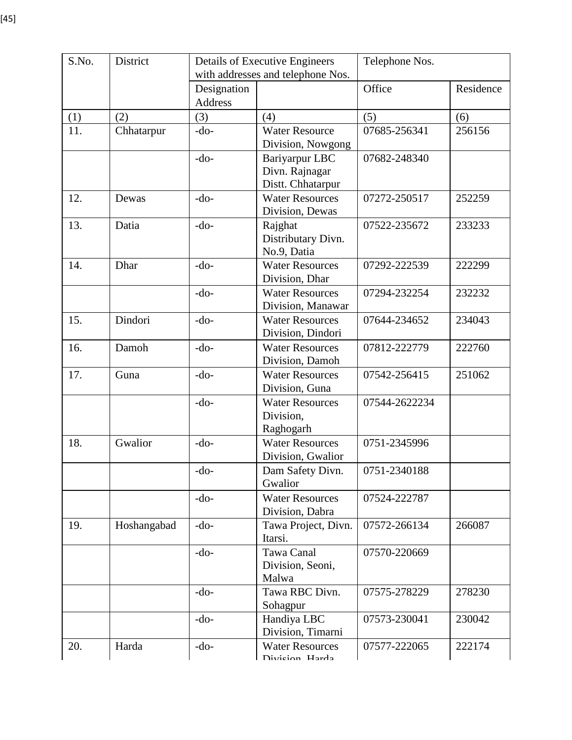| S.No. | District    |                               | Details of Executive Engineers                        | Telephone Nos. |           |  |
|-------|-------------|-------------------------------|-------------------------------------------------------|----------------|-----------|--|
|       |             |                               | with addresses and telephone Nos.                     |                |           |  |
|       |             | Designation<br><b>Address</b> |                                                       | Office         | Residence |  |
| (1)   | (2)         | (3)                           | (4)                                                   | (5)            | (6)       |  |
| 11.   | Chhatarpur  | $-do-$                        | <b>Water Resource</b><br>Division, Nowgong            | 07685-256341   | 256156    |  |
|       |             | $-do-$                        | Bariyarpur LBC<br>Divn. Rajnagar<br>Distt. Chhatarpur | 07682-248340   |           |  |
| 12.   | Dewas       | $-do-$                        | <b>Water Resources</b><br>Division, Dewas             | 07272-250517   | 252259    |  |
| 13.   | Datia       | $-do-$                        | Rajghat<br>Distributary Divn.<br>No.9, Datia          | 07522-235672   | 233233    |  |
| 14.   | Dhar        | $-do-$                        | <b>Water Resources</b><br>Division, Dhar              | 07292-222539   | 222299    |  |
|       |             | $-do-$                        | <b>Water Resources</b><br>Division, Manawar           | 07294-232254   | 232232    |  |
| 15.   | Dindori     | $-do-$                        | <b>Water Resources</b><br>Division, Dindori           | 07644-234652   | 234043    |  |
| 16.   | Damoh       | $-do-$                        | <b>Water Resources</b><br>Division, Damoh             | 07812-222779   | 222760    |  |
| 17.   | Guna        | $-do-$                        | <b>Water Resources</b><br>Division, Guna              | 07542-256415   | 251062    |  |
|       |             | $-do-$                        | <b>Water Resources</b><br>Division,<br>Raghogarh      | 07544-2622234  |           |  |
| 18.   | Gwalior     | $-do-$                        | <b>Water Resources</b><br>Division, Gwalior           | 0751-2345996   |           |  |
|       |             | -do-                          | Dam Safety Divn.<br>Gwalior                           | 0751-2340188   |           |  |
|       |             | $-do-$                        | <b>Water Resources</b><br>Division, Dabra             | 07524-222787   |           |  |
| 19.   | Hoshangabad | $-do-$                        | Tawa Project, Divn.<br>Itarsi.                        | 07572-266134   | 266087    |  |
|       |             | $-do-$                        | Tawa Canal<br>Division, Seoni,<br>Malwa               | 07570-220669   |           |  |
|       |             | $-do-$                        | Tawa RBC Divn.<br>Sohagpur                            | 07575-278229   | 278230    |  |
|       |             | $-do-$                        | Handiya LBC<br>Division, Timarni                      | 07573-230041   | 230042    |  |
| 20.   | Harda       | $-do-$                        | <b>Water Resources</b><br>Division Hordo              | 07577-222065   | 222174    |  |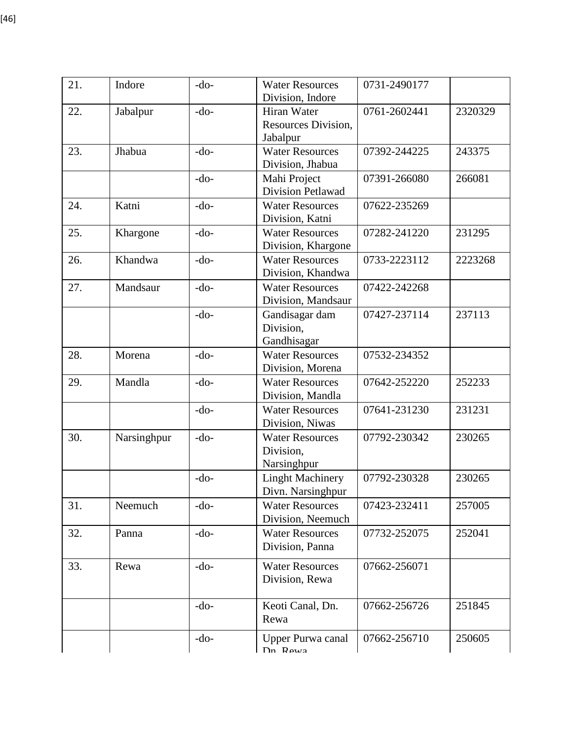| 21. | Indore      | $-do-$ | <b>Water Resources</b><br>Division, Indore         | 0731-2490177 |         |
|-----|-------------|--------|----------------------------------------------------|--------------|---------|
| 22. | Jabalpur    | $-do-$ | Hiran Water<br>Resources Division,<br>Jabalpur     | 0761-2602441 | 2320329 |
| 23. | Jhabua      | $-do-$ | <b>Water Resources</b><br>Division, Jhabua         | 07392-244225 | 243375  |
|     |             | $-do-$ | Mahi Project<br><b>Division Petlawad</b>           | 07391-266080 | 266081  |
| 24. | Katni       | $-do-$ | <b>Water Resources</b><br>Division, Katni          | 07622-235269 |         |
| 25. | Khargone    | $-do-$ | <b>Water Resources</b><br>Division, Khargone       | 07282-241220 | 231295  |
| 26. | Khandwa     | $-do-$ | <b>Water Resources</b><br>Division, Khandwa        | 0733-2223112 | 2223268 |
| 27. | Mandsaur    | $-do-$ | <b>Water Resources</b><br>Division, Mandsaur       | 07422-242268 |         |
|     |             | $-do-$ | Gandisagar dam<br>Division,<br>Gandhisagar         | 07427-237114 | 237113  |
| 28. | Morena      | $-do-$ | <b>Water Resources</b><br>Division, Morena         | 07532-234352 |         |
| 29. | Mandla      | $-do-$ | <b>Water Resources</b><br>Division, Mandla         | 07642-252220 | 252233  |
|     |             | $-do-$ | <b>Water Resources</b><br>Division, Niwas          | 07641-231230 | 231231  |
| 30. | Narsinghpur | $-do-$ | <b>Water Resources</b><br>Division,<br>Narsinghpur | 07792-230342 | 230265  |
|     |             | $-do-$ | <b>Linght Machinery</b><br>Divn. Narsinghpur       | 07792-230328 | 230265  |
| 31. | Neemuch     | $-do-$ | <b>Water Resources</b><br>Division, Neemuch        | 07423-232411 | 257005  |
| 32. | Panna       | $-do-$ | <b>Water Resources</b><br>Division, Panna          | 07732-252075 | 252041  |
| 33. | Rewa        | $-do-$ | <b>Water Resources</b><br>Division, Rewa           | 07662-256071 |         |
|     |             | $-do-$ | Keoti Canal, Dn.<br>Rewa                           | 07662-256726 | 251845  |
|     |             | $-do-$ | Upper Purwa canal<br>$\mathbf{Dn}$ Rewa            | 07662-256710 | 250605  |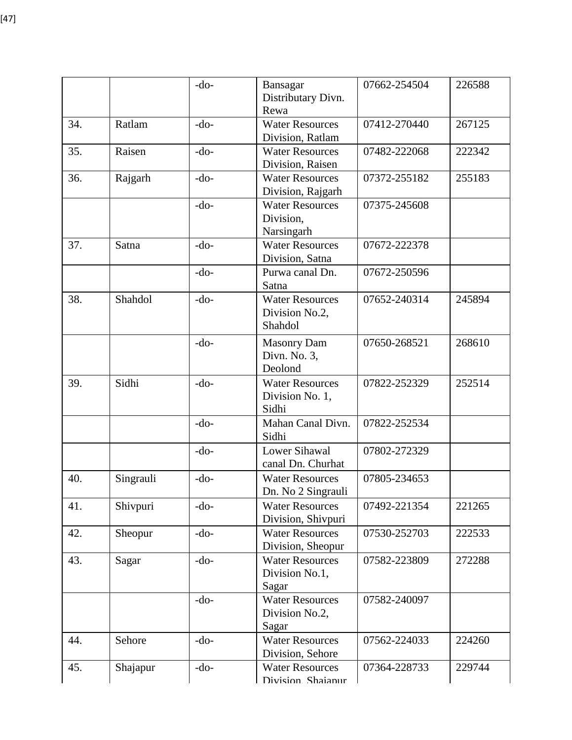|     |           | $-do-$ | Bansagar<br>Distributary Divn.<br>Rewa              | 07662-254504 | 226588 |
|-----|-----------|--------|-----------------------------------------------------|--------------|--------|
| 34. | Ratlam    | $-do-$ | <b>Water Resources</b><br>Division, Ratlam          | 07412-270440 | 267125 |
| 35. | Raisen    | $-do-$ | <b>Water Resources</b><br>Division, Raisen          | 07482-222068 | 222342 |
| 36. | Rajgarh   | $-do-$ | <b>Water Resources</b><br>Division, Rajgarh         | 07372-255182 | 255183 |
|     |           | $-do-$ | <b>Water Resources</b><br>Division,<br>Narsingarh   | 07375-245608 |        |
| 37. | Satna     | $-do-$ | <b>Water Resources</b><br>Division, Satna           | 07672-222378 |        |
|     |           | $-do-$ | Purwa canal Dn.<br>Satna                            | 07672-250596 |        |
| 38. | Shahdol   | $-do-$ | <b>Water Resources</b><br>Division No.2,<br>Shahdol | 07652-240314 | 245894 |
|     |           | $-do-$ | <b>Masonry Dam</b><br>Divn. No. 3,<br>Deolond       | 07650-268521 | 268610 |
| 39. | Sidhi     | $-do-$ | <b>Water Resources</b><br>Division No. 1,<br>Sidhi  | 07822-252329 | 252514 |
|     |           | $-do-$ | Mahan Canal Divn.<br>Sidhi                          | 07822-252534 |        |
|     |           | $-do-$ | <b>Lower Sihawal</b><br>canal Dn. Churhat           | 07802-272329 |        |
| 40. | Singrauli | $-do-$ | <b>Water Resources</b><br>Dn. No 2 Singrauli        | 07805-234653 |        |
| 41. | Shivpuri  | $-do-$ | <b>Water Resources</b><br>Division, Shivpuri        | 07492-221354 | 221265 |
| 42. | Sheopur   | $-do-$ | <b>Water Resources</b><br>Division, Sheopur         | 07530-252703 | 222533 |
| 43. | Sagar     | $-do-$ | <b>Water Resources</b><br>Division No.1,<br>Sagar   | 07582-223809 | 272288 |
|     |           | $-do-$ | <b>Water Resources</b><br>Division No.2,<br>Sagar   | 07582-240097 |        |
| 44. | Sehore    | $-do-$ | <b>Water Resources</b><br>Division, Sehore          | 07562-224033 | 224260 |
| 45. | Shajapur  | $-do-$ | <b>Water Resources</b><br>Division Shaianur         | 07364-228733 | 229744 |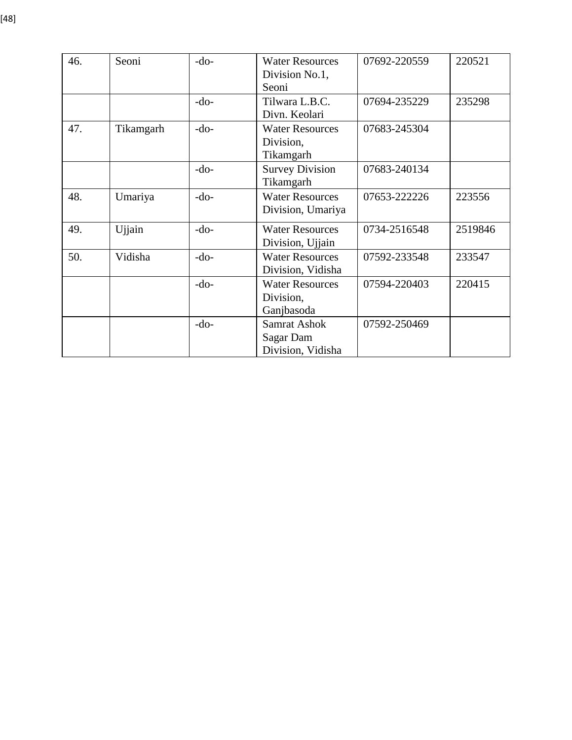| 46. | Seoni     | $-do-$ | <b>Water Resources</b><br>Division No.1,          | 07692-220559  | 220521  |
|-----|-----------|--------|---------------------------------------------------|---------------|---------|
|     |           |        | Seoni                                             |               |         |
|     |           | $-do-$ | Tilwara L.B.C.<br>Divn. Keolari                   | 07694-235229  | 235298  |
| 47. | Tikamgarh | $-do-$ | <b>Water Resources</b><br>Division,<br>Tikamgarh  | 07683-245304  |         |
|     |           | $-do-$ | <b>Survey Division</b><br>Tikamgarh               | 07683-240134  |         |
| 48. | Umariya   | $-do-$ | <b>Water Resources</b><br>Division, Umariya       | 07653-2222226 | 223556  |
| 49. | Ujjain    | $-do-$ | <b>Water Resources</b><br>Division, Ujjain        | 0734-2516548  | 2519846 |
| 50. | Vidisha   | $-do-$ | <b>Water Resources</b><br>Division, Vidisha       | 07592-233548  | 233547  |
|     |           | $-do-$ | <b>Water Resources</b><br>Division,<br>Ganjbasoda | 07594-220403  | 220415  |
|     |           | $-do-$ | Samrat Ashok<br>Sagar Dam<br>Division, Vidisha    | 07592-250469  |         |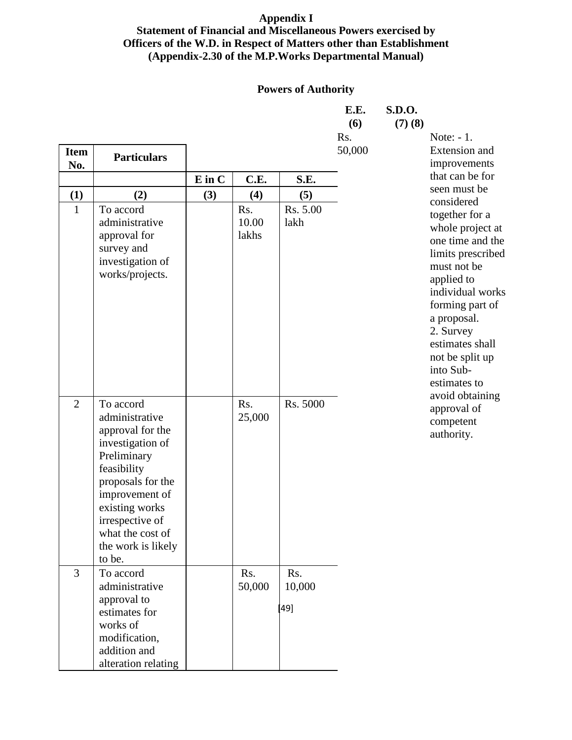#### **Appendix I**

#### **Statement of Financial and Miscellaneous Powers exercised by Officers of the W.D. in Respect of Matters other than Establishment (Appendix-2.30 of the M.P.Works Departmental Manual)**

#### **Powers of Authority**

|                    |                                                                                                                                                                                                                                   |            |                       |                      | E.E.<br>(6)   | <b>S.D.O.</b><br>(7)(8) |                                                                                                                                                                                                                                                                   |
|--------------------|-----------------------------------------------------------------------------------------------------------------------------------------------------------------------------------------------------------------------------------|------------|-----------------------|----------------------|---------------|-------------------------|-------------------------------------------------------------------------------------------------------------------------------------------------------------------------------------------------------------------------------------------------------------------|
| <b>Item</b><br>No. | <b>Particulars</b>                                                                                                                                                                                                                |            |                       |                      | Rs.<br>50,000 |                         | Note: $-1$ .<br>Extension and<br>improvements                                                                                                                                                                                                                     |
|                    |                                                                                                                                                                                                                                   | $E$ in $C$ | C.E.                  | S.E.                 |               |                         | that can be for                                                                                                                                                                                                                                                   |
| (1)                | (2)                                                                                                                                                                                                                               | (3)        | (4)                   | (5)                  |               |                         | seen must be<br>considered                                                                                                                                                                                                                                        |
| 1                  | To accord<br>administrative<br>approval for<br>survey and<br>investigation of<br>works/projects.                                                                                                                                  |            | Rs.<br>10.00<br>lakhs | Rs. 5.00<br>lakh     |               |                         | together for a<br>whole project at<br>one time and the<br>limits prescribed<br>must not be<br>applied to<br>individual works<br>forming part of<br>a proposal.<br>2. Survey<br>estimates shall<br>not be split up<br>into Sub-<br>estimates to<br>avoid obtaining |
| $\overline{2}$     | To accord<br>administrative<br>approval for the<br>investigation of<br>Preliminary<br>feasibility<br>proposals for the<br>improvement of<br>existing works<br>irrespective of<br>what the cost of<br>the work is likely<br>to be. |            | Rs.<br>25,000         | Rs. 5000             |               |                         | approval of<br>competent<br>authority.                                                                                                                                                                                                                            |
| 3                  | To accord<br>administrative<br>approval to<br>estimates for<br>works of<br>modification,<br>addition and<br>alteration relating                                                                                                   |            | Rs.<br>50,000         | Rs.<br>10,000<br>49] |               |                         |                                                                                                                                                                                                                                                                   |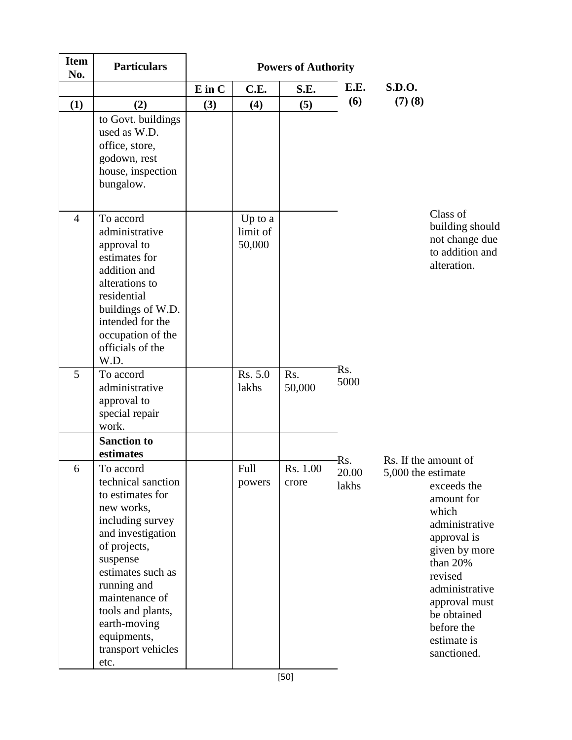| <b>Item</b><br>No. | <b>Particulars</b>                                                                                                                                                                                                                                                                          | <b>Powers of Authority</b> |                                 |                   |                       |                                                                                                                                                                                                                                                           |
|--------------------|---------------------------------------------------------------------------------------------------------------------------------------------------------------------------------------------------------------------------------------------------------------------------------------------|----------------------------|---------------------------------|-------------------|-----------------------|-----------------------------------------------------------------------------------------------------------------------------------------------------------------------------------------------------------------------------------------------------------|
|                    |                                                                                                                                                                                                                                                                                             | $E$ in $C$                 | C.E.                            | S.E.              | E.E.                  | <b>S.D.O.</b>                                                                                                                                                                                                                                             |
| (1)                | (2)                                                                                                                                                                                                                                                                                         | (3)                        | (4)                             | (5)               | (6)                   | (7)(8)                                                                                                                                                                                                                                                    |
|                    | to Govt. buildings<br>used as W.D.<br>office, store,<br>godown, rest<br>house, inspection<br>bungalow.                                                                                                                                                                                      |                            |                                 |                   |                       |                                                                                                                                                                                                                                                           |
| $\overline{4}$     | To accord<br>administrative<br>approval to<br>estimates for<br>addition and<br>alterations to<br>residential<br>buildings of W.D.<br>intended for the<br>occupation of the<br>officials of the<br>W.D.                                                                                      |                            | Up to $a$<br>limit of<br>50,000 |                   |                       | Class of<br>building should<br>not change due<br>to addition and<br>alteration.                                                                                                                                                                           |
| 5                  | To accord<br>administrative<br>approval to<br>special repair<br>work.                                                                                                                                                                                                                       |                            | Rs. 5.0<br>lakhs                | Rs.<br>50,000     | Rs.<br>5000           |                                                                                                                                                                                                                                                           |
|                    | <b>Sanction to</b>                                                                                                                                                                                                                                                                          |                            |                                 |                   |                       |                                                                                                                                                                                                                                                           |
| 6                  | estimates<br>To accord<br>technical sanction<br>to estimates for<br>new works,<br>including survey<br>and investigation<br>of projects,<br>suspense<br>estimates such as<br>running and<br>maintenance of<br>tools and plants,<br>earth-moving<br>equipments,<br>transport vehicles<br>etc. |                            | Full<br>powers                  | Rs. 1.00<br>crore | Rs.<br>20.00<br>lakhs | Rs. If the amount of<br>5,000 the estimate<br>exceeds the<br>amount for<br>which<br>administrative<br>approval is<br>given by more<br>than $20%$<br>revised<br>administrative<br>approval must<br>be obtained<br>before the<br>estimate is<br>sanctioned. |

[50]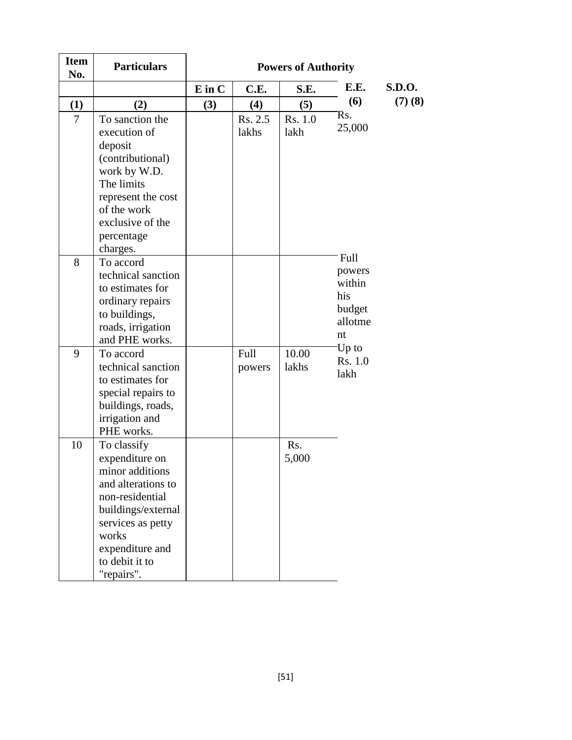| <b>Item</b><br>No. | <b>Particulars</b>                                                                                                                                                                               | <b>Powers of Authority</b> |                  |                 |                                                            |        |  |
|--------------------|--------------------------------------------------------------------------------------------------------------------------------------------------------------------------------------------------|----------------------------|------------------|-----------------|------------------------------------------------------------|--------|--|
|                    |                                                                                                                                                                                                  | $E$ in $C$                 | C.E.             | S.E.            | E.E.                                                       | S.D.O. |  |
| (1)                | (2)                                                                                                                                                                                              | (3)                        | (4)              | (5)             | (6)                                                        | (7)(8) |  |
| 7                  | To sanction the<br>execution of<br>deposit<br>(contributional)<br>work by W.D.<br>The limits<br>represent the cost<br>of the work<br>exclusive of the                                            |                            | Rs. 2.5<br>lakhs | Rs. 1.0<br>lakh | Rs.<br>25,000                                              |        |  |
|                    | percentage<br>charges.                                                                                                                                                                           |                            |                  |                 |                                                            |        |  |
| 8                  | To accord<br>technical sanction<br>to estimates for<br>ordinary repairs<br>to buildings,<br>roads, irrigation<br>and PHE works.                                                                  |                            |                  |                 | Full<br>powers<br>within<br>his<br>budget<br>allotme<br>nt |        |  |
| 9                  | To accord<br>technical sanction<br>to estimates for<br>special repairs to<br>buildings, roads,<br>irrigation and<br>PHE works.                                                                   |                            | Full<br>powers   | 10.00<br>lakhs  | Up to<br>Rs. 1.0<br>lakh                                   |        |  |
| 10                 | To classify<br>expenditure on<br>minor additions<br>and alterations to<br>non-residential<br>buildings/external<br>services as petty<br>works<br>expenditure and<br>to debit it to<br>"repairs". |                            |                  | Rs.<br>5,000    |                                                            |        |  |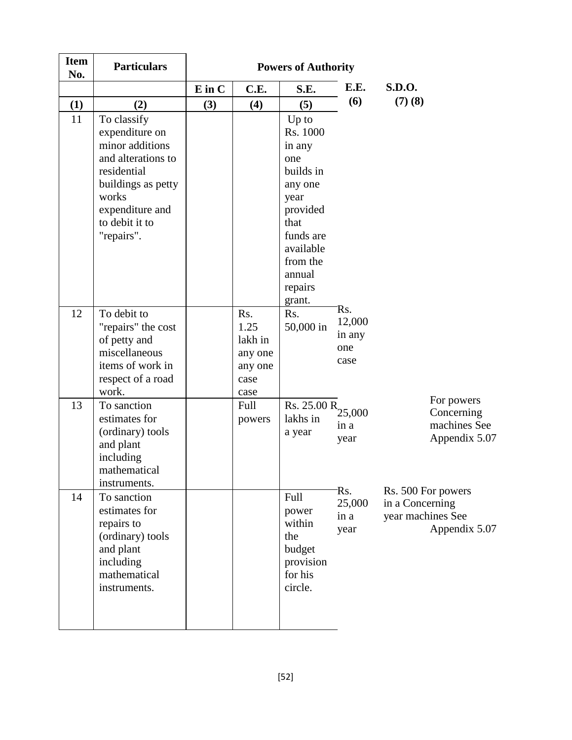| <b>Item</b><br>No. | <b>Particulars</b>                                                                                                                                                      | <b>Powers of Authority</b> |                                                              |                                                                                                                                                             |                                                     |                                                                             |
|--------------------|-------------------------------------------------------------------------------------------------------------------------------------------------------------------------|----------------------------|--------------------------------------------------------------|-------------------------------------------------------------------------------------------------------------------------------------------------------------|-----------------------------------------------------|-----------------------------------------------------------------------------|
|                    |                                                                                                                                                                         | $E$ in $C$                 | C.E.                                                         | S.E.                                                                                                                                                        | E.E.                                                | <b>S.D.O.</b>                                                               |
| (1)                | (2)                                                                                                                                                                     | (3)                        | (4)                                                          | (5)                                                                                                                                                         | (6)                                                 | (7)(8)                                                                      |
| 11                 | To classify<br>expenditure on<br>minor additions<br>and alterations to<br>residential<br>buildings as petty<br>works<br>expenditure and<br>to debit it to<br>"repairs". |                            |                                                              | Up to<br>Rs. 1000<br>in any<br>one<br>builds in<br>any one<br>year<br>provided<br>that<br>funds are<br>available<br>from the<br>annual<br>repairs<br>grant. |                                                     |                                                                             |
| 12                 | To debit to<br>"repairs" the cost<br>of petty and<br>miscellaneous<br>items of work in<br>respect of a road<br>work.                                                    |                            | Rs.<br>1.25<br>lakh in<br>any one<br>any one<br>case<br>case | Rs.<br>50,000 in                                                                                                                                            | R <sub>s</sub> .<br>12,000<br>in any<br>one<br>case |                                                                             |
| 13                 | To sanction<br>estimates for<br>(ordinary) tools<br>and plant<br>including<br>mathematical<br>instruments.                                                              |                            | Full<br>powers                                               | $\overline{\text{Rs. }25.00 \text{ R}}_{25,000}$<br>lakhs in<br>a year                                                                                      | in a<br>year                                        | For powers<br>Concerning<br>machines See<br>Appendix 5.07                   |
| 14                 | To sanction<br>estimates for<br>repairs to<br>(ordinary) tools<br>and plant<br>including<br>mathematical<br>instruments.                                                |                            |                                                              | Full<br>power<br>within<br>the<br>budget<br>provision<br>for his<br>circle.                                                                                 | Rs.<br>25,000<br>in a<br>year                       | Rs. 500 For powers<br>in a Concerning<br>year machines See<br>Appendix 5.07 |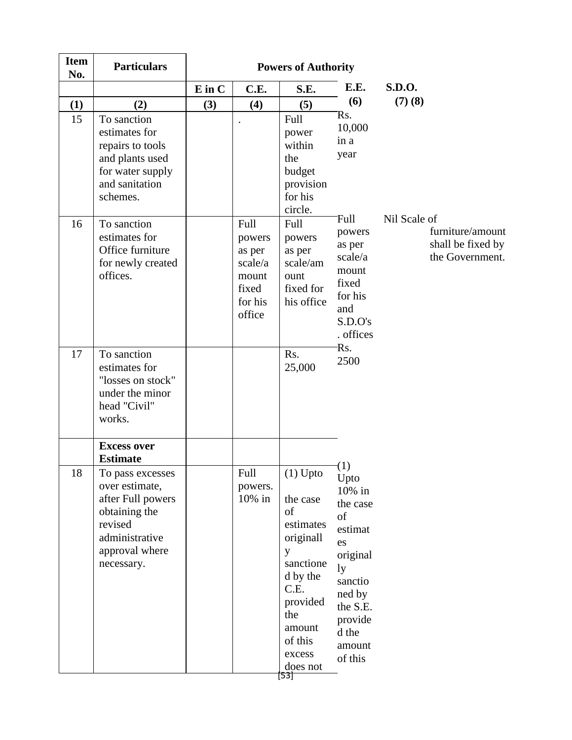| <b>Item</b><br>No. | <b>Particulars</b>                                                                                                                                       | <b>Powers of Authority</b> |                                                                            |                                                                                                                                                                    |                                                                                                                                                      |               |                                                          |
|--------------------|----------------------------------------------------------------------------------------------------------------------------------------------------------|----------------------------|----------------------------------------------------------------------------|--------------------------------------------------------------------------------------------------------------------------------------------------------------------|------------------------------------------------------------------------------------------------------------------------------------------------------|---------------|----------------------------------------------------------|
|                    |                                                                                                                                                          | $E$ in $C$                 | C.E.                                                                       | S.E.                                                                                                                                                               | E.E.                                                                                                                                                 | <b>S.D.O.</b> |                                                          |
| (1)                | (2)                                                                                                                                                      | (3)                        | (4)                                                                        | (5)                                                                                                                                                                | (6)                                                                                                                                                  | (7)(8)        |                                                          |
| 15                 | To sanction<br>estimates for<br>repairs to tools<br>and plants used<br>for water supply<br>and sanitation<br>schemes.                                    |                            |                                                                            | Full<br>power<br>within<br>the<br>budget<br>provision<br>for his<br>circle.                                                                                        | Rs.<br>10,000<br>in a<br>year                                                                                                                        |               |                                                          |
| 16                 | To sanction<br>estimates for<br>Office furniture<br>for newly created<br>offices.                                                                        |                            | Full<br>powers<br>as per<br>scale/a<br>mount<br>fixed<br>for his<br>office | Full<br>powers<br>as per<br>scale/am<br>ount<br>fixed for<br>his office                                                                                            | Full<br>powers<br>as per<br>scale/a<br>mount<br>fixed<br>for his<br>and<br>S.D.O's<br>. offices                                                      | Nil Scale of  | furniture/amount<br>shall be fixed by<br>the Government. |
| 17                 | To sanction<br>estimates for<br>"losses on stock"<br>under the minor<br>head "Civil"<br>works.                                                           |                            |                                                                            | Rs.<br>25,000                                                                                                                                                      | Rs.<br>2500                                                                                                                                          |               |                                                          |
|                    | <b>Excess over</b>                                                                                                                                       |                            |                                                                            |                                                                                                                                                                    |                                                                                                                                                      |               |                                                          |
| 18                 | <b>Estimate</b><br>To pass excesses<br>over estimate,<br>after Full powers<br>obtaining the<br>revised<br>administrative<br>approval where<br>necessary. |                            | Full<br>powers.<br>10% in                                                  | $(1)$ Upto<br>the case<br>of<br>estimates<br>originall<br>y<br>sanctione<br>d by the<br>C.E.<br>provided<br>the<br>amount<br>of this<br>excess<br>does not<br>[53] | (1)<br>Upto<br>10% in<br>the case<br>of<br>estimat<br>es<br>original<br>ly<br>sanctio<br>ned by<br>the S.E.<br>provide<br>d the<br>amount<br>of this |               |                                                          |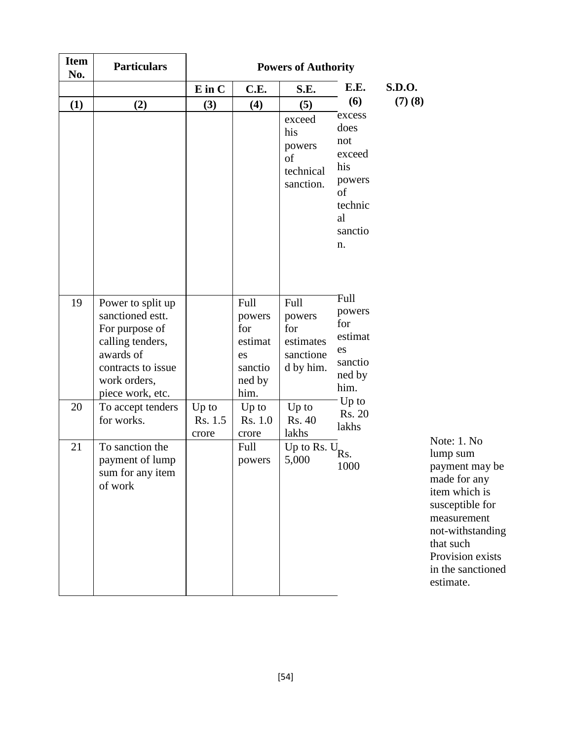| <b>Item</b><br>No. | <b>Particulars</b>                                                                                                                                 | <b>Powers of Authority</b> |                                                                     |                                                              |                                                                                          |               |  |
|--------------------|----------------------------------------------------------------------------------------------------------------------------------------------------|----------------------------|---------------------------------------------------------------------|--------------------------------------------------------------|------------------------------------------------------------------------------------------|---------------|--|
|                    |                                                                                                                                                    | $E$ in $C$                 | C.E.                                                                | S.E.                                                         | E.E.                                                                                     | <b>S.D.O.</b> |  |
| (1)                | (2)                                                                                                                                                | (3)                        | (4)                                                                 | (5)                                                          | (6)                                                                                      | (7)(8)        |  |
|                    |                                                                                                                                                    |                            |                                                                     | exceed<br>his<br>powers<br>of<br>technical<br>sanction.      | excess<br>does<br>not<br>exceed<br>his<br>powers<br>of<br>technic<br>al<br>sanctio<br>n. |               |  |
| 19                 | Power to split up<br>sanctioned estt.<br>For purpose of<br>calling tenders,<br>awards of<br>contracts to issue<br>work orders,<br>piece work, etc. |                            | Full<br>powers<br>for<br>estimat<br>es<br>sanctio<br>ned by<br>him. | Full<br>powers<br>for<br>estimates<br>sanctione<br>d by him. | Full<br>powers<br>for<br>estimat<br>es<br>sanctio<br>ned by<br>him.                      |               |  |
| 20                 | To accept tenders<br>for works.                                                                                                                    | Up to<br>Rs. 1.5<br>crore  | $Up$ to<br>Rs. 1.0<br>crore                                         | Up to<br>Rs. 40<br>lakhs                                     | Up to<br>Rs. 20<br>lakhs                                                                 |               |  |
| 21                 | To sanction the<br>payment of lump<br>sum for any item<br>of work                                                                                  |                            | Full<br>powers                                                      | $\frac{1}{\text{Up to Rs.}}$ U <sub>Rs.</sub><br>5,000       | 1000                                                                                     |               |  |

Note: 1. No lump sum payment may be made for any item which is susceptible for measurement not-withstanding that such Provision exists in the sanctioned estimate.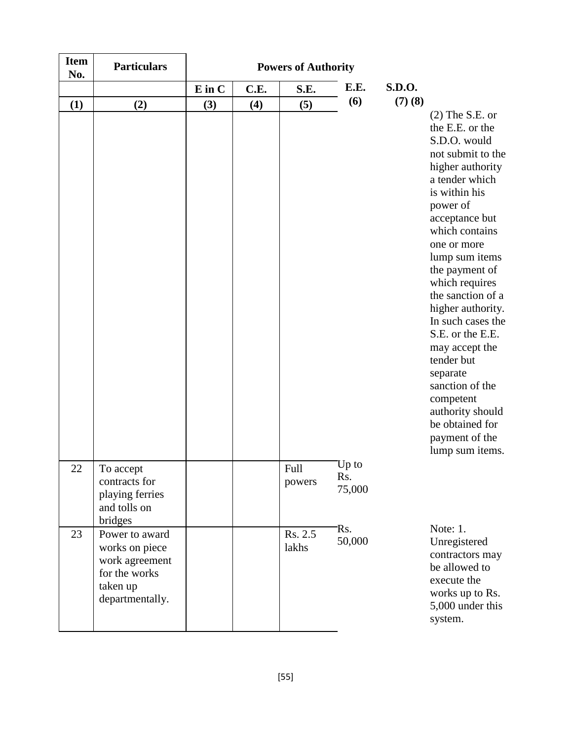| <b>Item</b><br>No. | <b>Particulars</b>                                                                                 | <b>Powers of Authority</b> |      |                  |                          |               |                                                                                                                                                                                                                                                                                                                                                                                                                                                                                                  |
|--------------------|----------------------------------------------------------------------------------------------------|----------------------------|------|------------------|--------------------------|---------------|--------------------------------------------------------------------------------------------------------------------------------------------------------------------------------------------------------------------------------------------------------------------------------------------------------------------------------------------------------------------------------------------------------------------------------------------------------------------------------------------------|
|                    |                                                                                                    | $E$ in $C$                 | C.E. | S.E.             | E.E.                     | <b>S.D.O.</b> |                                                                                                                                                                                                                                                                                                                                                                                                                                                                                                  |
| (1)                | (2)                                                                                                | (3)                        | (4)  | (5)              | (6)                      | (7)(8)        | $(2)$ The S.E. or<br>the E.E. or the<br>S.D.O. would<br>not submit to the<br>higher authority<br>a tender which<br>is within his<br>power of<br>acceptance but<br>which contains<br>one or more<br>lump sum items<br>the payment of<br>which requires<br>the sanction of a<br>higher authority.<br>In such cases the<br>S.E. or the E.E.<br>may accept the<br>tender but<br>separate<br>sanction of the<br>competent<br>authority should<br>be obtained for<br>payment of the<br>lump sum items. |
| 22                 | To accept<br>contracts for<br>playing ferries<br>and tolls on<br>bridges                           |                            |      | Full<br>powers   | $Up$ to<br>Rs.<br>75,000 |               |                                                                                                                                                                                                                                                                                                                                                                                                                                                                                                  |
| 23                 | Power to award<br>works on piece<br>work agreement<br>for the works<br>taken up<br>departmentally. |                            |      | Rs. 2.5<br>lakhs | Rs.<br>50,000            |               | Note: 1.<br>Unregistered<br>contractors may<br>be allowed to<br>execute the<br>works up to Rs.<br>5,000 under this<br>system.                                                                                                                                                                                                                                                                                                                                                                    |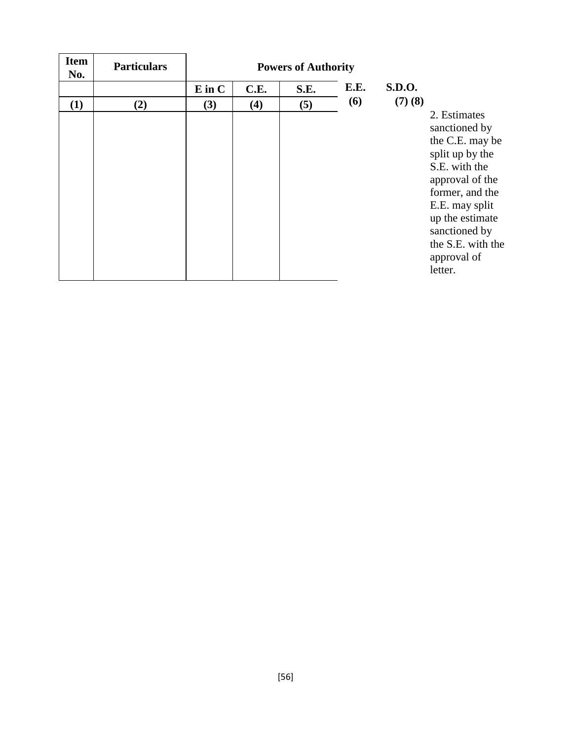| <b>Item</b><br>No. | <b>Particulars</b> |            |      |      |      |               |                                                                                                                                                                                                                                 |
|--------------------|--------------------|------------|------|------|------|---------------|---------------------------------------------------------------------------------------------------------------------------------------------------------------------------------------------------------------------------------|
|                    |                    | $E$ in $C$ | C.E. | S.E. | E.E. | <b>S.D.O.</b> |                                                                                                                                                                                                                                 |
| (1)                | (2)                | (3)        | (4)  | (5)  | (6)  | (7)(8)        | 2. Estimates<br>sanctioned by<br>the C.E. may be<br>split up by the<br>S.E. with the<br>approval of the<br>former, and the<br>E.E. may split<br>up the estimate<br>sanctioned by<br>the S.E. with the<br>approval of<br>letter. |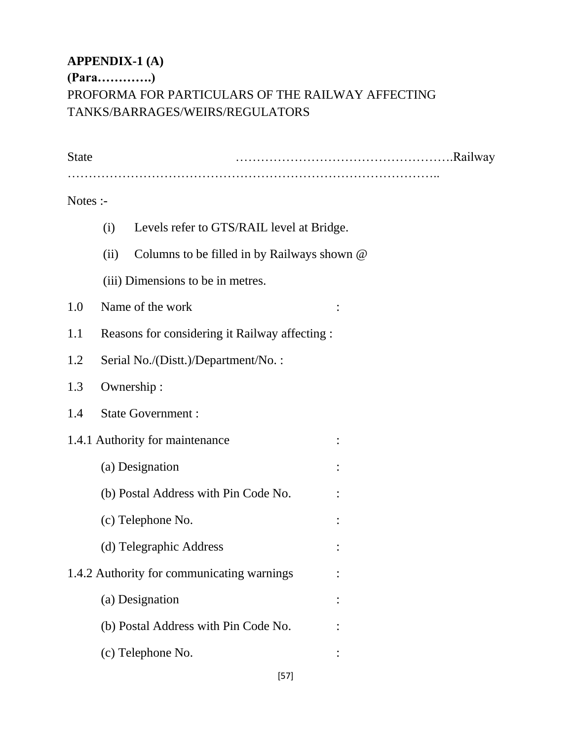# **APPENDIX-1 (A)**

# **(Para………….)**  PROFORMA FOR PARTICULARS OF THE RAILWAY AFFECTING TANKS/BARRAGES/WEIRS/REGULATORS

| <b>State</b> |      |                                                |  |  |
|--------------|------|------------------------------------------------|--|--|
| Notes :-     |      |                                                |  |  |
|              | (i)  | Levels refer to GTS/RAIL level at Bridge.      |  |  |
|              | (ii) | Columns to be filled in by Railways shown @    |  |  |
|              |      | (iii) Dimensions to be in metres.              |  |  |
| 1.0          |      | Name of the work                               |  |  |
| 1.1          |      | Reasons for considering it Railway affecting : |  |  |
| 1.2          |      | Serial No./(Distt.)/Department/No.:            |  |  |
| 1.3          |      | Ownership:                                     |  |  |
| 1.4          |      | <b>State Government:</b>                       |  |  |
|              |      | 1.4.1 Authority for maintenance                |  |  |
|              |      | (a) Designation                                |  |  |
|              |      | (b) Postal Address with Pin Code No.           |  |  |
|              |      | (c) Telephone No.                              |  |  |
|              |      | (d) Telegraphic Address                        |  |  |
|              |      | 1.4.2 Authority for communicating warnings     |  |  |
|              |      | (a) Designation                                |  |  |
|              |      | (b) Postal Address with Pin Code No.           |  |  |
|              |      | (c) Telephone No.                              |  |  |
|              |      |                                                |  |  |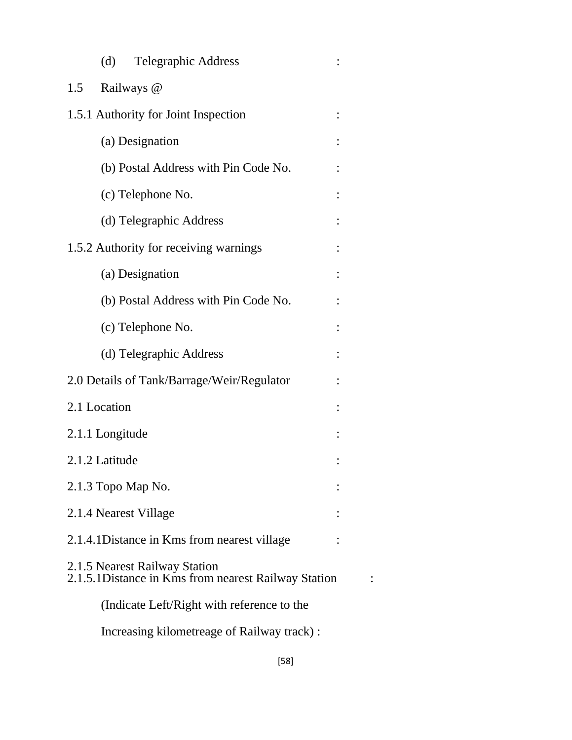| (d)<br><b>Telegraphic Address</b>                                                    |  |
|--------------------------------------------------------------------------------------|--|
| Railways @<br>1.5                                                                    |  |
| 1.5.1 Authority for Joint Inspection                                                 |  |
| (a) Designation                                                                      |  |
| (b) Postal Address with Pin Code No.                                                 |  |
| (c) Telephone No.                                                                    |  |
| (d) Telegraphic Address                                                              |  |
| 1.5.2 Authority for receiving warnings                                               |  |
| (a) Designation                                                                      |  |
| (b) Postal Address with Pin Code No.                                                 |  |
| (c) Telephone No.                                                                    |  |
| (d) Telegraphic Address                                                              |  |
| 2.0 Details of Tank/Barrage/Weir/Regulator                                           |  |
| 2.1 Location                                                                         |  |
| 2.1.1 Longitude                                                                      |  |
| 2.1.2 Latitude                                                                       |  |
| $2.1.3$ Topo Map No.                                                                 |  |
| 2.1.4 Nearest Village                                                                |  |
| 2.1.4.1 Distance in Kms from nearest village                                         |  |
| 2.1.5 Nearest Railway Station<br>2.1.5.1Distance in Kms from nearest Railway Station |  |
| (Indicate Left/Right with reference to the                                           |  |
| Increasing kilometreage of Railway track) :                                          |  |

: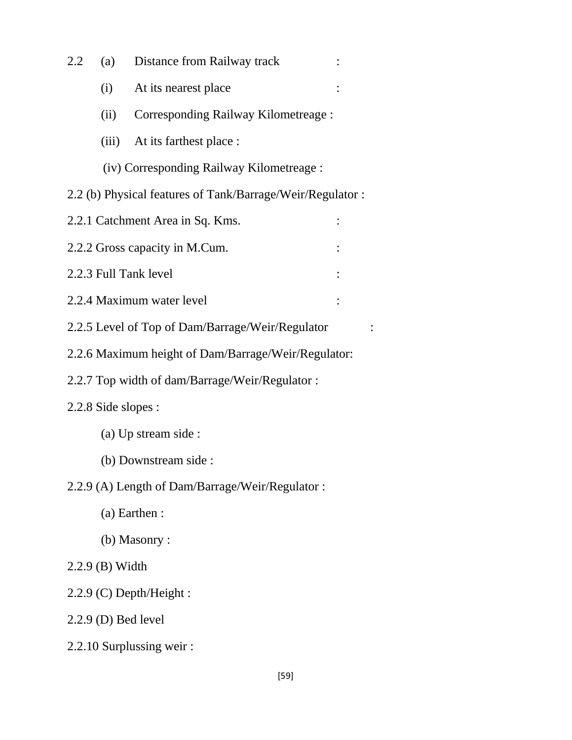| 2.2 | (a)                 | Distance from Railway track                               |  |
|-----|---------------------|-----------------------------------------------------------|--|
|     | (i)                 | At its nearest place                                      |  |
|     | (ii)                | Corresponding Railway Kilometreage:                       |  |
|     | (iii)               | At its farthest place :                                   |  |
|     |                     | (iv) Corresponding Railway Kilometreage :                 |  |
|     |                     | 2.2 (b) Physical features of Tank/Barrage/Weir/Regulator: |  |
|     |                     | 2.2.1 Catchment Area in Sq. Kms.                          |  |
|     |                     | 2.2.2 Gross capacity in M.Cum.                            |  |
|     |                     | 2.2.3 Full Tank level                                     |  |
|     |                     | 2.2.4 Maximum water level                                 |  |
|     |                     | 2.2.5 Level of Top of Dam/Barrage/Weir/Regulator          |  |
|     |                     | 2.2.6 Maximum height of Dam/Barrage/Weir/Regulator:       |  |
|     |                     | 2.2.7 Top width of dam/Barrage/Weir/Regulator:            |  |
|     | 2.2.8 Side slopes : |                                                           |  |
|     |                     | (a) Up stream side :                                      |  |
|     |                     | (b) Downstream side :                                     |  |
|     |                     | 2.2.9 (A) Length of Dam/Barrage/Weir/Regulator:           |  |
|     |                     | (a) Earthen :                                             |  |
|     |                     | (b) Masonry :                                             |  |
|     | $2.2.9$ (B) Width   |                                                           |  |
|     |                     | $2.2.9$ (C) Depth/Height :                                |  |
|     |                     | $2.2.9$ (D) Bed level                                     |  |
|     |                     | 2.2.10 Surplussing weir:                                  |  |

[59]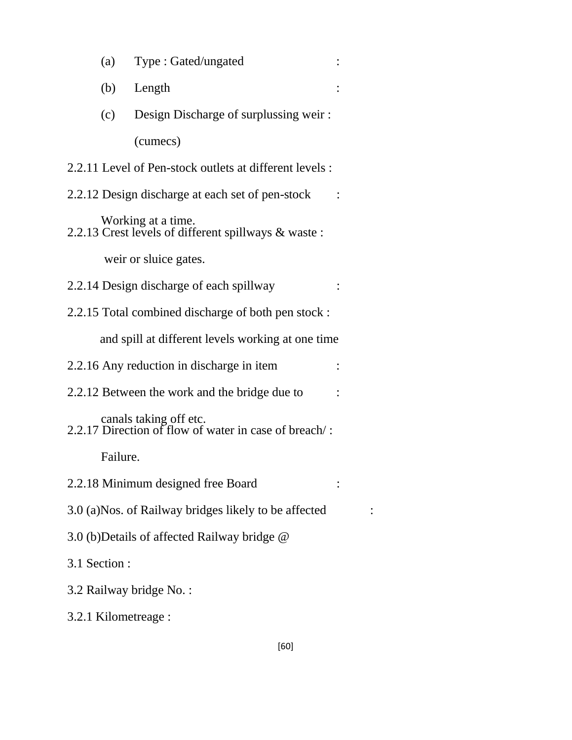| (a)           | Type: Gated/ungated                                                             |  |
|---------------|---------------------------------------------------------------------------------|--|
| (b)           | Length                                                                          |  |
| (c)           | Design Discharge of surplussing weir:                                           |  |
|               | (cumecs)                                                                        |  |
|               | 2.2.11 Level of Pen-stock outlets at different levels :                         |  |
|               | 2.2.12 Design discharge at each set of pen-stock                                |  |
|               | Working at a time.<br>2.2.13 Crest levels of different spillways & waste:       |  |
|               | weir or sluice gates.                                                           |  |
|               | 2.2.14 Design discharge of each spillway                                        |  |
|               | 2.2.15 Total combined discharge of both pen stock:                              |  |
|               | and spill at different levels working at one time                               |  |
|               | 2.2.16 Any reduction in discharge in item                                       |  |
|               | 2.2.12 Between the work and the bridge due to                                   |  |
|               | canals taking off etc.<br>2.2.17 Direction of flow of water in case of breach/: |  |
| Failure.      |                                                                                 |  |
|               | 2.2.18 Minimum designed free Board                                              |  |
|               | 3.0 (a) Nos. of Railway bridges likely to be affected                           |  |
|               | 3.0 (b) Details of affected Railway bridge @                                    |  |
| 3.1 Section : |                                                                                 |  |
|               | 3.2 Railway bridge No.:                                                         |  |
|               | 3.2.1 Kilometreage :                                                            |  |

: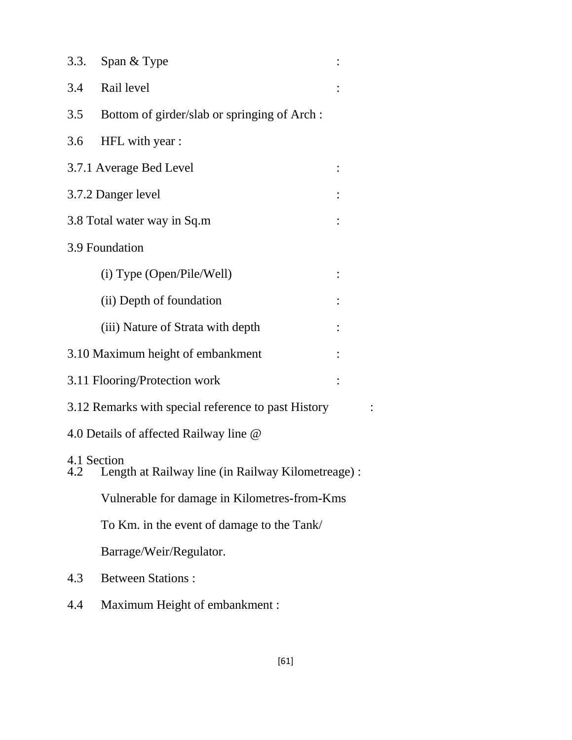| 3.3.        | Span & Type                                            |  |
|-------------|--------------------------------------------------------|--|
| 3.4         | Rail level                                             |  |
| 3.5         | Bottom of girder/slab or springing of Arch:            |  |
| 3.6         | HFL with year :                                        |  |
|             | 3.7.1 Average Bed Level                                |  |
|             | 3.7.2 Danger level                                     |  |
|             | 3.8 Total water way in Sq.m                            |  |
|             | 3.9 Foundation                                         |  |
|             | (i) Type (Open/Pile/Well)                              |  |
|             | (ii) Depth of foundation                               |  |
|             | (iii) Nature of Strata with depth                      |  |
|             | 3.10 Maximum height of embankment                      |  |
|             | 3.11 Flooring/Protection work                          |  |
|             | 3.12 Remarks with special reference to past History    |  |
|             | 4.0 Details of affected Railway line @                 |  |
| 4.1 Section | 4.2 Length at Railway line (in Railway Kilometreage) : |  |
|             | Vulnerable for damage in Kilometres-from-Kms           |  |
|             | To Km. in the event of damage to the Tank/             |  |
|             | Barrage/Weir/Regulator.                                |  |
| 4.3         | <b>Between Stations:</b>                               |  |
| 4.4         | Maximum Height of embankment :                         |  |

: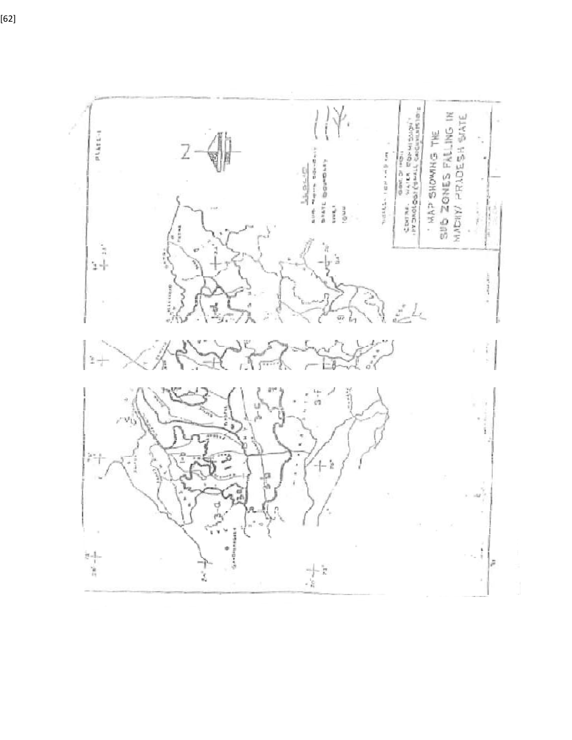

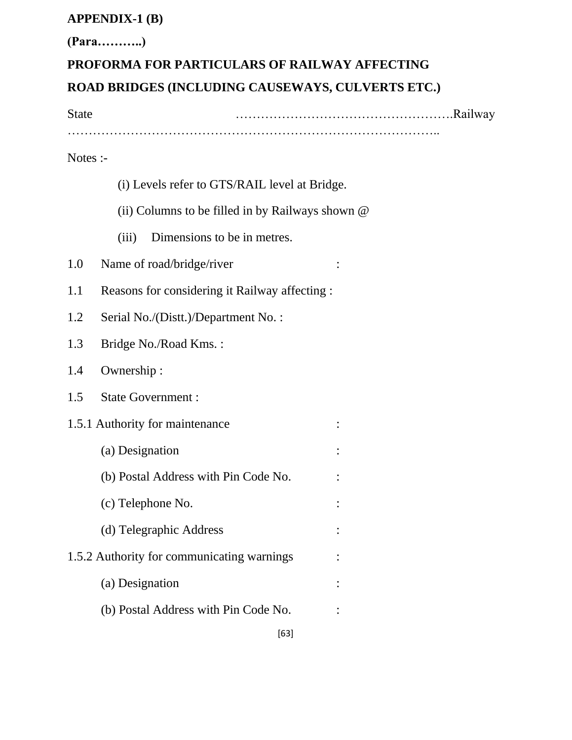# **APPENDIX-1 (B)**

## **(Para………..)**

# **PROFORMA FOR PARTICULARS OF RAILWAY AFFECTING ROAD BRIDGES (INCLUDING CAUSEWAYS, CULVERTS ETC.)**

State …………………………………………….Railway ……………………………………………………………………………..

Notes :-

|                                 | (i) Levels refer to GTS/RAIL level at Bridge.    |  |
|---------------------------------|--------------------------------------------------|--|
|                                 | (ii) Columns to be filled in by Railways shown @ |  |
|                                 | Dimensions to be in metres.<br>(iii)             |  |
| 1.0                             | Name of road/bridge/river                        |  |
| 1.1                             | Reasons for considering it Railway affecting :   |  |
| 1.2                             | Serial No./(Distt.)/Department No.:              |  |
| 1.3                             | Bridge No./Road Kms.:                            |  |
| 1.4                             | Ownership:                                       |  |
| 1.5                             | <b>State Government:</b>                         |  |
| 1.5.1 Authority for maintenance |                                                  |  |
|                                 | (a) Designation                                  |  |
|                                 | (b) Postal Address with Pin Code No.             |  |
|                                 | (c) Telephone No.                                |  |
|                                 | (d) Telegraphic Address                          |  |
|                                 | 1.5.2 Authority for communicating warnings       |  |
|                                 | (a) Designation                                  |  |
|                                 | (b) Postal Address with Pin Code No.             |  |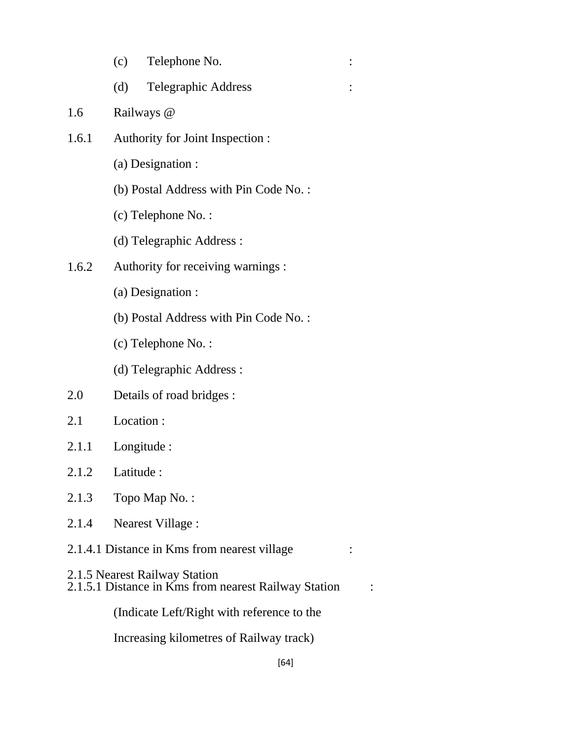- (c) Telephone No.
- (d) Telegraphic Address

:

:

#### 1.6 Railways @

- 1.6.1 Authority for Joint Inspection :
	- (a) Designation :
	- (b) Postal Address with Pin Code No. :
	- (c) Telephone No. :
	- (d) Telegraphic Address :
- 1.6.2 Authority for receiving warnings :
	- (a) Designation :
	- (b) Postal Address with Pin Code No. :
	- (c) Telephone No. :
	- (d) Telegraphic Address :
- 2.0 Details of road bridges :
- 2.1 Location :
- 2.1.1 Longitude :
- 2.1.2 Latitude :
- 2.1.3 Topo Map No. :
- 2.1.4 Nearest Village :
- 2.1.4.1 Distance in Kms from nearest village
- 2.1.5 Nearest Railway Station
- 2.1.5.1 Distance in Kms from nearest Railway Station  $\cdot$ :

(Indicate Left/Right with reference to the

Increasing kilometres of Railway track)

: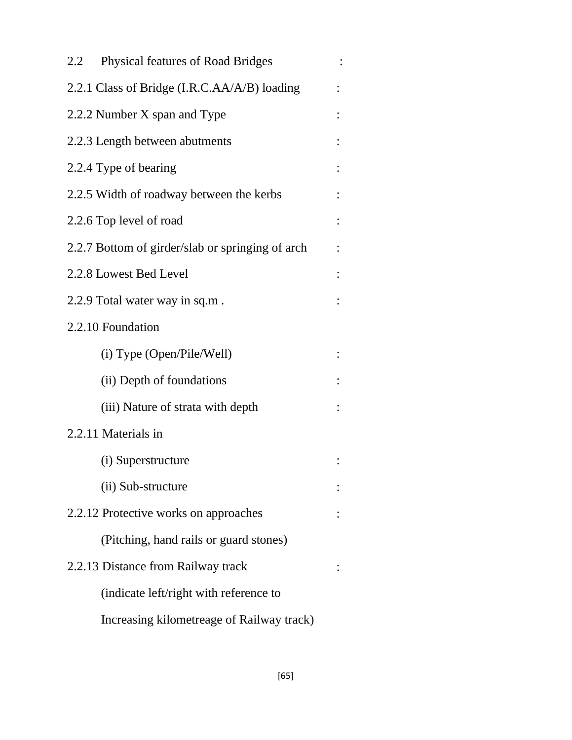| Physical features of Road Bridges<br>2.2         |  |  |
|--------------------------------------------------|--|--|
| 2.2.1 Class of Bridge (I.R.C.AA/A/B) loading     |  |  |
| 2.2.2 Number X span and Type                     |  |  |
| 2.2.3 Length between abutments                   |  |  |
| 2.2.4 Type of bearing                            |  |  |
| 2.2.5 Width of roadway between the kerbs         |  |  |
| 2.2.6 Top level of road                          |  |  |
| 2.2.7 Bottom of girder/slab or springing of arch |  |  |
| 2.2.8 Lowest Bed Level                           |  |  |
| 2.2.9 Total water way in sq.m.                   |  |  |
| 2.2.10 Foundation                                |  |  |
| (i) Type (Open/Pile/Well)                        |  |  |
| (ii) Depth of foundations                        |  |  |
| (iii) Nature of strata with depth                |  |  |
| 2.2.11 Materials in                              |  |  |
| (i) Superstructure                               |  |  |
| (ii) Sub-structure                               |  |  |
| 2.2.12 Protective works on approaches            |  |  |
| (Pitching, hand rails or guard stones)           |  |  |
| 2.2.13 Distance from Railway track               |  |  |
| (indicate left/right with reference to           |  |  |
| Increasing kilometreage of Railway track)        |  |  |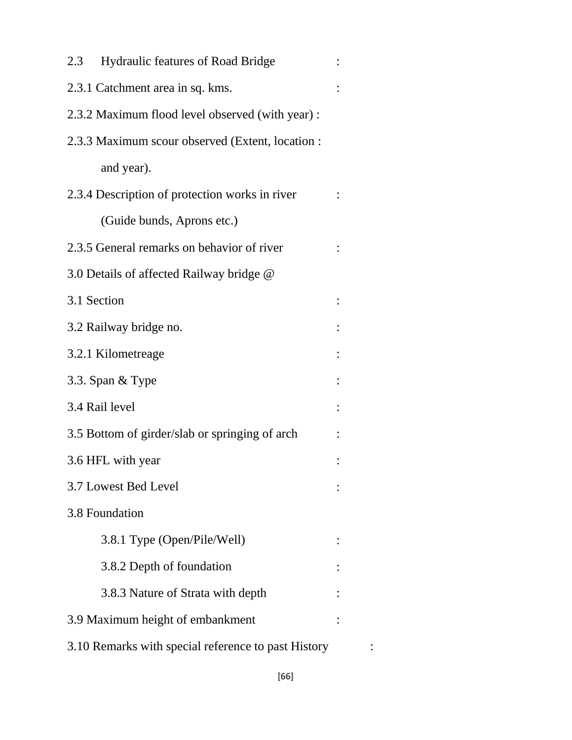| Hydraulic features of Road Bridge<br>2.3            |  |
|-----------------------------------------------------|--|
| 2.3.1 Catchment area in sq. kms.                    |  |
| 2.3.2 Maximum flood level observed (with year) :    |  |
| 2.3.3 Maximum scour observed (Extent, location :    |  |
| and year).                                          |  |
| 2.3.4 Description of protection works in river      |  |
| (Guide bunds, Aprons etc.)                          |  |
| 2.3.5 General remarks on behavior of river          |  |
| 3.0 Details of affected Railway bridge @            |  |
| 3.1 Section                                         |  |
| 3.2 Railway bridge no.                              |  |
| 3.2.1 Kilometreage                                  |  |
| 3.3. Span & Type                                    |  |
| 3.4 Rail level                                      |  |
| 3.5 Bottom of girder/slab or springing of arch      |  |
| 3.6 HFL with year                                   |  |
| 3.7 Lowest Bed Level                                |  |
| 3.8 Foundation                                      |  |
| 3.8.1 Type (Open/Pile/Well)                         |  |
| 3.8.2 Depth of foundation                           |  |
| 3.8.3 Nature of Strata with depth                   |  |
| 3.9 Maximum height of embankment                    |  |
| 3.10 Remarks with special reference to past History |  |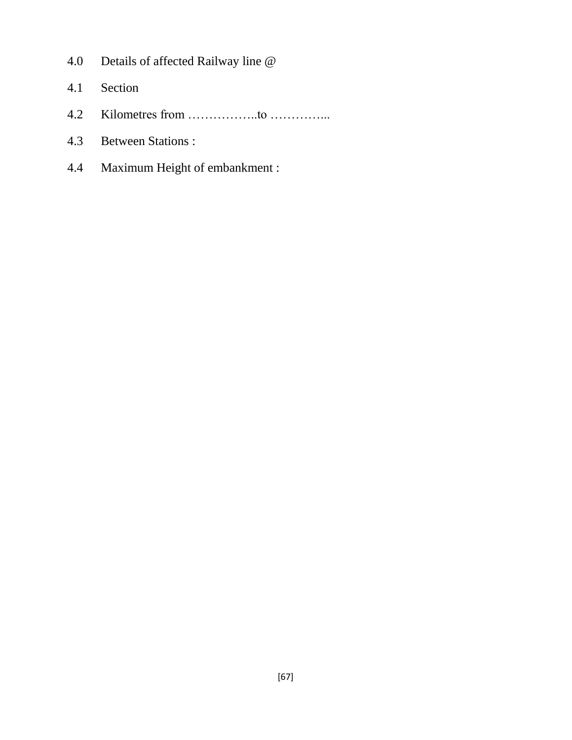- 4.0 Details of affected Railway line @
- 4.1 Section
- 4.2 Kilometres from ………………to ……………
- 4.3 Between Stations :
- 4.4 Maximum Height of embankment :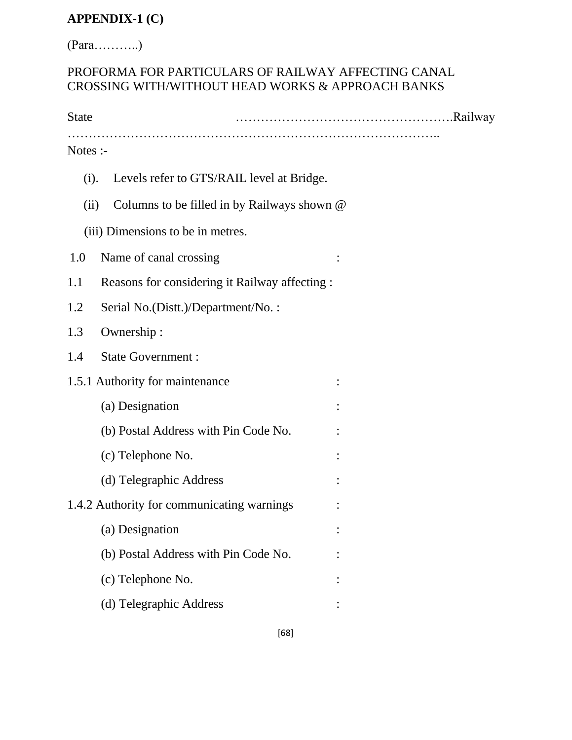## **APPENDIX-1 (C)**

(Para………..)

### PROFORMA FOR PARTICULARS OF RAILWAY AFFECTING CANAL CROSSING WITH/WITHOUT HEAD WORKS & APPROACH BANKS

| <b>State</b>                    |                                                |  |  |
|---------------------------------|------------------------------------------------|--|--|
| Notes $\therefore$              |                                                |  |  |
| (i).                            | Levels refer to GTS/RAIL level at Bridge.      |  |  |
| (ii)                            | Columns to be filled in by Railways shown @    |  |  |
|                                 | (iii) Dimensions to be in metres.              |  |  |
| 1.0                             | Name of canal crossing                         |  |  |
| 1.1                             | Reasons for considering it Railway affecting : |  |  |
| 1.2                             | Serial No.(Distt.)/Department/No.:             |  |  |
| 1.3                             | Ownership:                                     |  |  |
| 1.4                             | <b>State Government:</b>                       |  |  |
| 1.5.1 Authority for maintenance |                                                |  |  |
|                                 | (a) Designation                                |  |  |
|                                 | (b) Postal Address with Pin Code No.           |  |  |
|                                 | (c) Telephone No.                              |  |  |
|                                 | (d) Telegraphic Address                        |  |  |
|                                 | 1.4.2 Authority for communicating warnings     |  |  |
|                                 | (a) Designation                                |  |  |
|                                 | (b) Postal Address with Pin Code No.           |  |  |
|                                 | (c) Telephone No.                              |  |  |
|                                 | (d) Telegraphic Address                        |  |  |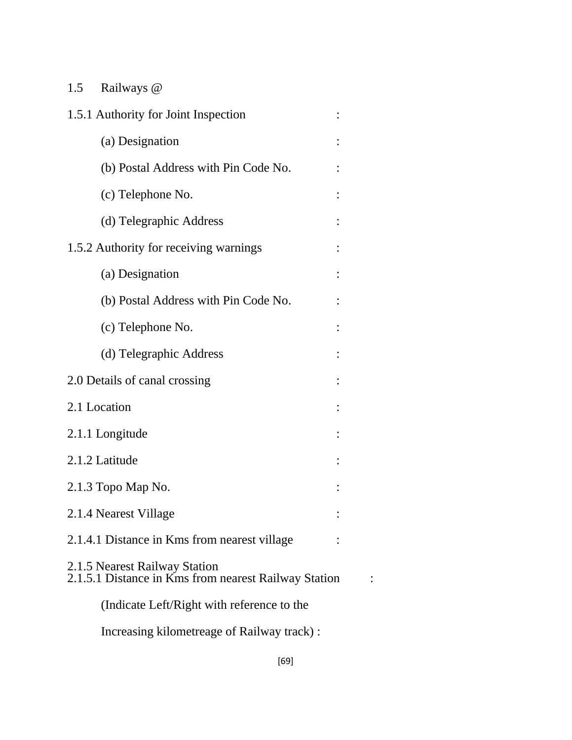# 1.5 Railways @

| 1.5.1 Authority for Joint Inspection                                                  |  |  |
|---------------------------------------------------------------------------------------|--|--|
| (a) Designation                                                                       |  |  |
| (b) Postal Address with Pin Code No.                                                  |  |  |
| (c) Telephone No.                                                                     |  |  |
| (d) Telegraphic Address                                                               |  |  |
| 1.5.2 Authority for receiving warnings                                                |  |  |
| (a) Designation                                                                       |  |  |
| (b) Postal Address with Pin Code No.                                                  |  |  |
| (c) Telephone No.                                                                     |  |  |
| (d) Telegraphic Address                                                               |  |  |
| 2.0 Details of canal crossing                                                         |  |  |
| 2.1 Location                                                                          |  |  |
| 2.1.1 Longitude                                                                       |  |  |
| 2.1.2 Latitude                                                                        |  |  |
| 2.1.3 Topo Map No.                                                                    |  |  |
| 2.1.4 Nearest Village                                                                 |  |  |
| 2.1.4.1 Distance in Kms from nearest village                                          |  |  |
| 2.1.5 Nearest Railway Station<br>2.1.5.1 Distance in Kms from nearest Railway Station |  |  |
| (Indicate Left/Right with reference to the                                            |  |  |
| Increasing kilometreage of Railway track) :                                           |  |  |

 $\mathbb{R}^2$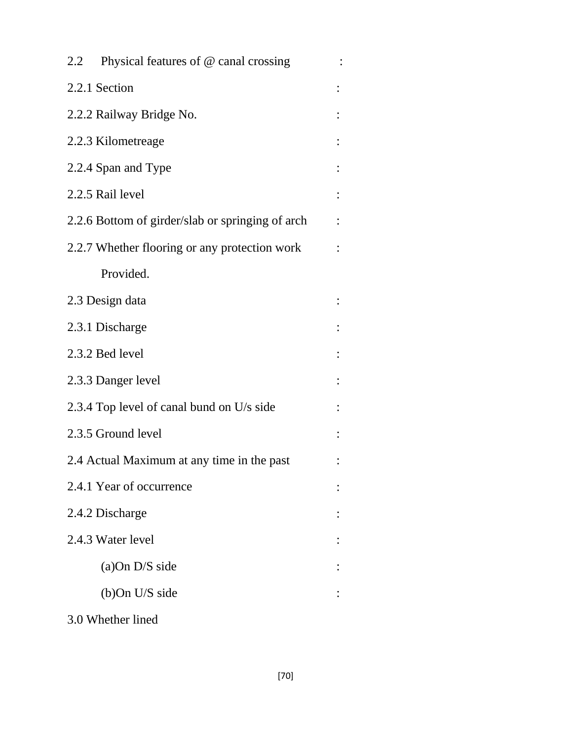| 2.2 Physical features of @ canal crossing        |  |
|--------------------------------------------------|--|
| 2.2.1 Section                                    |  |
| 2.2.2 Railway Bridge No.                         |  |
| 2.2.3 Kilometreage                               |  |
| 2.2.4 Span and Type                              |  |
| 2.2.5 Rail level                                 |  |
| 2.2.6 Bottom of girder/slab or springing of arch |  |
| 2.2.7 Whether flooring or any protection work    |  |
| Provided.                                        |  |
| 2.3 Design data                                  |  |
| 2.3.1 Discharge                                  |  |
| 2.3.2 Bed level                                  |  |
| 2.3.3 Danger level                               |  |
| 2.3.4 Top level of canal bund on U/s side        |  |
| 2.3.5 Ground level                               |  |
| 2.4 Actual Maximum at any time in the past       |  |
| 2.4.1 Year of occurrence                         |  |
| 2.4.2 Discharge                                  |  |
| 2.4.3 Water level                                |  |
| $(a)$ On D/S side                                |  |
| (b)On U/S side                                   |  |
| 3.0 Whether lined                                |  |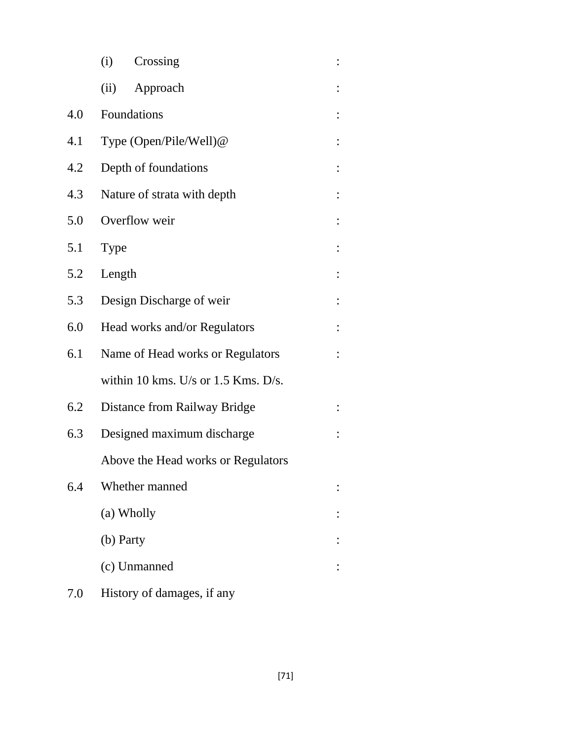|     | (i)<br>Crossing                     |  |
|-----|-------------------------------------|--|
|     | Approach<br>(ii)                    |  |
| 4.0 | Foundations                         |  |
| 4.1 | Type (Open/Pile/Well)@              |  |
| 4.2 | Depth of foundations                |  |
| 4.3 | Nature of strata with depth         |  |
| 5.0 | Overflow weir                       |  |
| 5.1 | Type                                |  |
| 5.2 | Length                              |  |
| 5.3 | Design Discharge of weir            |  |
| 6.0 | Head works and/or Regulators        |  |
| 6.1 | Name of Head works or Regulators    |  |
|     | within 10 kms. U/s or 1.5 Kms. D/s. |  |
| 6.2 | Distance from Railway Bridge        |  |
| 6.3 | Designed maximum discharge          |  |
|     | Above the Head works or Regulators  |  |
| 6.4 | Whether manned                      |  |
|     | (a) Wholly                          |  |
|     | (b) Party                           |  |
|     | (c) Unmanned                        |  |
|     |                                     |  |

7.0 History of damages, if any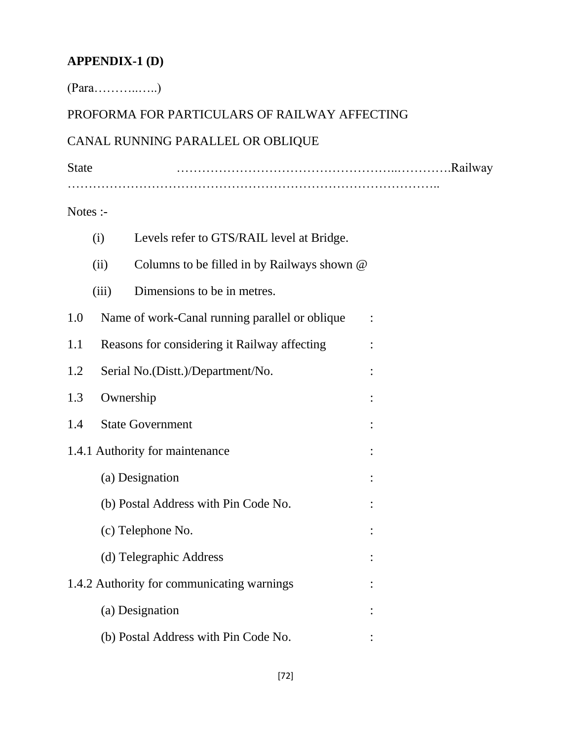### **APPENDIX-1 (D)**

(Para………..…..)

### PROFORMA FOR PARTICULARS OF RAILWAY AFFECTING

# CANAL RUNNING PARALLEL OR OBLIQUE

State ……………………………………………..………….Railway ……………………………………………………………………………..

#### Notes :-

|     | (i)   | Levels refer to GTS/RAIL level at Bridge.      |  |
|-----|-------|------------------------------------------------|--|
|     | (ii)  | Columns to be filled in by Railways shown @    |  |
|     | (iii) | Dimensions to be in metres.                    |  |
| 1.0 |       | Name of work-Canal running parallel or oblique |  |
| 1.1 |       | Reasons for considering it Railway affecting   |  |
| 1.2 |       | Serial No.(Distt.)/Department/No.              |  |
| 1.3 |       | Ownership                                      |  |
| 1.4 |       | <b>State Government</b>                        |  |
|     |       | 1.4.1 Authority for maintenance                |  |
|     |       | (a) Designation                                |  |
|     |       | (b) Postal Address with Pin Code No.           |  |
|     |       | (c) Telephone No.                              |  |
|     |       | (d) Telegraphic Address                        |  |
|     |       | 1.4.2 Authority for communicating warnings     |  |
|     |       | (a) Designation                                |  |
|     |       | (b) Postal Address with Pin Code No.           |  |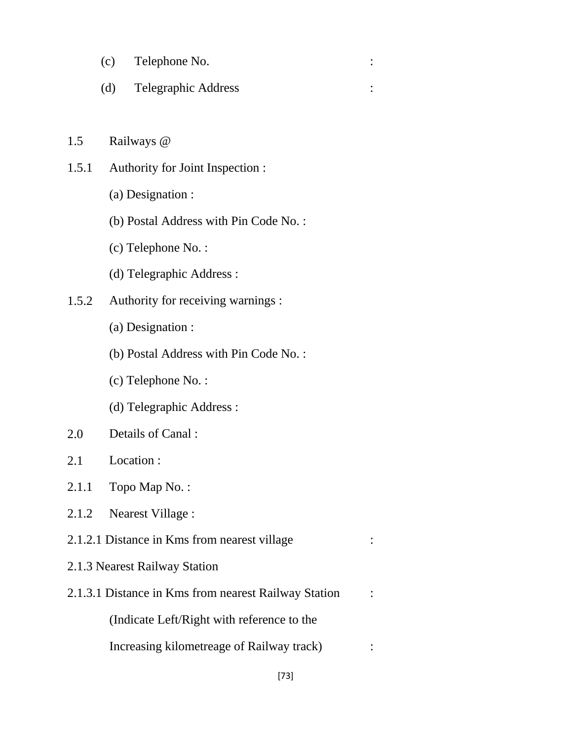- $(c)$ Telephone No.
- (d) Telegraphic Address

:

:

:

- 1.5 Railways @
- 1.5.1 Authority for Joint Inspection :
	- (a) Designation :
	- (b) Postal Address with Pin Code No. :
	- (c) Telephone No. :
	- (d) Telegraphic Address :
- 1.5.2 Authority for receiving warnings :
	- (a) Designation :
	- (b) Postal Address with Pin Code No. :
	- (c) Telephone No. :
	- (d) Telegraphic Address :
- 2.0 Details of Canal :
- 2.1 Location :
- 2.1.1 Topo Map No. :
- 2.1.2 Nearest Village :
- 2.1.2.1 Distance in Kms from nearest village
- 2.1.3 Nearest Railway Station
- 2.1.3.1 Distance in Kms from nearest Railway Station

(Indicate Left/Right with reference to the

Increasing kilometreage of Railway track) :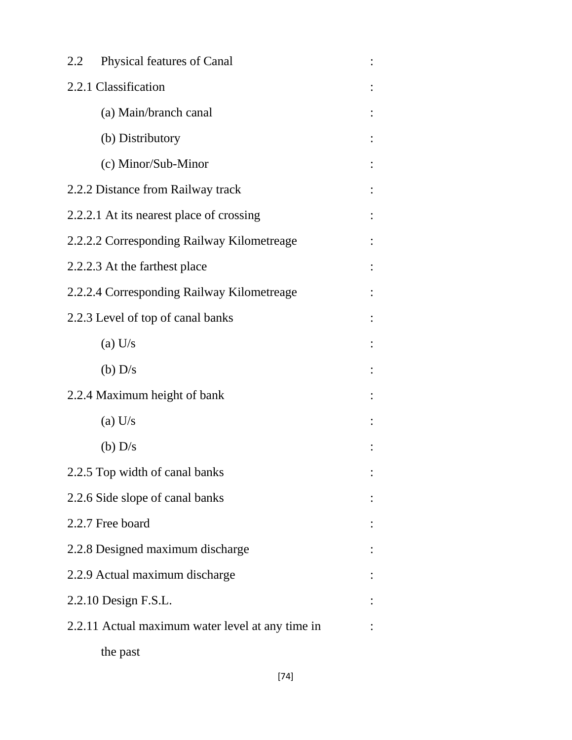| Physical features of Canal<br>2.2                |  |  |
|--------------------------------------------------|--|--|
| 2.2.1 Classification                             |  |  |
| (a) Main/branch canal                            |  |  |
| (b) Distributory                                 |  |  |
| (c) Minor/Sub-Minor                              |  |  |
| 2.2.2 Distance from Railway track                |  |  |
| 2.2.2.1 At its nearest place of crossing         |  |  |
| 2.2.2.2 Corresponding Railway Kilometreage       |  |  |
| 2.2.2.3 At the farthest place                    |  |  |
| 2.2.2.4 Corresponding Railway Kilometreage       |  |  |
| 2.2.3 Level of top of canal banks                |  |  |
| $(a)$ U/s                                        |  |  |
| (b) D/s                                          |  |  |
| 2.2.4 Maximum height of bank                     |  |  |
| $(a)$ U/s                                        |  |  |
| (b) D/s                                          |  |  |
| 2.2.5 Top width of canal banks                   |  |  |
| 2.2.6 Side slope of canal banks                  |  |  |
| 2.2.7 Free board                                 |  |  |
| 2.2.8 Designed maximum discharge                 |  |  |
| 2.2.9 Actual maximum discharge                   |  |  |
| 2.2.10 Design F.S.L.                             |  |  |
| 2.2.11 Actual maximum water level at any time in |  |  |
| the past                                         |  |  |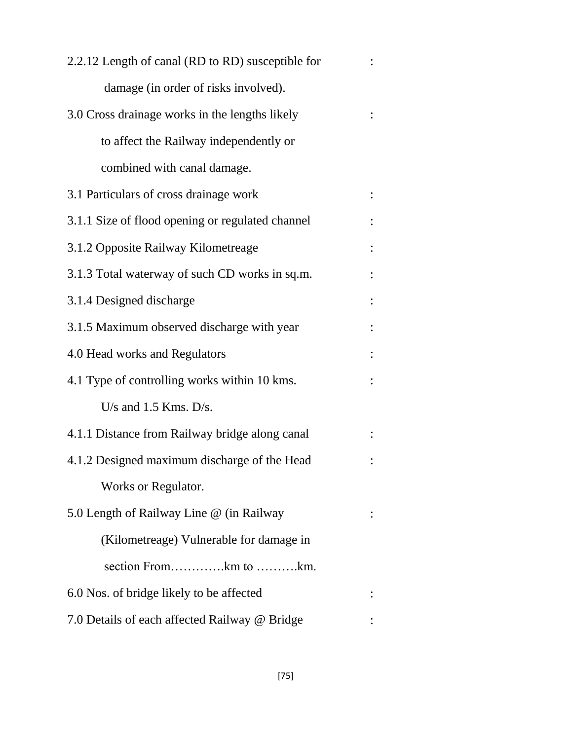| 2.2.12 Length of canal (RD to RD) susceptible for |                |
|---------------------------------------------------|----------------|
| damage (in order of risks involved).              |                |
| 3.0 Cross drainage works in the lengths likely    | $\ddot{\cdot}$ |
| to affect the Railway independently or            |                |
| combined with canal damage.                       |                |
| 3.1 Particulars of cross drainage work            |                |
| 3.1.1 Size of flood opening or regulated channel  |                |
| 3.1.2 Opposite Railway Kilometreage               |                |
| 3.1.3 Total waterway of such CD works in sq.m.    |                |
| 3.1.4 Designed discharge                          |                |
| 3.1.5 Maximum observed discharge with year        |                |
| 4.0 Head works and Regulators                     |                |
| 4.1 Type of controlling works within 10 kms.      |                |
| U/s and $1.5$ Kms. D/s.                           |                |
| 4.1.1 Distance from Railway bridge along canal    |                |
| 4.1.2 Designed maximum discharge of the Head      |                |
| Works or Regulator.                               |                |
| 5.0 Length of Railway Line @ (in Railway          |                |
| (Kilometreage) Vulnerable for damage in           |                |
| section Fromkm to km.                             |                |
| 6.0 Nos. of bridge likely to be affected          |                |
| 7.0 Details of each affected Railway @ Bridge     |                |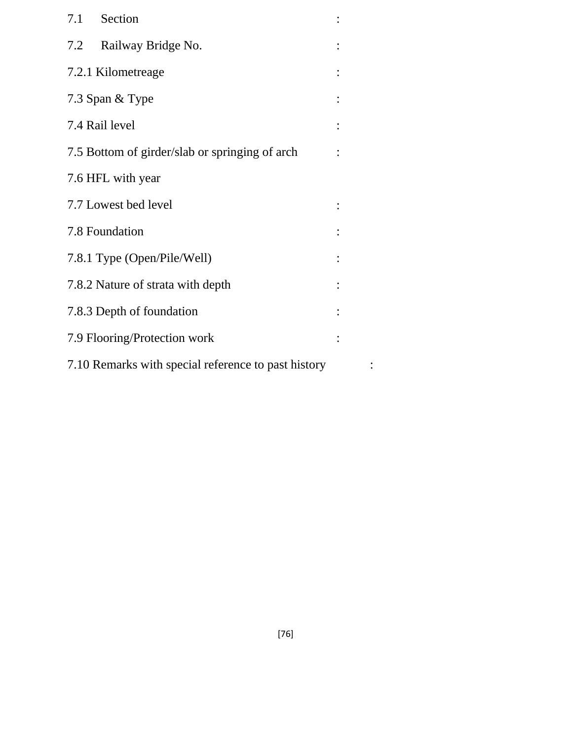| 7.1 Section                                         |  |  |
|-----------------------------------------------------|--|--|
| Railway Bridge No.<br>7.2                           |  |  |
| 7.2.1 Kilometreage                                  |  |  |
| 7.3 Span & Type                                     |  |  |
| 7.4 Rail level                                      |  |  |
| 7.5 Bottom of girder/slab or springing of arch      |  |  |
| 7.6 HFL with year                                   |  |  |
| 7.7 Lowest bed level                                |  |  |
| 7.8 Foundation                                      |  |  |
| 7.8.1 Type (Open/Pile/Well)                         |  |  |
| 7.8.2 Nature of strata with depth                   |  |  |
| 7.8.3 Depth of foundation                           |  |  |
| 7.9 Flooring/Protection work                        |  |  |
| 7.10 Remarks with special reference to past history |  |  |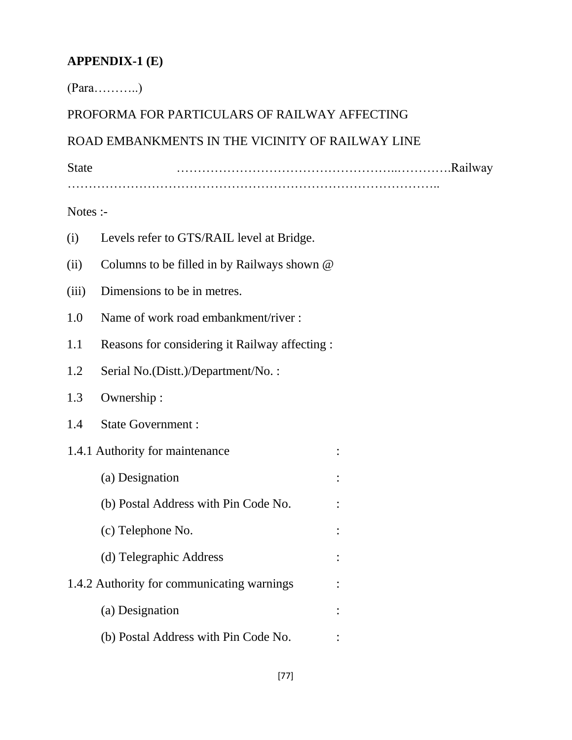### **APPENDIX-1 (E)**

### (Para………..)

### PROFORMA FOR PARTICULARS OF RAILWAY AFFECTING

### ROAD EMBANKMENTS IN THE VICINITY OF RAILWAY LINE

State ……………………………………………..………….Railway

### Notes :-

- (i) Levels refer to GTS/RAIL level at Bridge.
- $(ii)$ Columns to be filled in by Railways shown @
- $(iii)$ Dimensions to be in metres.
- 1.0 Name of work road embankment/river :
- 1.1 Reasons for considering it Railway affecting :
- 1.2 Serial No.(Distt.)/Department/No. :
- 1.3 Ownership :
- 1.4 State Government :
- 1.4.1 Authority for maintenance (a) Designation (b) Postal Address with Pin Code No. (c) Telephone No. (d) Telegraphic Address 1.4.2 Authority for communicating warnings : : : : : :
	- (a) Designation
		- (b) Postal Address with Pin Code No.

: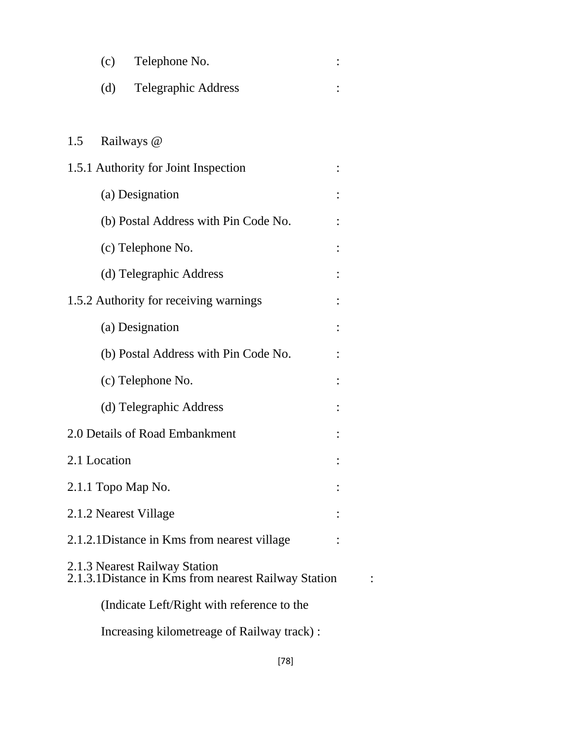|                                                                                      | (c) Telephone No.                            |  |
|--------------------------------------------------------------------------------------|----------------------------------------------|--|
|                                                                                      | <b>Telegraphic Address</b><br>(d)            |  |
|                                                                                      |                                              |  |
| 1.5                                                                                  | Railways @                                   |  |
|                                                                                      | 1.5.1 Authority for Joint Inspection         |  |
|                                                                                      | (a) Designation                              |  |
|                                                                                      | (b) Postal Address with Pin Code No.         |  |
|                                                                                      | (c) Telephone No.                            |  |
|                                                                                      | (d) Telegraphic Address                      |  |
|                                                                                      | 1.5.2 Authority for receiving warnings       |  |
|                                                                                      | (a) Designation                              |  |
|                                                                                      | (b) Postal Address with Pin Code No.         |  |
|                                                                                      | (c) Telephone No.                            |  |
|                                                                                      | (d) Telegraphic Address                      |  |
|                                                                                      | 2.0 Details of Road Embankment               |  |
|                                                                                      | 2.1 Location                                 |  |
|                                                                                      | 2.1.1 Topo Map No.                           |  |
|                                                                                      | 2.1.2 Nearest Village                        |  |
|                                                                                      | 2.1.2.1 Distance in Kms from nearest village |  |
| 2.1.3 Nearest Railway Station<br>2.1.3.1Distance in Kms from nearest Railway Station |                                              |  |
|                                                                                      | (Indicate Left/Right with reference to the   |  |
|                                                                                      | Increasing kilometreage of Railway track):   |  |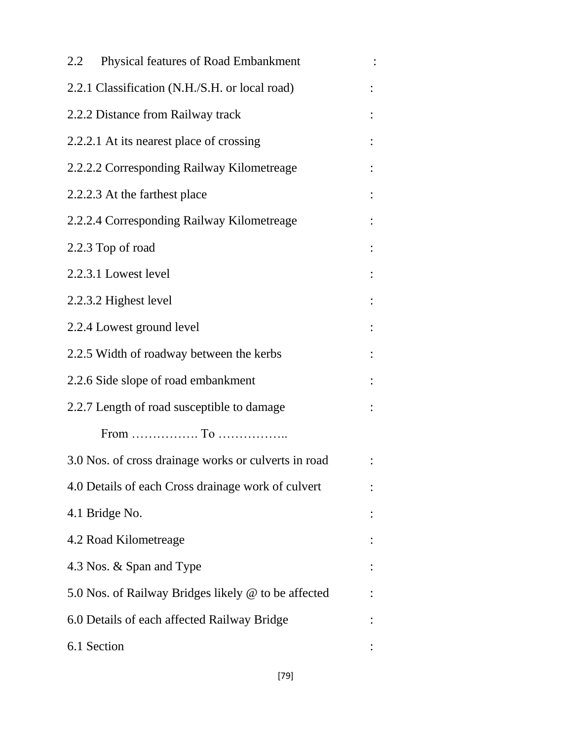| 2.2 Physical features of Road Embankment             |  |
|------------------------------------------------------|--|
| 2.2.1 Classification (N.H./S.H. or local road)       |  |
| 2.2.2 Distance from Railway track                    |  |
| 2.2.2.1 At its nearest place of crossing             |  |
| 2.2.2.2 Corresponding Railway Kilometreage           |  |
| 2.2.2.3 At the farthest place                        |  |
| 2.2.2.4 Corresponding Railway Kilometreage           |  |
| 2.2.3 Top of road                                    |  |
| 2.2.3.1 Lowest level                                 |  |
| 2.2.3.2 Highest level                                |  |
| 2.2.4 Lowest ground level                            |  |
| 2.2.5 Width of roadway between the kerbs             |  |
| 2.2.6 Side slope of road embankment                  |  |
| 2.2.7 Length of road susceptible to damage           |  |
|                                                      |  |
| 3.0 Nos. of cross drainage works or culverts in road |  |
| 4.0 Details of each Cross drainage work of culvert   |  |
| 4.1 Bridge No.                                       |  |
| 4.2 Road Kilometreage                                |  |
| 4.3 Nos. & Span and Type                             |  |
| 5.0 Nos. of Railway Bridges likely @ to be affected  |  |
| 6.0 Details of each affected Railway Bridge          |  |
| 6.1 Section                                          |  |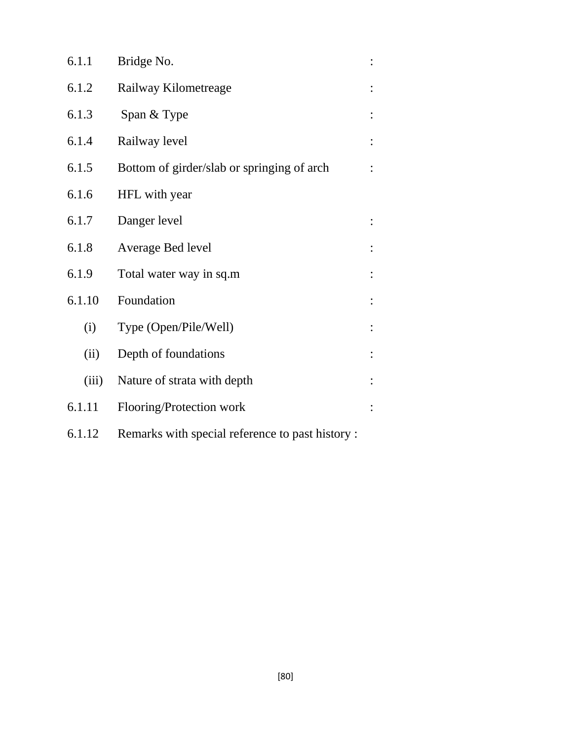| 6.1.1  | Bridge No.                                       |  |
|--------|--------------------------------------------------|--|
| 6.1.2  | Railway Kilometreage                             |  |
| 6.1.3  | Span & Type                                      |  |
| 6.1.4  | Railway level                                    |  |
| 6.1.5  | Bottom of girder/slab or springing of arch       |  |
| 6.1.6  | HFL with year                                    |  |
| 6.1.7  | Danger level                                     |  |
| 6.1.8  | Average Bed level                                |  |
| 6.1.9  | Total water way in sq.m                          |  |
| 6.1.10 | Foundation                                       |  |
| (i)    | Type (Open/Pile/Well)                            |  |
| (ii)   | Depth of foundations                             |  |
| (iii)  | Nature of strata with depth                      |  |
| 6.1.11 | Flooring/Protection work                         |  |
| 6.1.12 | Remarks with special reference to past history : |  |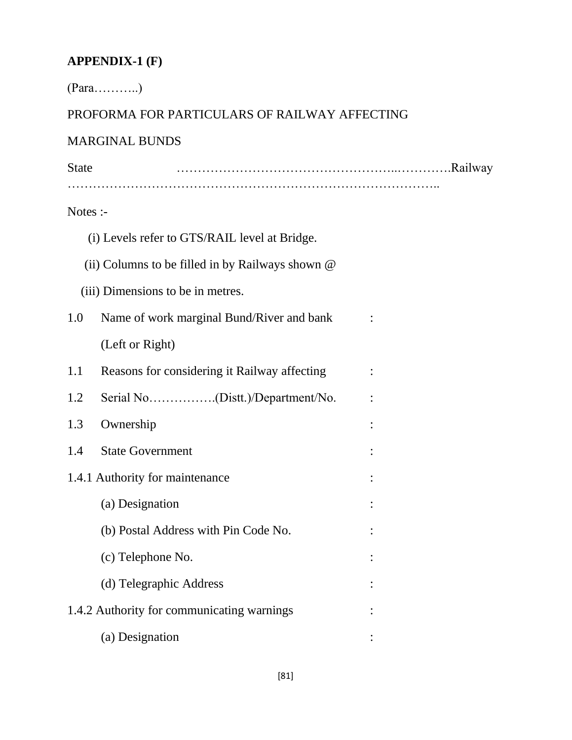# **APPENDIX-1 (F)**

## (Para………..)

# PROFORMA FOR PARTICULARS OF RAILWAY AFFECTING

### MARGINAL BUNDS

| <b>State</b> |                                                         |  |
|--------------|---------------------------------------------------------|--|
|              |                                                         |  |
| Notes :-     |                                                         |  |
|              | (i) Levels refer to GTS/RAIL level at Bridge.           |  |
|              | (ii) Columns to be filled in by Railways shown $\omega$ |  |
|              | (iii) Dimensions to be in metres.                       |  |
| 1.0          | Name of work marginal Bund/River and bank               |  |
|              | (Left or Right)                                         |  |
| 1.1          | Reasons for considering it Railway affecting            |  |
| 1.2          |                                                         |  |
| 1.3          | Ownership                                               |  |
| 1.4          | <b>State Government</b>                                 |  |
|              | 1.4.1 Authority for maintenance                         |  |
|              | (a) Designation                                         |  |
|              | (b) Postal Address with Pin Code No.                    |  |
|              | (c) Telephone No.                                       |  |
|              | (d) Telegraphic Address                                 |  |
|              | 1.4.2 Authority for communicating warnings              |  |
|              | (a) Designation                                         |  |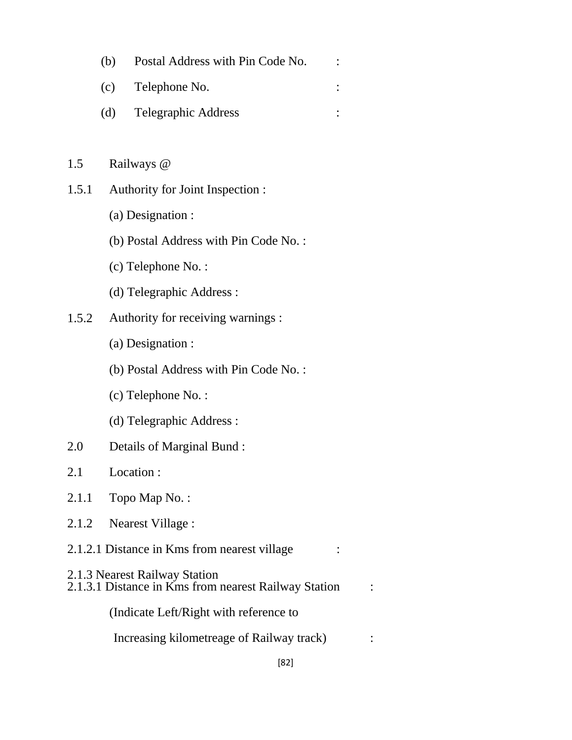| (b) | Postal Address with Pin Code No. |  |
|-----|----------------------------------|--|
|     | (c) Telephone No.                |  |

- (d) Telegraphic Address :
- 1.5 Railways @
- 1.5.1 Authority for Joint Inspection :
	- (a) Designation :
	- (b) Postal Address with Pin Code No. :
	- (c) Telephone No. :
	- (d) Telegraphic Address :
- 1.5.2 Authority for receiving warnings :
	- (a) Designation :
	- (b) Postal Address with Pin Code No. :
	- (c) Telephone No. :
	- (d) Telegraphic Address :
- 2.0 Details of Marginal Bund :
- 2.1 Location :
- 2.1.1 Topo Map No. :
- 2.1.2 Nearest Village :
- 2.1.2.1 Distance in Kms from nearest village
- 2.1.3 Nearest Railway Station
- 2.1.3.1 Distance in Kms from nearest Railway Station

(Indicate Left/Right with reference to

Increasing kilometreage of Railway track)

:

: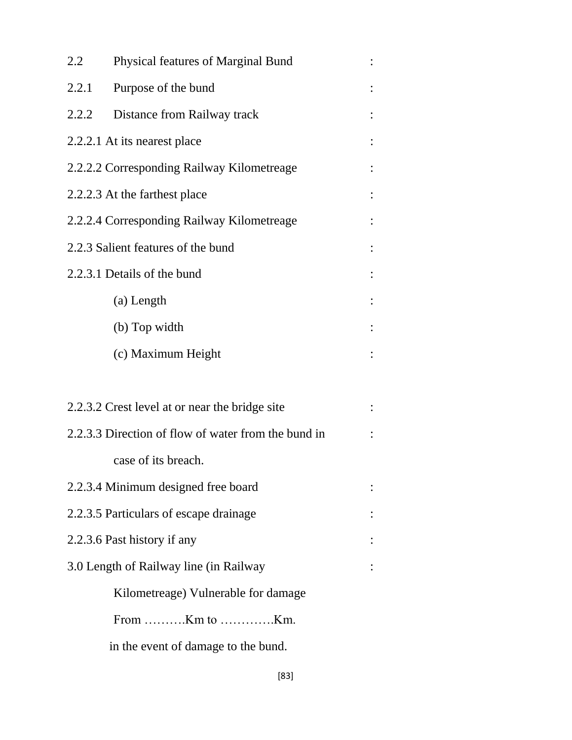| 2.2                                    | Physical features of Marginal Bund                      |  |
|----------------------------------------|---------------------------------------------------------|--|
| 2.2.1                                  | Purpose of the bund                                     |  |
| 2.2.2                                  | Distance from Railway track                             |  |
|                                        | 2.2.2.1 At its nearest place                            |  |
|                                        | 2.2.2.2 Corresponding Railway Kilometreage              |  |
|                                        | 2.2.2.3 At the farthest place                           |  |
|                                        | 2.2.2.4 Corresponding Railway Kilometreage              |  |
|                                        | 2.2.3 Salient features of the bund                      |  |
|                                        | 2.2.3.1 Details of the bund                             |  |
|                                        | (a) Length                                              |  |
|                                        | (b) Top width                                           |  |
|                                        | (c) Maximum Height                                      |  |
|                                        |                                                         |  |
|                                        | 2.2.3.2 Crest level at or near the bridge site          |  |
|                                        | 2.2.3.3 Direction of flow of water from the bund in     |  |
|                                        | case of its breach.                                     |  |
|                                        | 2.2.3.4 Minimum designed free board                     |  |
| 2.2.3.5 Particulars of escape drainage |                                                         |  |
| 2.2.3.6 Past history if any            |                                                         |  |
| 3.0 Length of Railway line (in Railway |                                                         |  |
|                                        | Kilometreage) Vulnerable for damage                     |  |
|                                        | From $\dots\dots\dots$ Km to $\dots\dots\dots\dots$ Km. |  |
|                                        | in the event of damage to the bund.                     |  |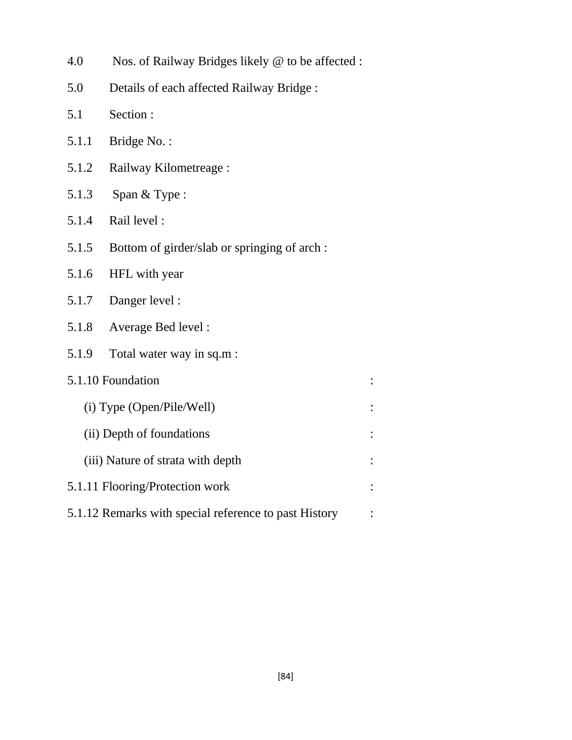- 4.0 Nos. of Railway Bridges likely @ to be affected :
- 5.0 Details of each affected Railway Bridge :
- 5.1 Section :
- 5.1.1 Bridge No. :
- 5.1.2 Railway Kilometreage :
- 5.1.3 Span & Type :
- 5.1.4 Rail level :
- 5.1.5 Bottom of girder/slab or springing of arch :
- 5.1.6 HFL with year
- 5.1.7 Danger level :
- 5.1.8 Average Bed level :
- 5.1.9 Total water way in sq.m :

#### 5.1.10 Foundation

- (i) Type (Open/Pile/Well) (ii) Depth of foundations (iii) Nature of strata with depth 5.1.11 Flooring/Protection work : : : :
- 5.1.12 Remarks with special reference to past History

: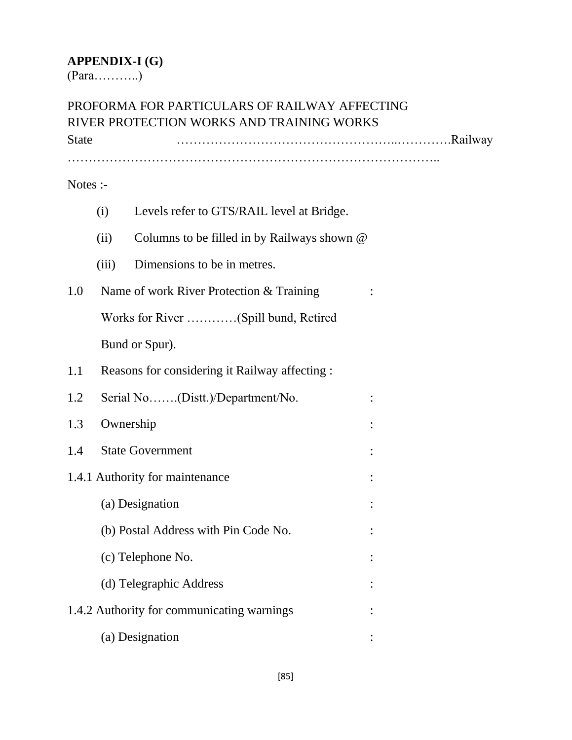## **APPENDIX-I (G)**

(Para………..)

# PROFORMA FOR PARTICULARS OF RAILWAY AFFECTING RIVER PROTECTION WORKS AND TRAINING WORKS

State ……………………………………………..………….Railway ……………………………………………………………………………..

#### Notes :-

|     | (i)       | Levels refer to GTS/RAIL level at Bridge.      |  |
|-----|-----------|------------------------------------------------|--|
|     | (ii)      | Columns to be filled in by Railways shown @    |  |
|     | (iii)     | Dimensions to be in metres.                    |  |
| 1.0 |           | Name of work River Protection & Training       |  |
|     |           | Works for River (Spill bund, Retired           |  |
|     |           | Bund or Spur).                                 |  |
| 1.1 |           | Reasons for considering it Railway affecting : |  |
| 1.2 |           | Serial No(Distt.)/Department/No.               |  |
| 1.3 | Ownership |                                                |  |
| 1.4 |           | <b>State Government</b>                        |  |
|     |           | 1.4.1 Authority for maintenance                |  |
|     |           | (a) Designation                                |  |
|     |           | (b) Postal Address with Pin Code No.           |  |
|     |           | (c) Telephone No.                              |  |
|     |           | (d) Telegraphic Address                        |  |
|     |           | 1.4.2 Authority for communicating warnings     |  |
|     |           | (a) Designation                                |  |
|     |           |                                                |  |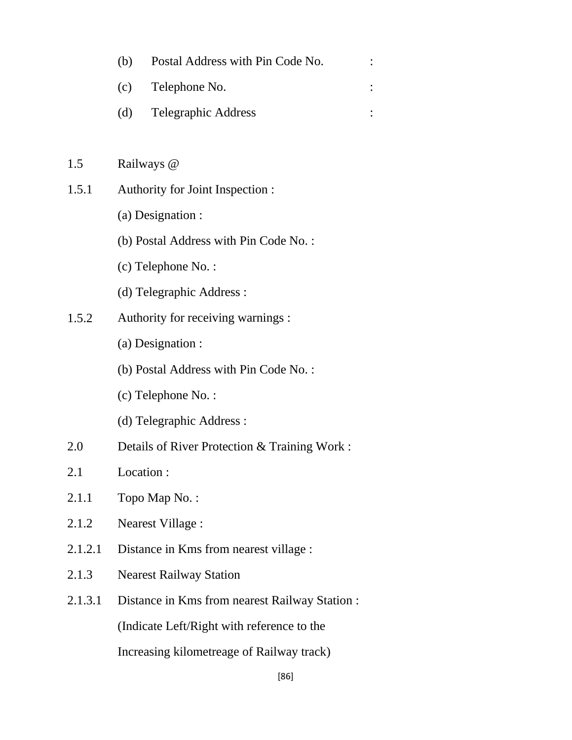|         | (b) | Postal Address with Pin Code No.               |  |
|---------|-----|------------------------------------------------|--|
|         | (c) | Telephone No.                                  |  |
|         | (d) | <b>Telegraphic Address</b>                     |  |
|         |     |                                                |  |
| 1.5     |     | Railways @                                     |  |
| 1.5.1   |     | Authority for Joint Inspection :               |  |
|         |     | (a) Designation :                              |  |
|         |     | (b) Postal Address with Pin Code No.:          |  |
|         |     | (c) Telephone No.:                             |  |
|         |     | (d) Telegraphic Address :                      |  |
| 1.5.2   |     | Authority for receiving warnings :             |  |
|         |     | (a) Designation :                              |  |
|         |     | (b) Postal Address with Pin Code No.:          |  |
|         |     | (c) Telephone No.:                             |  |
|         |     | (d) Telegraphic Address :                      |  |
| 2.0     |     | Details of River Protection & Training Work:   |  |
| 2.1     |     | Location:                                      |  |
| 2.1.1   |     | Topo Map No.:                                  |  |
| 2.1.2   |     | Nearest Village :                              |  |
| 2.1.2.1 |     | Distance in Kms from nearest village :         |  |
| 2.1.3   |     | <b>Nearest Railway Station</b>                 |  |
| 2.1.3.1 |     | Distance in Kms from nearest Railway Station : |  |
|         |     | (Indicate Left/Right with reference to the     |  |

Increasing kilometreage of Railway track)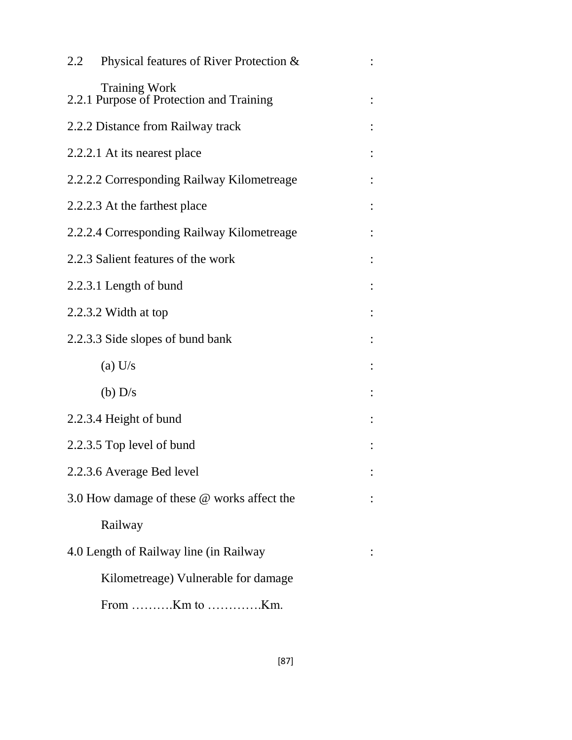| 2.2 Physical features of River Protection &                      |  |
|------------------------------------------------------------------|--|
| <b>Training Work</b><br>2.2.1 Purpose of Protection and Training |  |
| 2.2.2 Distance from Railway track                                |  |
| 2.2.2.1 At its nearest place                                     |  |
| 2.2.2.2 Corresponding Railway Kilometreage                       |  |
| 2.2.2.3 At the farthest place                                    |  |
| 2.2.2.4 Corresponding Railway Kilometreage                       |  |
| 2.2.3 Salient features of the work                               |  |
| 2.2.3.1 Length of bund                                           |  |
| 2.2.3.2 Width at top                                             |  |
| 2.2.3.3 Side slopes of bund bank                                 |  |
| $(a)$ U/s                                                        |  |
| (b) D/s                                                          |  |
| 2.2.3.4 Height of bund                                           |  |
| 2.2.3.5 Top level of bund                                        |  |
| 2.2.3.6 Average Bed level                                        |  |
| 3.0 How damage of these @ works affect the                       |  |
| Railway                                                          |  |
| 4.0 Length of Railway line (in Railway                           |  |
| Kilometreage) Vulnerable for damage                              |  |
| From Km to Km.                                                   |  |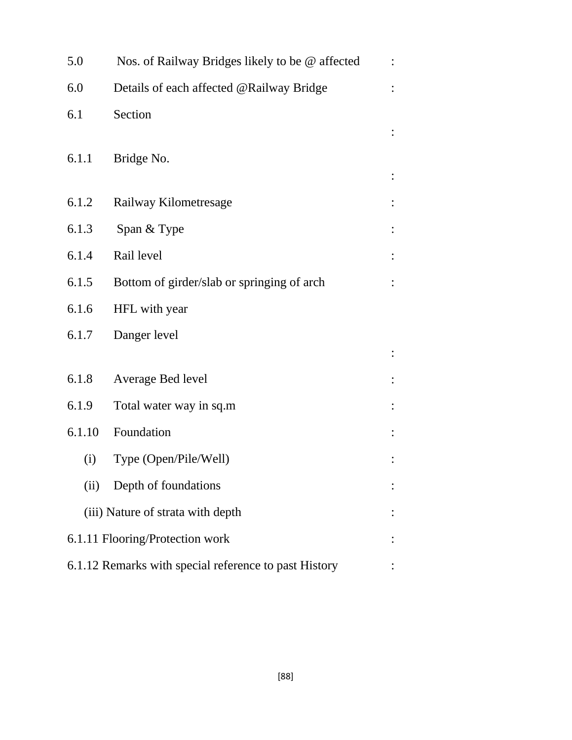| 5.0    | Nos. of Railway Bridges likely to be @ affected       | $\ddot{\cdot}$ |  |
|--------|-------------------------------------------------------|----------------|--|
| 6.0    | Details of each affected @Railway Bridge              |                |  |
| 6.1    | Section                                               |                |  |
|        |                                                       |                |  |
| 6.1.1  | Bridge No.                                            |                |  |
| 6.1.2  | Railway Kilometresage                                 |                |  |
| 6.1.3  | Span & Type                                           |                |  |
| 6.1.4  | Rail level                                            |                |  |
| 6.1.5  | Bottom of girder/slab or springing of arch            |                |  |
| 6.1.6  | HFL with year                                         |                |  |
| 6.1.7  | Danger level                                          |                |  |
|        |                                                       |                |  |
| 6.1.8  | Average Bed level                                     |                |  |
| 6.1.9  | Total water way in sq.m                               |                |  |
| 6.1.10 | Foundation                                            |                |  |
| (i)    | Type (Open/Pile/Well)                                 |                |  |
| (ii)   | Depth of foundations                                  |                |  |
|        | (iii) Nature of strata with depth                     |                |  |
|        | 6.1.11 Flooring/Protection work                       |                |  |
|        | 6.1.12 Remarks with special reference to past History |                |  |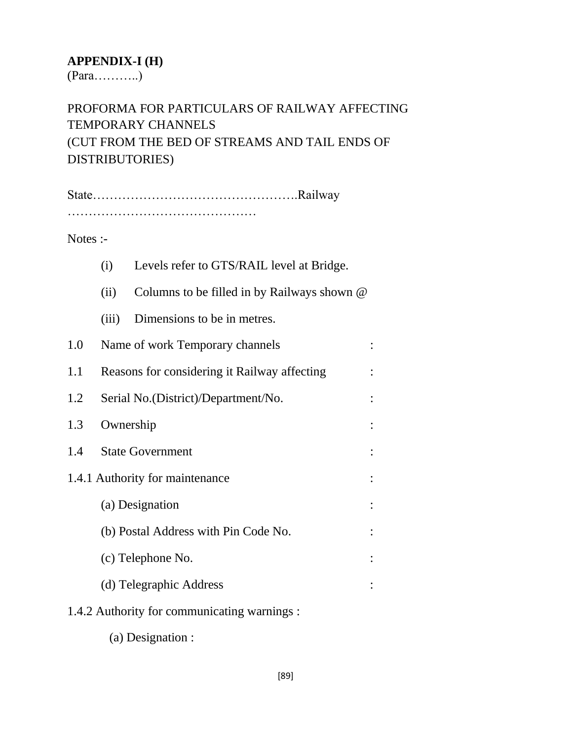# (Para………..)

# PROFORMA FOR PARTICULARS OF RAILWAY AFFECTING TEMPORARY CHANNELS (CUT FROM THE BED OF STREAMS AND TAIL ENDS OF DISTRIBUTORIES)

State………………………………………….Railway ………………………………………

Notes :-

| (i) | Levels refer to GTS/RAIL level at Bridge. |
|-----|-------------------------------------------|
|-----|-------------------------------------------|

- (ii) Columns to be filled in by Railways shown @
- (iii) Dimensions to be in metres.

| 1.0                             | Name of work Temporary channels              |                |
|---------------------------------|----------------------------------------------|----------------|
| 1.1                             | Reasons for considering it Railway affecting | $\ddot{\cdot}$ |
| 1.2                             | Serial No.(District)/Department/No.          |                |
| 1.3                             | Ownership                                    |                |
| 1.4                             | <b>State Government</b>                      | $\ddot{\cdot}$ |
| 1.4.1 Authority for maintenance |                                              |                |
|                                 | (a) Designation                              |                |
|                                 | (b) Postal Address with Pin Code No.         |                |
|                                 | (c) Telephone No.                            |                |
|                                 | (d) Telegraphic Address                      |                |
|                                 | $1.4.2.4 - 1.4.4 + 0.4.4 - 0.4.4$            |                |

1.4.2 Authority for communicating warnings :

(a) Designation :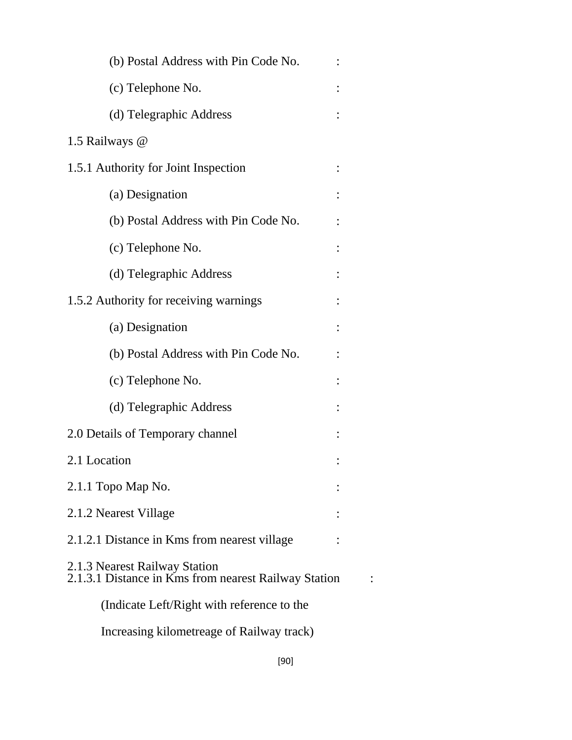| (b) Postal Address with Pin Code No.                                                  |  |  |
|---------------------------------------------------------------------------------------|--|--|
| (c) Telephone No.                                                                     |  |  |
| (d) Telegraphic Address                                                               |  |  |
| 1.5 Railways @                                                                        |  |  |
| 1.5.1 Authority for Joint Inspection                                                  |  |  |
| (a) Designation                                                                       |  |  |
| (b) Postal Address with Pin Code No.                                                  |  |  |
| (c) Telephone No.                                                                     |  |  |
| (d) Telegraphic Address                                                               |  |  |
| 1.5.2 Authority for receiving warnings                                                |  |  |
| (a) Designation                                                                       |  |  |
| (b) Postal Address with Pin Code No.                                                  |  |  |
| (c) Telephone No.                                                                     |  |  |
| (d) Telegraphic Address                                                               |  |  |
| 2.0 Details of Temporary channel                                                      |  |  |
| 2.1 Location                                                                          |  |  |
| $2.1.1$ Topo Map No.                                                                  |  |  |
| 2.1.2 Nearest Village                                                                 |  |  |
| 2.1.2.1 Distance in Kms from nearest village                                          |  |  |
| 2.1.3 Nearest Railway Station<br>2.1.3.1 Distance in Kms from nearest Railway Station |  |  |
| (Indicate Left/Right with reference to the                                            |  |  |
| Increasing kilometreage of Railway track)                                             |  |  |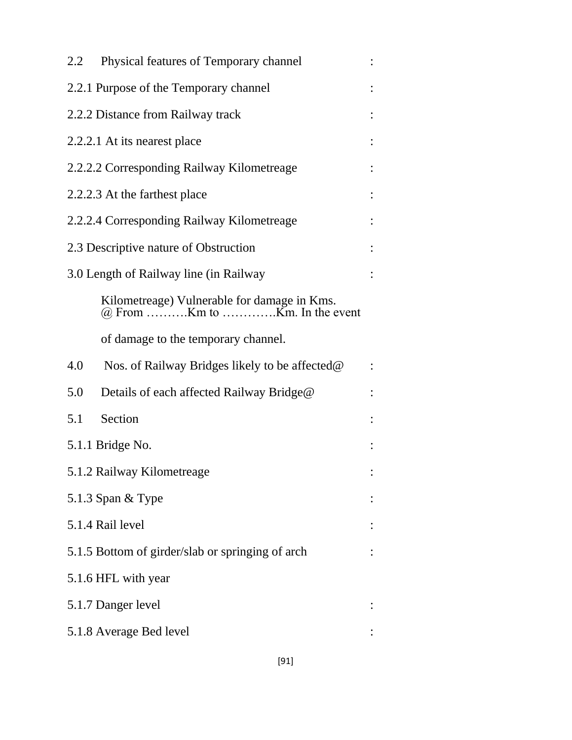| 2.2 | Physical features of Temporary channel           |  |
|-----|--------------------------------------------------|--|
|     | 2.2.1 Purpose of the Temporary channel           |  |
|     | 2.2.2 Distance from Railway track                |  |
|     | 2.2.2.1 At its nearest place                     |  |
|     | 2.2.2.2 Corresponding Railway Kilometreage       |  |
|     | 2.2.2.3 At the farthest place                    |  |
|     | 2.2.2.4 Corresponding Railway Kilometreage       |  |
|     | 2.3 Descriptive nature of Obstruction            |  |
|     | 3.0 Length of Railway line (in Railway           |  |
|     | Kilometreage) Vulnerable for damage in Kms.      |  |
|     | of damage to the temporary channel.              |  |
| 4.0 | Nos. of Railway Bridges likely to be affected@   |  |
| 5.0 | Details of each affected Railway Bridge@         |  |
| 5.1 | Section                                          |  |
|     | 5.1.1 Bridge No.                                 |  |
|     | 5.1.2 Railway Kilometreage                       |  |
|     | 5.1.3 Span & Type                                |  |
|     | 5.1.4 Rail level                                 |  |
|     | 5.1.5 Bottom of girder/slab or springing of arch |  |
|     | 5.1.6 HFL with year                              |  |
|     | 5.1.7 Danger level                               |  |
|     | 5.1.8 Average Bed level                          |  |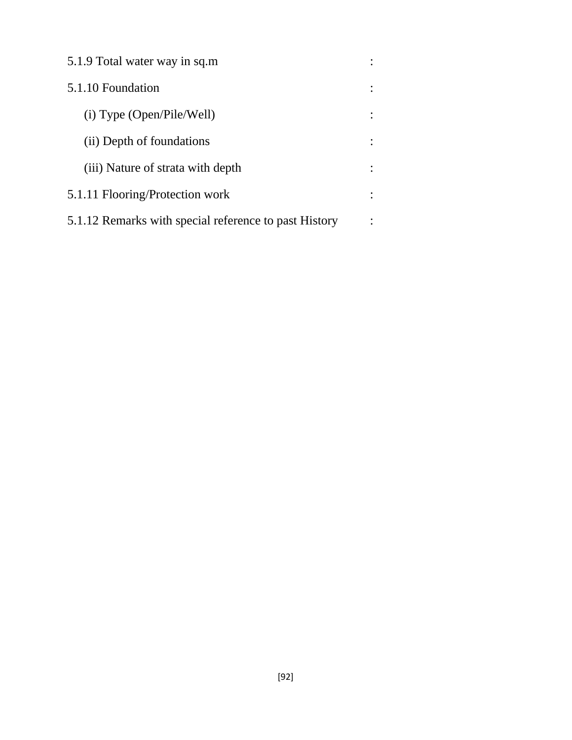| 5.1.9 Total water way in sq.m                         |  |
|-------------------------------------------------------|--|
| 5.1.10 Foundation                                     |  |
| $(i)$ Type (Open/Pile/Well)                           |  |
| (ii) Depth of foundations                             |  |
| (iii) Nature of strata with depth                     |  |
| 5.1.11 Flooring/Protection work                       |  |
| 5.1.12 Remarks with special reference to past History |  |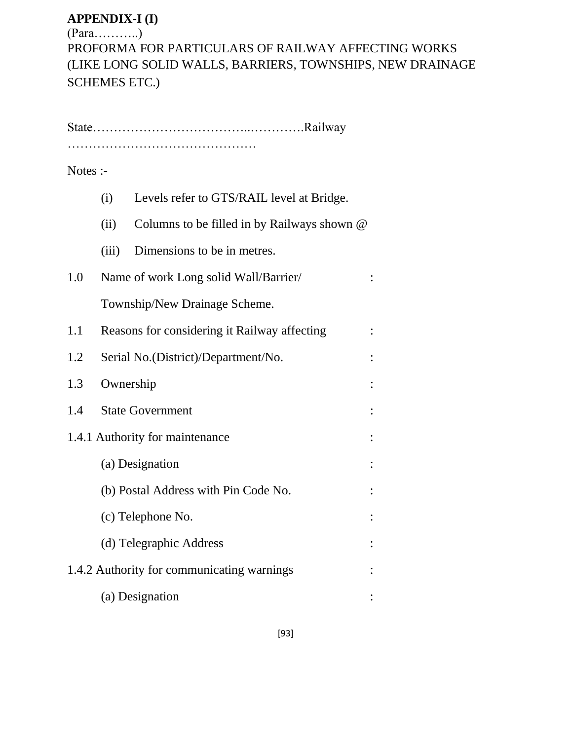### **APPENDIX-I (I)**

## (Para………..) PROFORMA FOR PARTICULARS OF RAILWAY AFFECTING WORKS (LIKE LONG SOLID WALLS, BARRIERS, TOWNSHIPS, NEW DRAINAGE SCHEMES ETC.)

:

:

:

:

:

:

:

State………………………………..………….Railway ………………………………………

#### Notes :-

- (i) Levels refer to GTS/RAIL level at Bridge.
- $(ii)$ Columns to be filled in by Railways shown @
- $(iii)$ Dimensions to be in metres.
- 1.0 Name of work Long solid Wall/Barrier/ Township/New Drainage Scheme.
- 1.1 1.2 1.3 1.4 Reasons for considering it Railway affecting Serial No.(District)/Department/No. Ownership State Government : 1.4.1 Authority for maintenance (a) Designation
	- (b) Postal Address with Pin Code No.
- (c) Telephone No. (d) Telegraphic Address 1.4.2 Authority for communicating warnings (a) Designation : : : :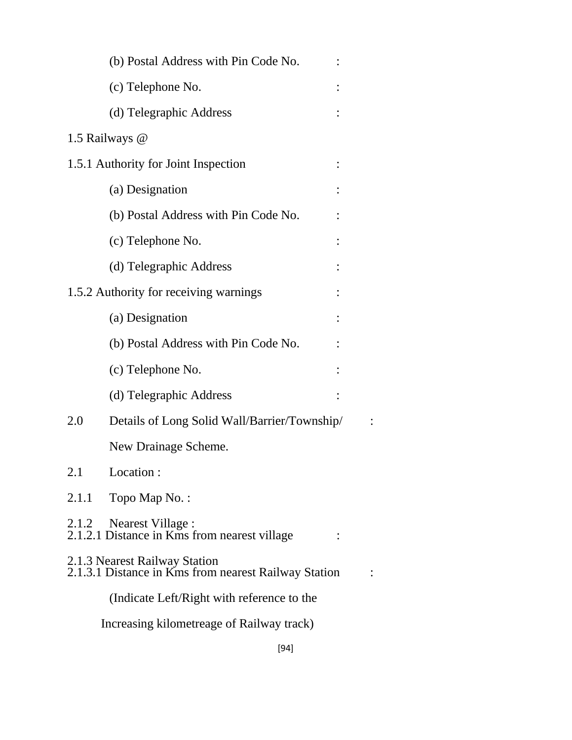|                                                                                       | (b) Postal Address with Pin Code No.                                    |  |  |  |
|---------------------------------------------------------------------------------------|-------------------------------------------------------------------------|--|--|--|
|                                                                                       | (c) Telephone No.                                                       |  |  |  |
|                                                                                       | (d) Telegraphic Address                                                 |  |  |  |
| 1.5 Railways @                                                                        |                                                                         |  |  |  |
| 1.5.1 Authority for Joint Inspection                                                  |                                                                         |  |  |  |
|                                                                                       | (a) Designation                                                         |  |  |  |
|                                                                                       | (b) Postal Address with Pin Code No.                                    |  |  |  |
|                                                                                       | (c) Telephone No.                                                       |  |  |  |
|                                                                                       | (d) Telegraphic Address                                                 |  |  |  |
| 1.5.2 Authority for receiving warnings                                                |                                                                         |  |  |  |
|                                                                                       | (a) Designation                                                         |  |  |  |
|                                                                                       | (b) Postal Address with Pin Code No.                                    |  |  |  |
|                                                                                       | (c) Telephone No.                                                       |  |  |  |
|                                                                                       | (d) Telegraphic Address                                                 |  |  |  |
| 2.0                                                                                   | Details of Long Solid Wall/Barrier/Township/                            |  |  |  |
|                                                                                       | New Drainage Scheme.                                                    |  |  |  |
| 2.1                                                                                   | Location:                                                               |  |  |  |
| 2.1.1                                                                                 | Topo Map No.:                                                           |  |  |  |
|                                                                                       | 2.1.2 Nearest Village :<br>2.1.2.1 Distance in Kms from nearest village |  |  |  |
| 2.1.3 Nearest Railway Station<br>2.1.3.1 Distance in Kms from nearest Railway Station |                                                                         |  |  |  |
|                                                                                       | (Indicate Left/Right with reference to the                              |  |  |  |
| Increasing kilometreage of Railway track)                                             |                                                                         |  |  |  |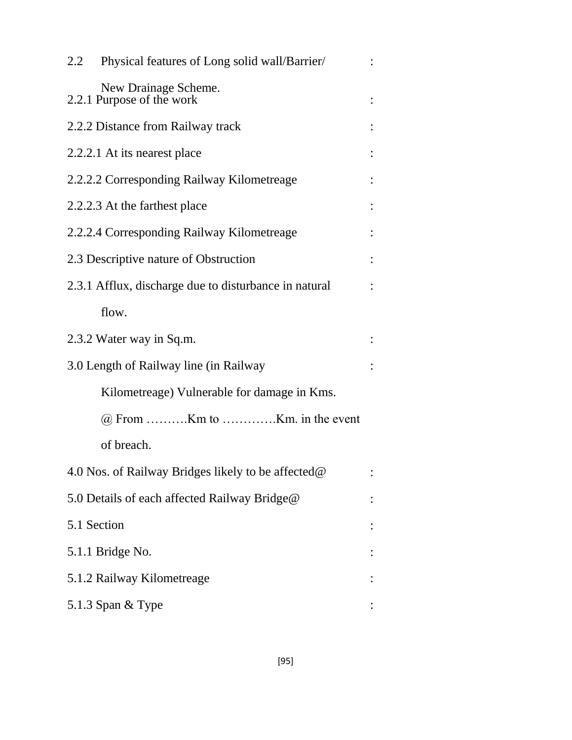| 2.2 Physical features of Long solid wall/Barrier/     |  |  |
|-------------------------------------------------------|--|--|
| New Drainage Scheme.<br>2.2.1 Purpose of the work     |  |  |
| 2.2.2 Distance from Railway track                     |  |  |
| 2.2.2.1 At its nearest place                          |  |  |
| 2.2.2.2 Corresponding Railway Kilometreage            |  |  |
| 2.2.2.3 At the farthest place                         |  |  |
| 2.2.2.4 Corresponding Railway Kilometreage            |  |  |
| 2.3 Descriptive nature of Obstruction                 |  |  |
| 2.3.1 Afflux, discharge due to disturbance in natural |  |  |
| flow.                                                 |  |  |
| 2.3.2 Water way in Sq.m.                              |  |  |
| 3.0 Length of Railway line (in Railway                |  |  |
| Kilometreage) Vulnerable for damage in Kms.           |  |  |
|                                                       |  |  |
| of breach.                                            |  |  |
| 4.0 Nos. of Railway Bridges likely to be affected@    |  |  |
| 5.0 Details of each affected Railway Bridge@          |  |  |
| 5.1 Section                                           |  |  |
| 5.1.1 Bridge No.                                      |  |  |
| 5.1.2 Railway Kilometreage                            |  |  |
| 5.1.3 Span & Type                                     |  |  |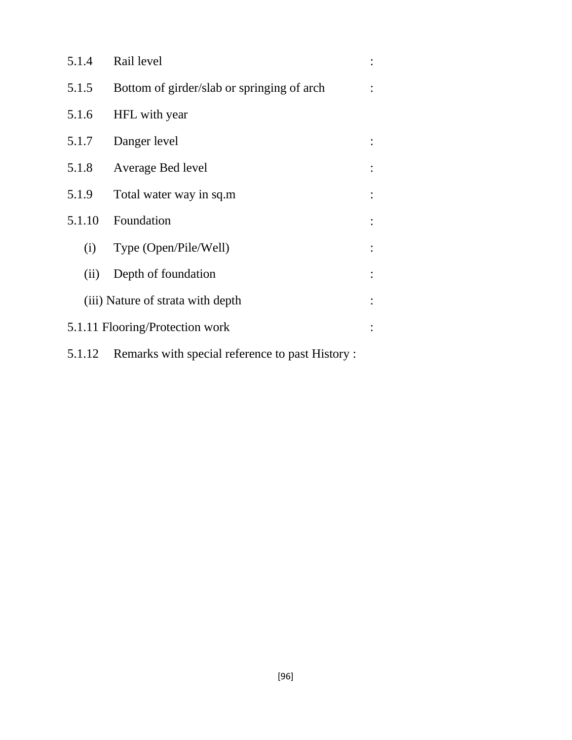| 5.1.4                                                     | Rail level                                 |  |
|-----------------------------------------------------------|--------------------------------------------|--|
| 5.1.5                                                     | Bottom of girder/slab or springing of arch |  |
| 5.1.6                                                     | HFL with year                              |  |
| 5.1.7                                                     | Danger level                               |  |
| 5.1.8                                                     | Average Bed level                          |  |
| 5.1.9                                                     | Total water way in sq.m.                   |  |
| 5.1.10                                                    | Foundation                                 |  |
| (i)                                                       | Type (Open/Pile/Well)                      |  |
| (ii)                                                      | Depth of foundation                        |  |
| (iii) Nature of strata with depth                         |                                            |  |
| 5.1.11 Flooring/Protection work                           |                                            |  |
| Remarks with special reference to past History:<br>5.1.12 |                                            |  |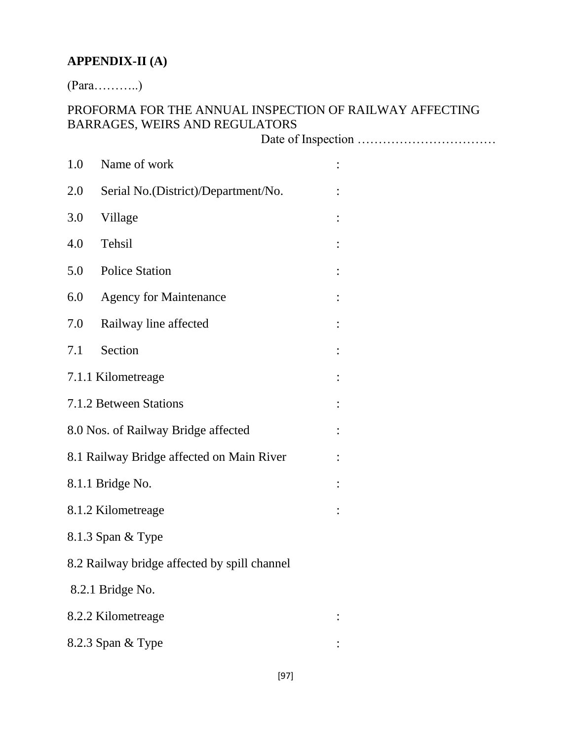## **APPENDIX-II (A)**

(Para………..)

## PROFORMA FOR THE ANNUAL INSPECTION OF RAILWAY AFFECTING BARRAGES, WEIRS AND REGULATORS

| 1.0                                       | Name of work                                 |  |
|-------------------------------------------|----------------------------------------------|--|
| 2.0                                       | Serial No.(District)/Department/No.          |  |
| 3.0                                       | Village                                      |  |
| 4.0                                       | Tehsil                                       |  |
| 5.0                                       | <b>Police Station</b>                        |  |
| 6.0                                       | <b>Agency for Maintenance</b>                |  |
| 7.0                                       | Railway line affected                        |  |
| 7.1                                       | Section                                      |  |
|                                           | 7.1.1 Kilometreage                           |  |
|                                           | 7.1.2 Between Stations                       |  |
| 8.0 Nos. of Railway Bridge affected       |                                              |  |
| 8.1 Railway Bridge affected on Main River |                                              |  |
| 8.1.1 Bridge No.                          |                                              |  |
| 8.1.2 Kilometreage                        |                                              |  |
|                                           | 8.1.3 Span & Type                            |  |
|                                           | 8.2 Railway bridge affected by spill channel |  |
|                                           | 8.2.1 Bridge No.                             |  |
| 8.2.2 Kilometreage                        |                                              |  |
|                                           | 8.2.3 Span & Type                            |  |
|                                           |                                              |  |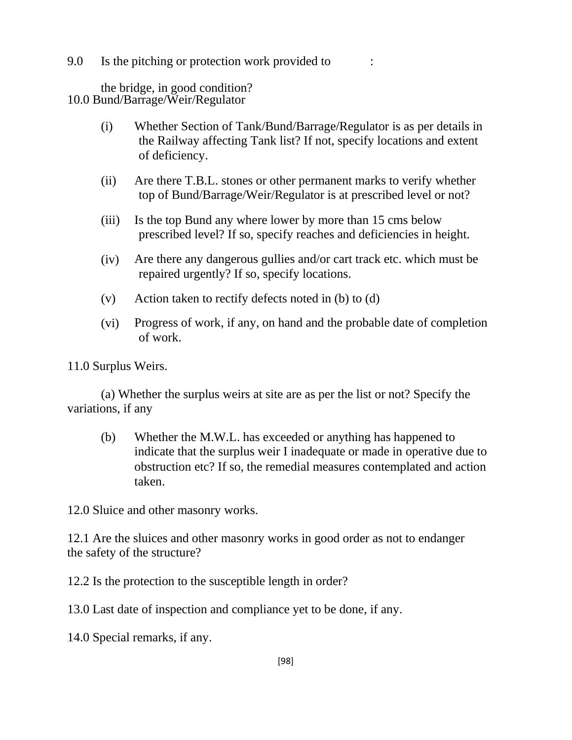9.0 Is the pitching or protection work provided to

the bridge, in good condition? 10.0 Bund/Barrage/Weir/Regulator

> (i) Whether Section of Tank/Bund/Barrage/Regulator is as per details in the Railway affecting Tank list? If not, specify locations and extent of deficiency.

:

- (ii) Are there T.B.L. stones or other permanent marks to verify whether top of Bund/Barrage/Weir/Regulator is at prescribed level or not?
- $(iii)$ Is the top Bund any where lower by more than 15 cms below prescribed level? If so, specify reaches and deficiencies in height.
- $(iv)$ Are there any dangerous gullies and/or cart track etc. which must be repaired urgently? If so, specify locations.
- (v) Action taken to rectify defects noted in (b) to (d)
- (vi) Progress of work, if any, on hand and the probable date of completion of work.

11.0 Surplus Weirs.

(a) Whether the surplus weirs at site are as per the list or not? Specify the variations, if any

(b) Whether the M.W.L. has exceeded or anything has happened to indicate that the surplus weir I inadequate or made in operative due to obstruction etc? If so, the remedial measures contemplated and action taken.

12.0 Sluice and other masonry works.

12.1 Are the sluices and other masonry works in good order as not to endanger the safety of the structure?

12.2 Is the protection to the susceptible length in order?

13.0 Last date of inspection and compliance yet to be done, if any.

14.0 Special remarks, if any.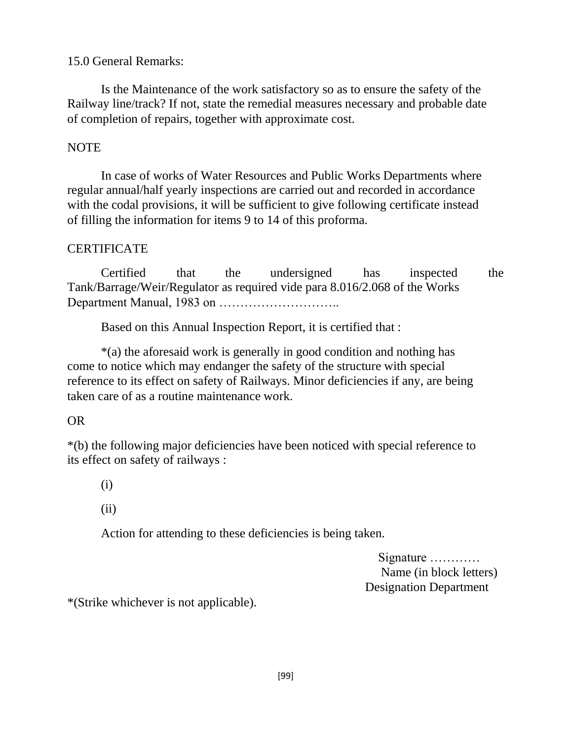### 15.0 General Remarks:

Is the Maintenance of the work satisfactory so as to ensure the safety of the Railway line/track? If not, state the remedial measures necessary and probable date of completion of repairs, together with approximate cost.

#### NOTE

In case of works of Water Resources and Public Works Departments where regular annual/half yearly inspections are carried out and recorded in accordance with the codal provisions, it will be sufficient to give following certificate instead of filling the information for items 9 to 14 of this proforma.

#### **CERTIFICATE**

Certified that the undersigned has inspected the Tank/Barrage/Weir/Regulator as required vide para 8.016/2.068 of the Works Department Manual, 1983 on ………………………..

Based on this Annual Inspection Report, it is certified that :

\*(a) the aforesaid work is generally in good condition and nothing has come to notice which may endanger the safety of the structure with special reference to its effect on safety of Railways. Minor deficiencies if any, are being taken care of as a routine maintenance work.

#### OR

\*(b) the following major deficiencies have been noticed with special reference to its effect on safety of railways :

(i)

(ii)

Action for attending to these deficiencies is being taken.

Signature ………… Name (in block letters) Designation Department

\*(Strike whichever is not applicable).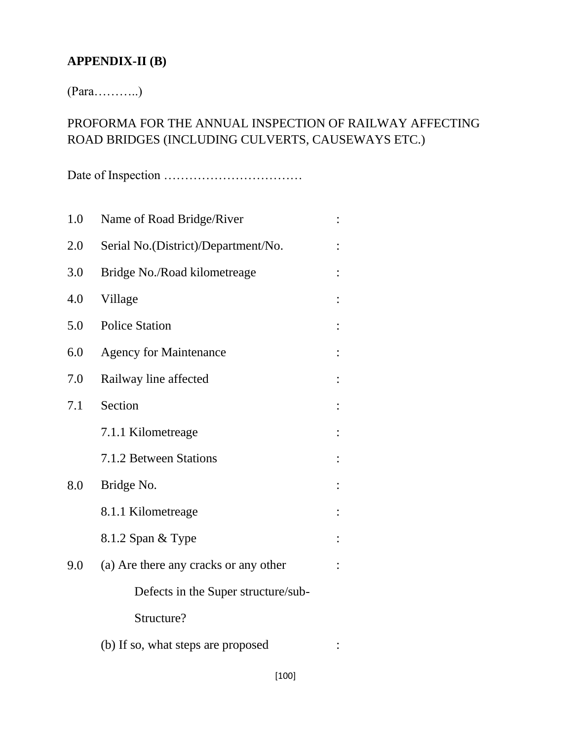### **APPENDIX-II (B)**

(Para………..)

## PROFORMA FOR THE ANNUAL INSPECTION OF RAILWAY AFFECTING ROAD BRIDGES (INCLUDING CULVERTS, CAUSEWAYS ETC.)

Date of Inspection ……………………………

| 1.0 | Name of Road Bridge/River             |  |
|-----|---------------------------------------|--|
| 2.0 | Serial No.(District)/Department/No.   |  |
| 3.0 | Bridge No./Road kilometreage          |  |
| 4.0 | Village                               |  |
| 5.0 | <b>Police Station</b>                 |  |
| 6.0 | <b>Agency for Maintenance</b>         |  |
| 7.0 | Railway line affected                 |  |
| 7.1 | Section                               |  |
|     | 7.1.1 Kilometreage                    |  |
|     | 7.1.2 Between Stations                |  |
| 8.0 | Bridge No.                            |  |
|     | 8.1.1 Kilometreage                    |  |
|     | 8.1.2 Span & Type                     |  |
| 9.0 | (a) Are there any cracks or any other |  |
|     | Defects in the Super structure/sub-   |  |
|     | Structure?                            |  |
|     | (b) If so, what steps are proposed    |  |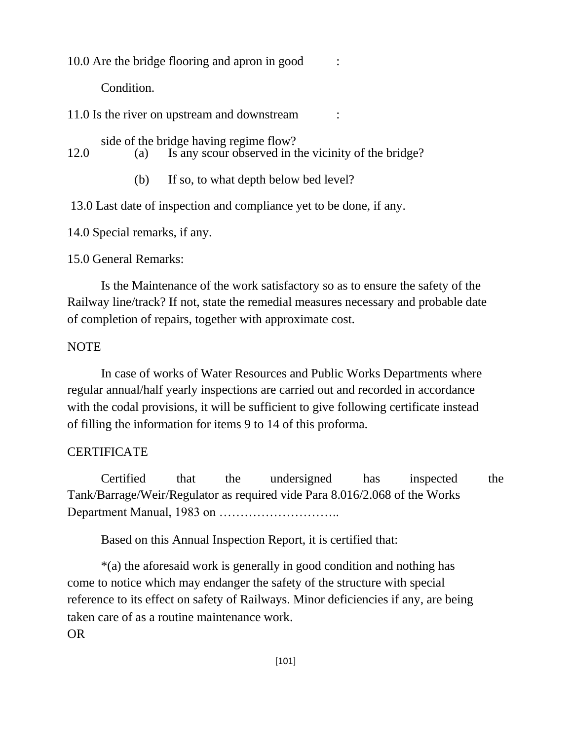10.0 Are the bridge flooring and apron in good

Condition.

11.0 Is the river on upstream and downstream

side of the bridge having regime flow?

- $12.0$  (a) Is any scour observed in the vicinity of the bridge?
	- (b) If so, to what depth below bed level?

13.0 Last date of inspection and compliance yet to be done, if any.

14.0 Special remarks, if any.

15.0 General Remarks:

Is the Maintenance of the work satisfactory so as to ensure the safety of the Railway line/track? If not, state the remedial measures necessary and probable date of completion of repairs, together with approximate cost.

:

:

### NOTE

In case of works of Water Resources and Public Works Departments where regular annual/half yearly inspections are carried out and recorded in accordance with the codal provisions, it will be sufficient to give following certificate instead of filling the information for items 9 to 14 of this proforma.

### CERTIFICATE

Certified that the undersigned has inspected the Tank/Barrage/Weir/Regulator as required vide Para 8.016/2.068 of the Works Department Manual, 1983 on ………………………..

Based on this Annual Inspection Report, it is certified that:

\*(a) the aforesaid work is generally in good condition and nothing has come to notice which may endanger the safety of the structure with special reference to its effect on safety of Railways. Minor deficiencies if any, are being taken care of as a routine maintenance work. OR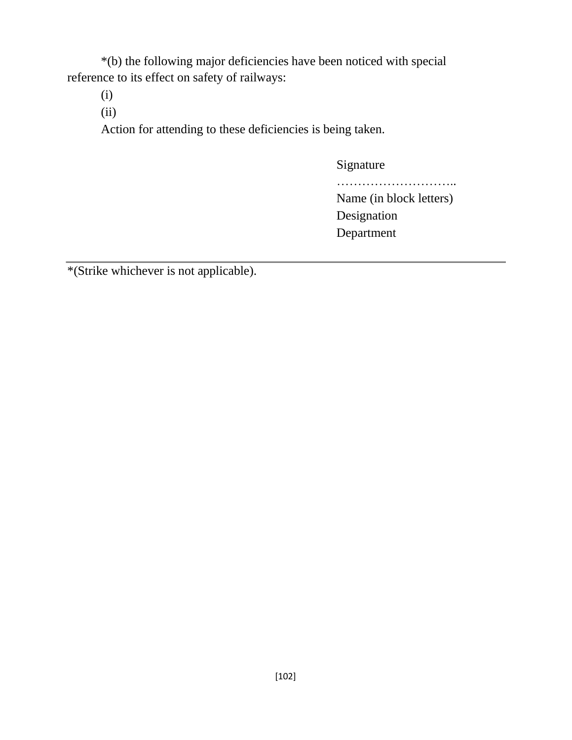\*(b) the following major deficiencies have been noticed with special reference to its effect on safety of railways:

(i)

(ii)

Action for attending to these deficiencies is being taken.

Signature

……………………………… Name (in block letters) Designation Department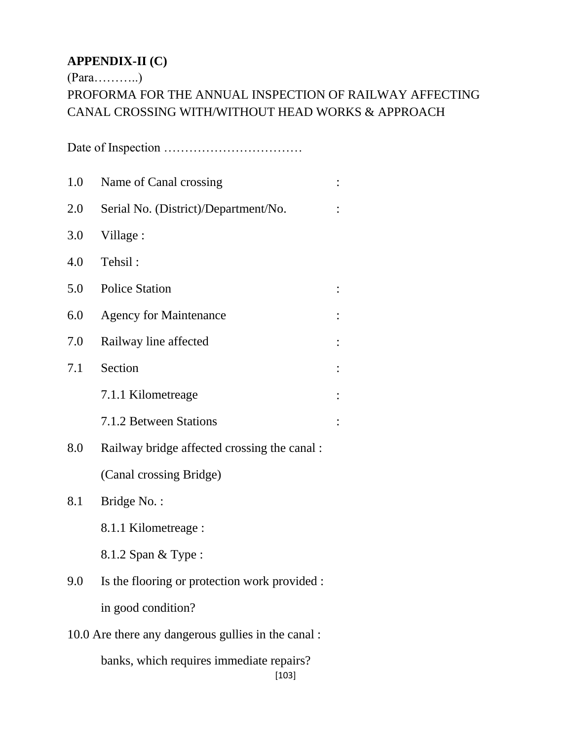### **APPENDIX-II (C)**

(Para………..)

# PROFORMA FOR THE ANNUAL INSPECTION OF RAILWAY AFFECTING CANAL CROSSING WITH/WITHOUT HEAD WORKS & APPROACH

| 1.0 | Name of Canal crossing                              |  |  |
|-----|-----------------------------------------------------|--|--|
| 2.0 | Serial No. (District)/Department/No.                |  |  |
| 3.0 | Village:                                            |  |  |
| 4.0 | Tehsil:                                             |  |  |
| 5.0 | <b>Police Station</b>                               |  |  |
| 6.0 | <b>Agency for Maintenance</b>                       |  |  |
| 7.0 | Railway line affected                               |  |  |
| 7.1 | Section                                             |  |  |
|     | 7.1.1 Kilometreage                                  |  |  |
|     | 7.1.2 Between Stations                              |  |  |
| 8.0 | Railway bridge affected crossing the canal:         |  |  |
|     | (Canal crossing Bridge)                             |  |  |
| 8.1 | Bridge No.:                                         |  |  |
|     | 8.1.1 Kilometreage :                                |  |  |
|     | 8.1.2 Span & Type :                                 |  |  |
| 9.0 | Is the flooring or protection work provided :       |  |  |
|     | in good condition?                                  |  |  |
|     | 10.0 Are there any dangerous gullies in the canal : |  |  |
|     | banks, which requires immediate repairs?            |  |  |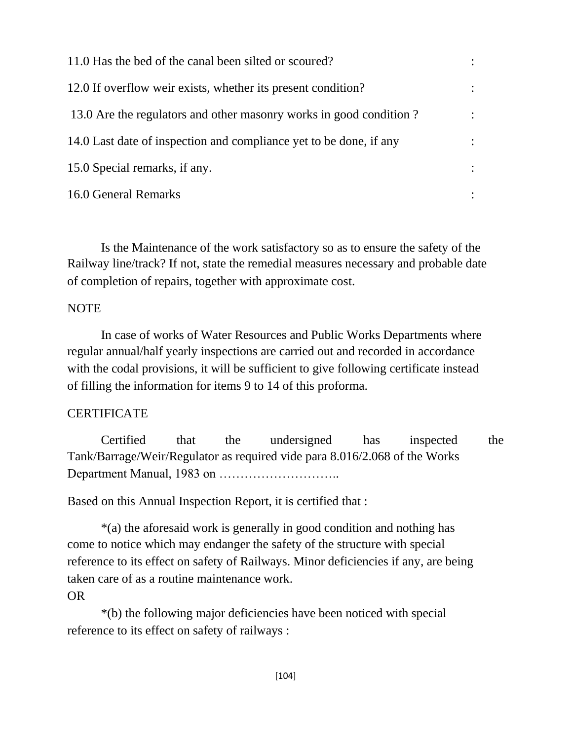| 11.0 Has the bed of the canal been silted or scoured?              |  |
|--------------------------------------------------------------------|--|
| 12.0 If overflow weir exists, whether its present condition?       |  |
| 13.0 Are the regulators and other masonry works in good condition? |  |
| 14.0 Last date of inspection and compliance yet to be done, if any |  |
| 15.0 Special remarks, if any.                                      |  |
| 16.0 General Remarks                                               |  |

Is the Maintenance of the work satisfactory so as to ensure the safety of the Railway line/track? If not, state the remedial measures necessary and probable date of completion of repairs, together with approximate cost.

#### **NOTE**

In case of works of Water Resources and Public Works Departments where regular annual/half yearly inspections are carried out and recorded in accordance with the codal provisions, it will be sufficient to give following certificate instead of filling the information for items 9 to 14 of this proforma.

### **CERTIFICATE**

Certified that the undersigned has inspected the Tank/Barrage/Weir/Regulator as required vide para 8.016/2.068 of the Works Department Manual, 1983 on ………………………..

Based on this Annual Inspection Report, it is certified that :

\*(a) the aforesaid work is generally in good condition and nothing has come to notice which may endanger the safety of the structure with special reference to its effect on safety of Railways. Minor deficiencies if any, are being taken care of as a routine maintenance work. OR

\*(b) the following major deficiencies have been noticed with special reference to its effect on safety of railways :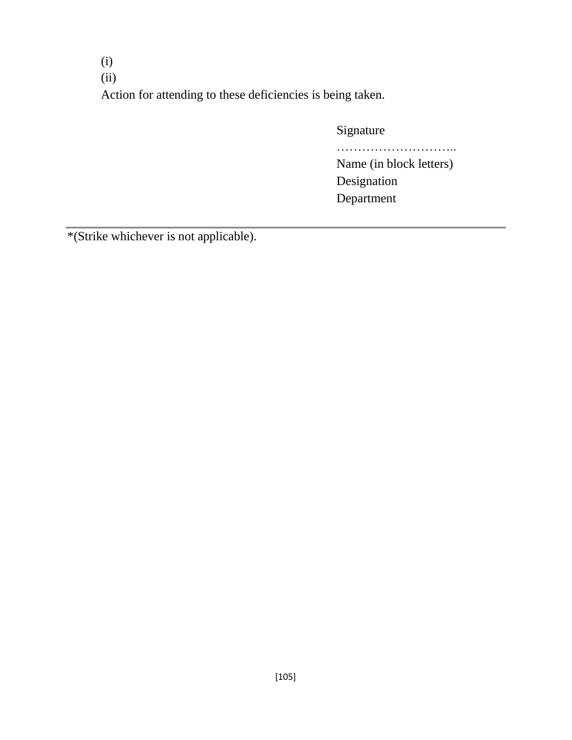(i) (ii) Action for attending to these deficiencies is being taken.

Signature

………………………..

Name (in block letters) Designation Department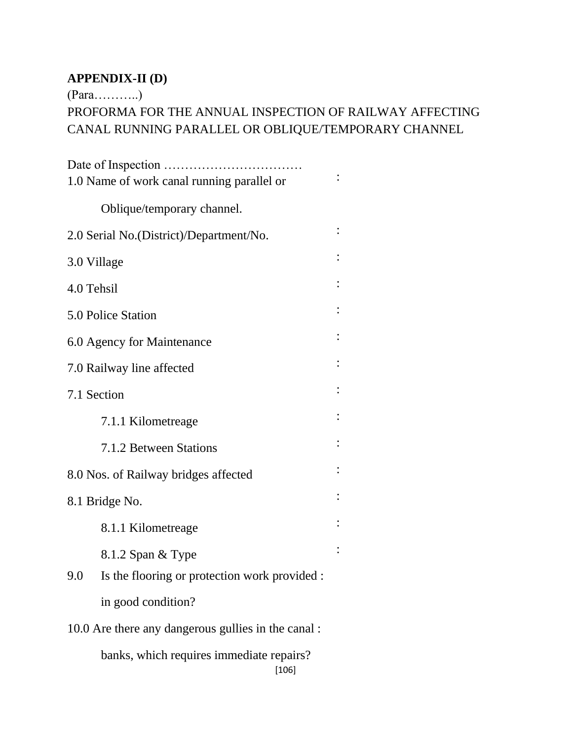## **APPENDIX-II (D)**

(Para………..)

# PROFORMA FOR THE ANNUAL INSPECTION OF RAILWAY AFFECTING CANAL RUNNING PARALLEL OR OBLIQUE/TEMPORARY CHANNEL

| Date of Inspection                                  |  |  |
|-----------------------------------------------------|--|--|
| 1.0 Name of work canal running parallel or          |  |  |
| Oblique/temporary channel.                          |  |  |
| 2.0 Serial No.(District)/Department/No.             |  |  |
| 3.0 Village                                         |  |  |
| 4.0 Tehsil                                          |  |  |
| 5.0 Police Station                                  |  |  |
| 6.0 Agency for Maintenance                          |  |  |
| 7.0 Railway line affected                           |  |  |
| 7.1 Section                                         |  |  |
| 7.1.1 Kilometreage                                  |  |  |
| 7.1.2 Between Stations                              |  |  |
| 8.0 Nos. of Railway bridges affected                |  |  |
| 8.1 Bridge No.                                      |  |  |
| 8.1.1 Kilometreage                                  |  |  |
| 8.1.2 Span & Type                                   |  |  |
| 9.0 Is the flooring or protection work provided :   |  |  |
| in good condition?                                  |  |  |
| 10.0 Are there any dangerous gullies in the canal : |  |  |
| banks, which requires immediate repairs?<br>$[106]$ |  |  |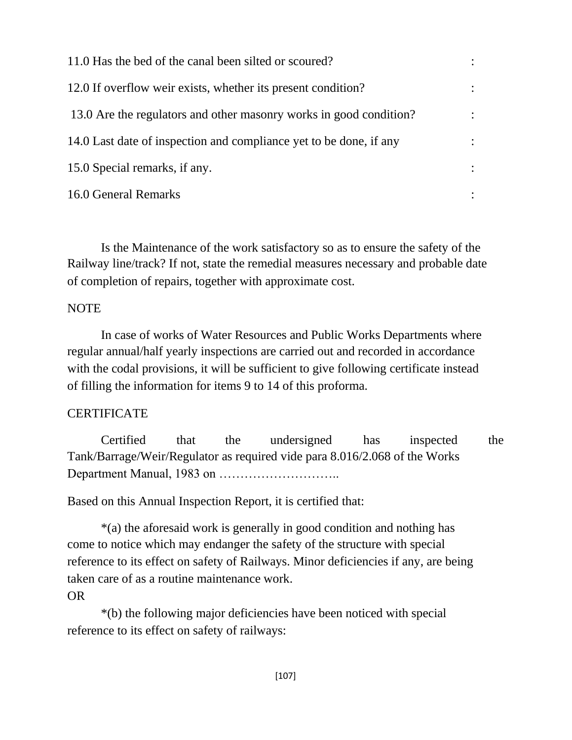| 11.0 Has the bed of the canal been silted or scoured?              |  |
|--------------------------------------------------------------------|--|
| 12.0 If overflow weir exists, whether its present condition?       |  |
| 13.0 Are the regulators and other masonry works in good condition? |  |
| 14.0 Last date of inspection and compliance yet to be done, if any |  |
| 15.0 Special remarks, if any.                                      |  |
| 16.0 General Remarks                                               |  |

Is the Maintenance of the work satisfactory so as to ensure the safety of the Railway line/track? If not, state the remedial measures necessary and probable date of completion of repairs, together with approximate cost.

#### **NOTE**

In case of works of Water Resources and Public Works Departments where regular annual/half yearly inspections are carried out and recorded in accordance with the codal provisions, it will be sufficient to give following certificate instead of filling the information for items 9 to 14 of this proforma.

### **CERTIFICATE**

Certified that the undersigned has inspected the Tank/Barrage/Weir/Regulator as required vide para 8.016/2.068 of the Works Department Manual, 1983 on ………………………..

Based on this Annual Inspection Report, it is certified that:

\*(a) the aforesaid work is generally in good condition and nothing has come to notice which may endanger the safety of the structure with special reference to its effect on safety of Railways. Minor deficiencies if any, are being taken care of as a routine maintenance work. OR

\*(b) the following major deficiencies have been noticed with special reference to its effect on safety of railways: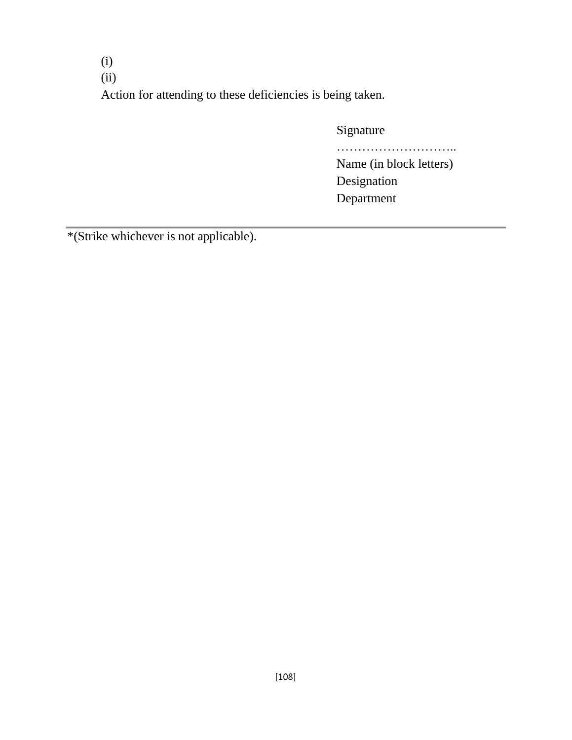(i) (ii) Action for attending to these deficiencies is being taken.

Signature

………………………..

Name (in block letters) Designation Department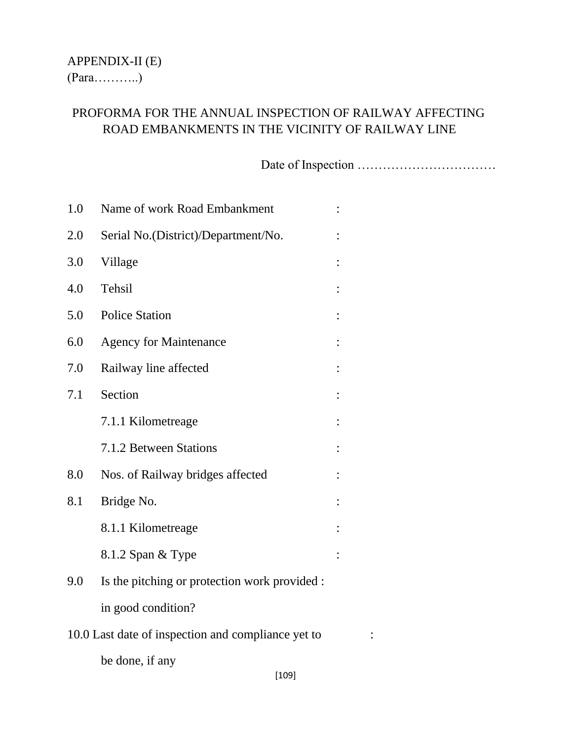APPENDIX-II (E) (Para………..)

## PROFORMA FOR THE ANNUAL INSPECTION OF RAILWAY AFFECTING ROAD EMBANKMENTS IN THE VICINITY OF RAILWAY LINE

Date of Inspection ……………………………

| 1.0 | Name of work Road Embankment                       |  |
|-----|----------------------------------------------------|--|
| 2.0 | Serial No.(District)/Department/No.                |  |
| 3.0 | Village                                            |  |
| 4.0 | Tehsil                                             |  |
| 5.0 | <b>Police Station</b>                              |  |
| 6.0 | <b>Agency for Maintenance</b>                      |  |
| 7.0 | Railway line affected                              |  |
| 7.1 | Section                                            |  |
|     | 7.1.1 Kilometreage                                 |  |
|     | 7.1.2 Between Stations                             |  |
| 8.0 | Nos. of Railway bridges affected                   |  |
| 8.1 | Bridge No.                                         |  |
|     | 8.1.1 Kilometreage                                 |  |
|     | 8.1.2 Span & Type                                  |  |
| 9.0 | Is the pitching or protection work provided :      |  |
|     | in good condition?                                 |  |
|     | 10.0 Last date of inspection and compliance yet to |  |
|     | be done, if any                                    |  |

: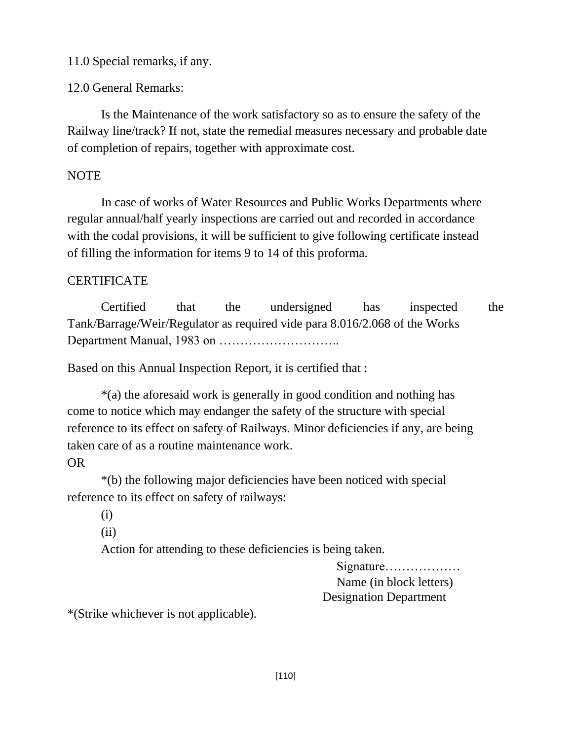11.0 Special remarks, if any.

12.0 General Remarks:

Is the Maintenance of the work satisfactory so as to ensure the safety of the Railway line/track? If not, state the remedial measures necessary and probable date of completion of repairs, together with approximate cost.

### **NOTE**

In case of works of Water Resources and Public Works Departments where regular annual/half yearly inspections are carried out and recorded in accordance with the codal provisions, it will be sufficient to give following certificate instead of filling the information for items 9 to 14 of this proforma.

### **CERTIFICATE**

Certified that the undersigned has inspected the Tank/Barrage/Weir/Regulator as required vide para 8.016/2.068 of the Works Department Manual, 1983 on ………………………..

Based on this Annual Inspection Report, it is certified that :

\*(a) the aforesaid work is generally in good condition and nothing has come to notice which may endanger the safety of the structure with special reference to its effect on safety of Railways. Minor deficiencies if any, are being taken care of as a routine maintenance work.

OR

\*(b) the following major deficiencies have been noticed with special reference to its effect on safety of railways:

(i)

(ii)

Action for attending to these deficiencies is being taken.

Signature……………… Name (in block letters) Designation Department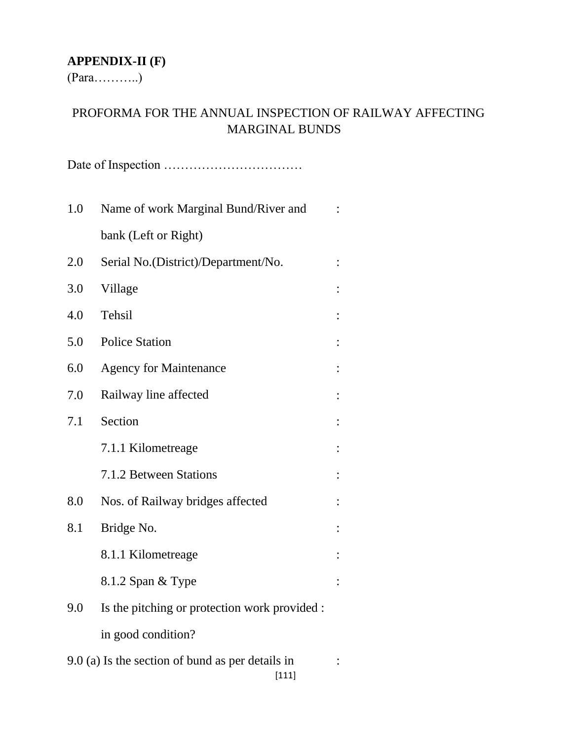## **APPENDIX-II (F)**

(Para………..)

## PROFORMA FOR THE ANNUAL INSPECTION OF RAILWAY AFFECTING MARGINAL BUNDS

Date of Inspection ……………………………

| 1.0 | Name of work Marginal Bund/River and                          |  |  |
|-----|---------------------------------------------------------------|--|--|
|     | bank (Left or Right)                                          |  |  |
| 2.0 | Serial No.(District)/Department/No.                           |  |  |
| 3.0 | Village                                                       |  |  |
| 4.0 | Tehsil                                                        |  |  |
| 5.0 | <b>Police Station</b>                                         |  |  |
| 6.0 | <b>Agency for Maintenance</b>                                 |  |  |
| 7.0 | Railway line affected                                         |  |  |
| 7.1 | Section                                                       |  |  |
|     | 7.1.1 Kilometreage                                            |  |  |
|     | 7.1.2 Between Stations                                        |  |  |
| 8.0 | Nos. of Railway bridges affected                              |  |  |
| 8.1 | Bridge No.                                                    |  |  |
|     | 8.1.1 Kilometreage                                            |  |  |
|     | 8.1.2 Span & Type                                             |  |  |
|     | 9.0 Is the pitching or protection work provided :             |  |  |
|     | in good condition?                                            |  |  |
|     | $9.0$ (a) Is the section of bund as per details in<br>$[111]$ |  |  |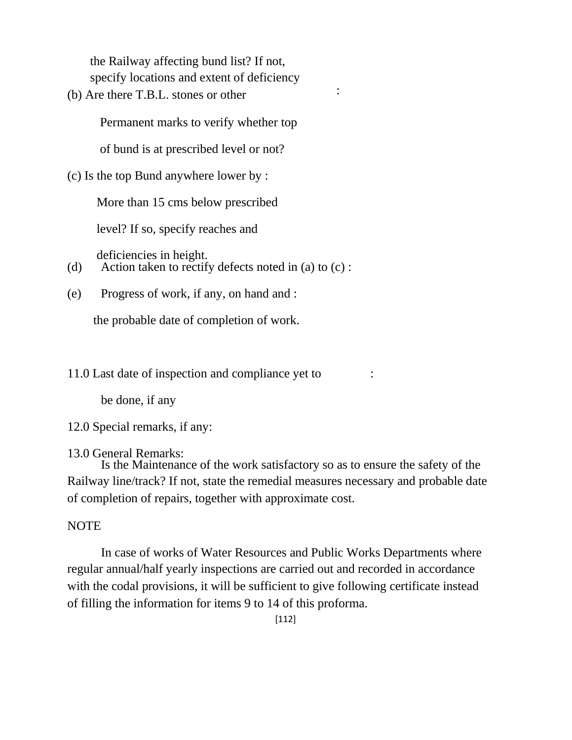the Railway affecting bund list? If not, specify locations and extent of deficiency

(b) Are there T.B.L. stones or other

Permanent marks to verify whether top

of bund is at prescribed level or not?

(c) Is the top Bund anywhere lower by :

More than 15 cms below prescribed

level? If so, specify reaches and

- deficiencies in height. (d) Action taken to rectify defects noted in (a) to (c) :
- (e) Progress of work, if any, on hand and :

the probable date of completion of work.

11.0 Last date of inspection and compliance yet to

be done, if any

12.0 Special remarks, if any:

#### 13.0 General Remarks:

Is the Maintenance of the work satisfactory so as to ensure the safety of the Railway line/track? If not, state the remedial measures necessary and probable date of completion of repairs, together with approximate cost.

:

:

#### **NOTE**

In case of works of Water Resources and Public Works Departments where regular annual/half yearly inspections are carried out and recorded in accordance with the codal provisions, it will be sufficient to give following certificate instead of filling the information for items 9 to 14 of this proforma.

[112]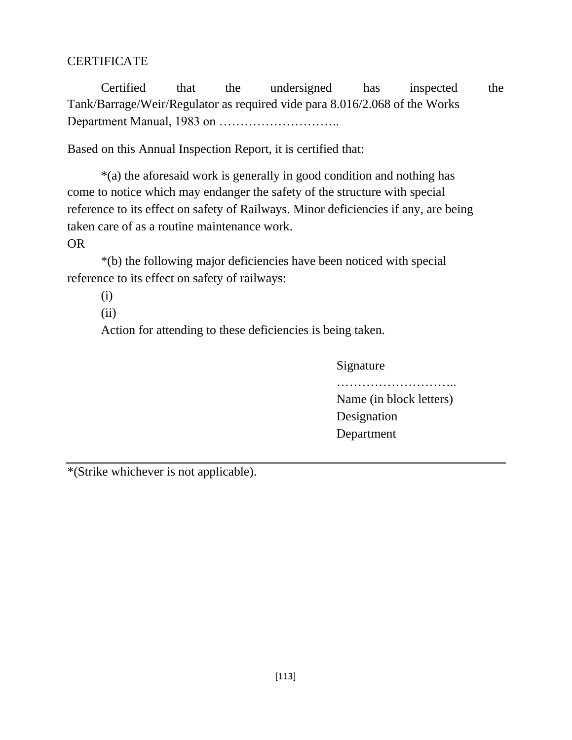### **CERTIFICATE**

Certified that the undersigned has inspected the Tank/Barrage/Weir/Regulator as required vide para 8.016/2.068 of the Works Department Manual, 1983 on ………………………..

Based on this Annual Inspection Report, it is certified that:

\*(a) the aforesaid work is generally in good condition and nothing has come to notice which may endanger the safety of the structure with special reference to its effect on safety of Railways. Minor deficiencies if any, are being taken care of as a routine maintenance work.

OR

\*(b) the following major deficiencies have been noticed with special reference to its effect on safety of railways:

(i)

 $(ii)$ 

Action for attending to these deficiencies is being taken.

Signature ……………………….. Name (in block letters) Designation Department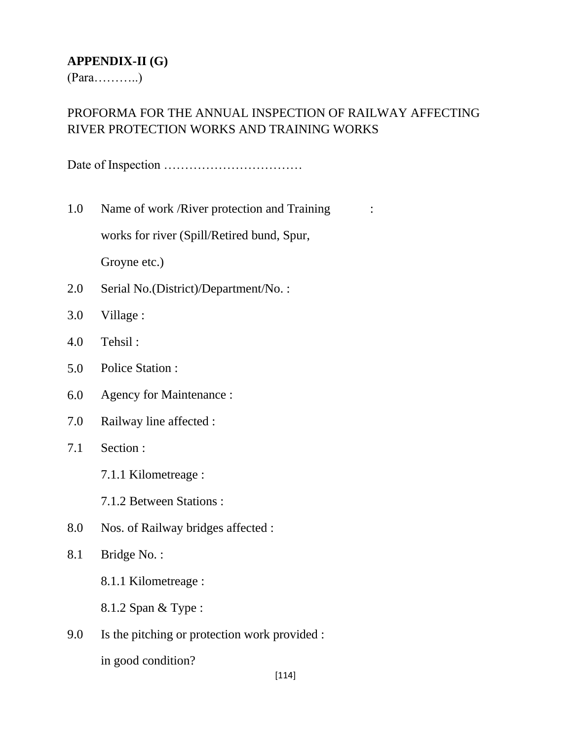(Para………..)

## PROFORMA FOR THE ANNUAL INSPECTION OF RAILWAY AFFECTING RIVER PROTECTION WORKS AND TRAINING WORKS

Date of Inspection ……………………………

1.0 Name of work /River protection and Training :

works for river (Spill/Retired bund, Spur,

Groyne etc.)

- 2.0 Serial No.(District)/Department/No. :
- 3.0 Village :
- 4.0 Tehsil :
- 5.0 Police Station :
- 6.0 Agency for Maintenance :
- 7.0 Railway line affected :
- 7.1 Section :
	- 7.1.1 Kilometreage :
	- 7.1.2 Between Stations :
- 8.0 Nos. of Railway bridges affected :
- 8.1 Bridge No. :
	- 8.1.1 Kilometreage :
	- 8.1.2 Span & Type :
- 9.0 Is the pitching or protection work provided : in good condition?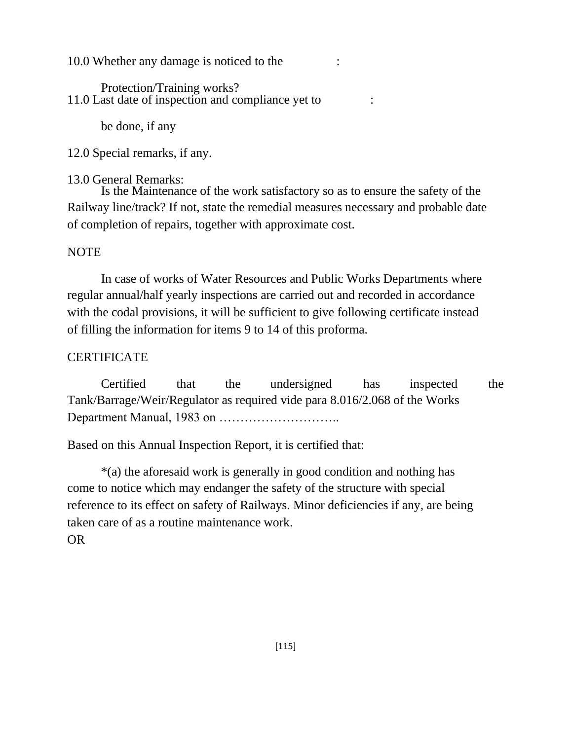10.0 Whether any damage is noticed to the

Protection/Training works? 11.0 Last date of inspection and compliance yet to

be done, if any

12.0 Special remarks, if any.

#### 13.0 General Remarks:

Is the Maintenance of the work satisfactory so as to ensure the safety of the Railway line/track? If not, state the remedial measures necessary and probable date of completion of repairs, together with approximate cost.

:

:

### NOTE

In case of works of Water Resources and Public Works Departments where regular annual/half yearly inspections are carried out and recorded in accordance with the codal provisions, it will be sufficient to give following certificate instead of filling the information for items 9 to 14 of this proforma.

### **CERTIFICATE**

Certified that the undersigned has inspected the Tank/Barrage/Weir/Regulator as required vide para 8.016/2.068 of the Works Department Manual, 1983 on ………………………..

Based on this Annual Inspection Report, it is certified that:

\*(a) the aforesaid work is generally in good condition and nothing has come to notice which may endanger the safety of the structure with special reference to its effect on safety of Railways. Minor deficiencies if any, are being taken care of as a routine maintenance work. OR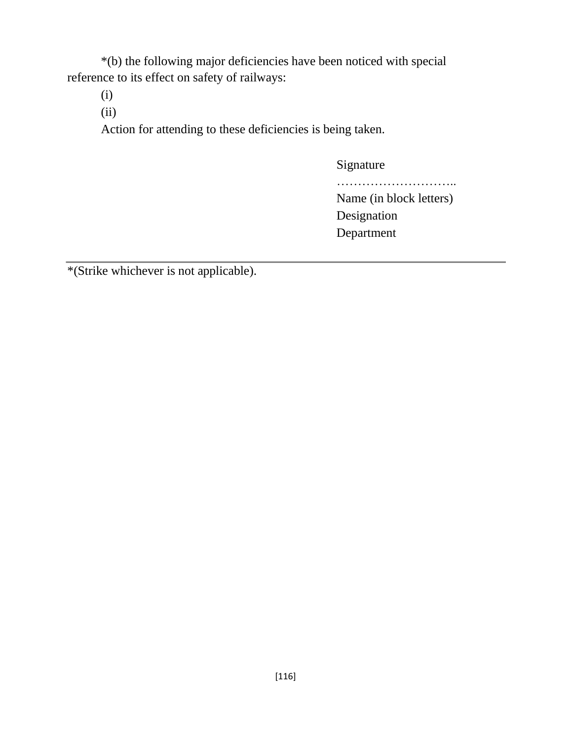\*(b) the following major deficiencies have been noticed with special reference to its effect on safety of railways:

(i)

(ii)

Action for attending to these deficiencies is being taken.

Signature

……………………….. Name (in block letters) Designation Department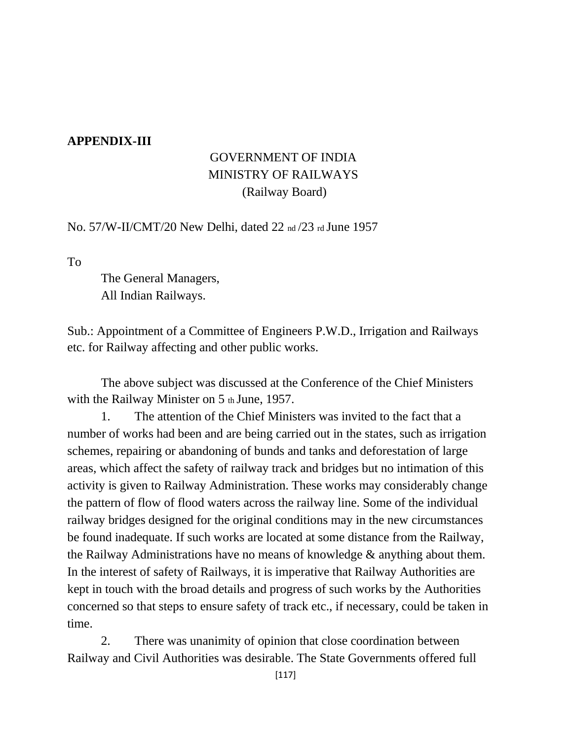#### **APPENDIX-III**

## GOVERNMENT OF INDIA MINISTRY OF RAILWAYS (Railway Board)

No. 57/W-II/CMT/20 New Delhi, dated 22 nd /23 rd June 1957

To

The General Managers, All Indian Railways.

Sub.: Appointment of a Committee of Engineers P.W.D., Irrigation and Railways etc. for Railway affecting and other public works.

The above subject was discussed at the Conference of the Chief Ministers with the Railway Minister on 5 th June, 1957.

1. The attention of the Chief Ministers was invited to the fact that a number of works had been and are being carried out in the states, such as irrigation schemes, repairing or abandoning of bunds and tanks and deforestation of large areas, which affect the safety of railway track and bridges but no intimation of this activity is given to Railway Administration. These works may considerably change the pattern of flow of flood waters across the railway line. Some of the individual railway bridges designed for the original conditions may in the new circumstances be found inadequate. If such works are located at some distance from the Railway, the Railway Administrations have no means of knowledge & anything about them. In the interest of safety of Railways, it is imperative that Railway Authorities are kept in touch with the broad details and progress of such works by the Authorities concerned so that steps to ensure safety of track etc., if necessary, could be taken in time.

2. There was unanimity of opinion that close coordination between Railway and Civil Authorities was desirable. The State Governments offered full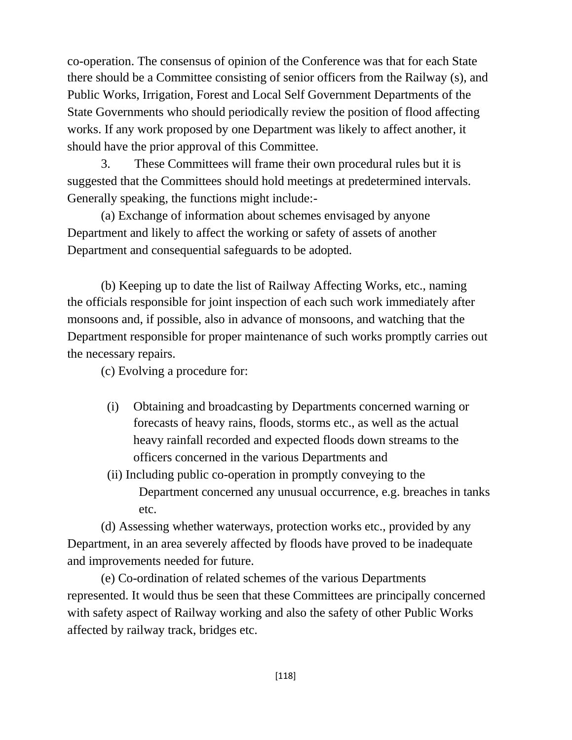co-operation. The consensus of opinion of the Conference was that for each State there should be a Committee consisting of senior officers from the Railway (s), and Public Works, Irrigation, Forest and Local Self Government Departments of the State Governments who should periodically review the position of flood affecting works. If any work proposed by one Department was likely to affect another, it should have the prior approval of this Committee.

3. These Committees will frame their own procedural rules but it is suggested that the Committees should hold meetings at predetermined intervals. Generally speaking, the functions might include:-

(a) Exchange of information about schemes envisaged by anyone Department and likely to affect the working or safety of assets of another Department and consequential safeguards to be adopted.

(b) Keeping up to date the list of Railway Affecting Works, etc., naming the officials responsible for joint inspection of each such work immediately after monsoons and, if possible, also in advance of monsoons, and watching that the Department responsible for proper maintenance of such works promptly carries out the necessary repairs.

(c) Evolving a procedure for:

- (i) Obtaining and broadcasting by Departments concerned warning or forecasts of heavy rains, floods, storms etc., as well as the actual heavy rainfall recorded and expected floods down streams to the officers concerned in the various Departments and
- (ii) Including public co-operation in promptly conveying to the Department concerned any unusual occurrence, e.g. breaches in tanks etc.

(d) Assessing whether waterways, protection works etc., provided by any Department, in an area severely affected by floods have proved to be inadequate and improvements needed for future.

(e) Co-ordination of related schemes of the various Departments represented. It would thus be seen that these Committees are principally concerned with safety aspect of Railway working and also the safety of other Public Works affected by railway track, bridges etc.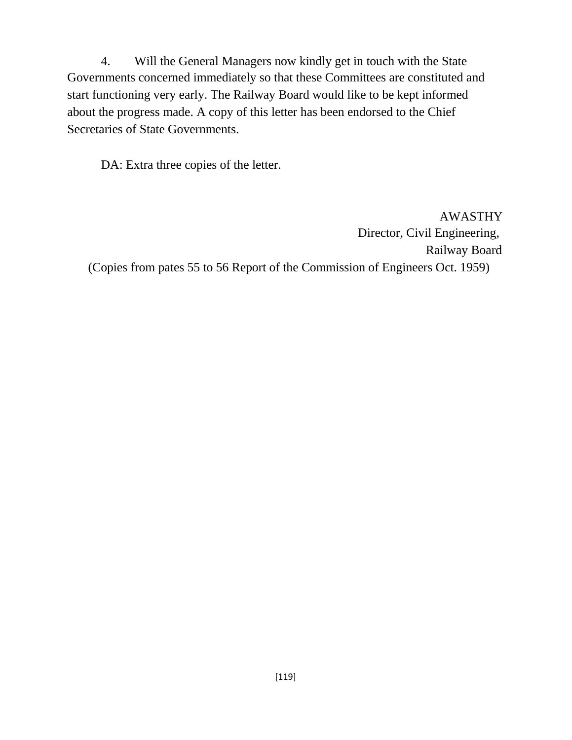4. Will the General Managers now kindly get in touch with the State Governments concerned immediately so that these Committees are constituted and start functioning very early. The Railway Board would like to be kept informed about the progress made. A copy of this letter has been endorsed to the Chief Secretaries of State Governments.

DA: Extra three copies of the letter.

AWASTHY Director, Civil Engineering, Railway Board (Copies from pates 55 to 56 Report of the Commission of Engineers Oct. 1959)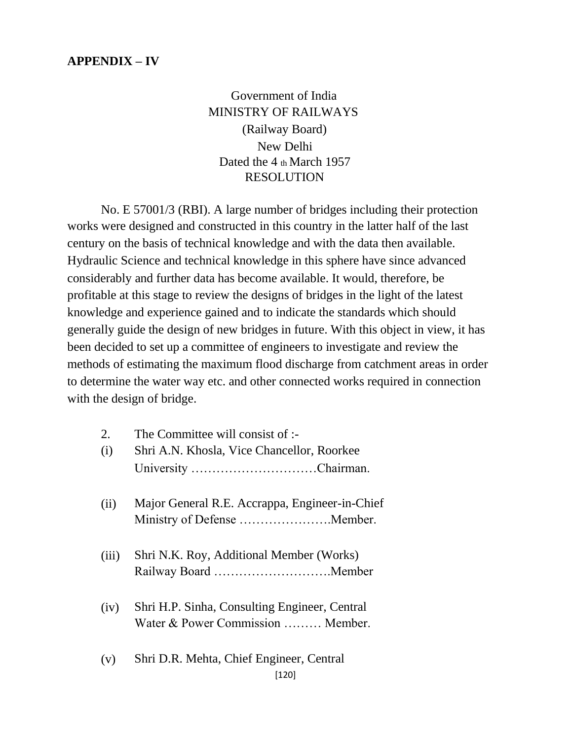#### **APPENDIX – IV**

Government of India MINISTRY OF RAILWAYS (Railway Board) New Delhi Dated the 4 th March 1957 **RESOLUTION** 

No. E 57001/3 (RBI). A large number of bridges including their protection works were designed and constructed in this country in the latter half of the last century on the basis of technical knowledge and with the data then available. Hydraulic Science and technical knowledge in this sphere have since advanced considerably and further data has become available. It would, therefore, be profitable at this stage to review the designs of bridges in the light of the latest knowledge and experience gained and to indicate the standards which should generally guide the design of new bridges in future. With this object in view, it has been decided to set up a committee of engineers to investigate and review the methods of estimating the maximum flood discharge from catchment areas in order to determine the water way etc. and other connected works required in connection with the design of bridge.

|  | 2. | The Committee will consist of :- |  |  |  |  |
|--|----|----------------------------------|--|--|--|--|
|--|----|----------------------------------|--|--|--|--|

- (i) Shri A.N. Khosla, Vice Chancellor, Roorkee University …………………………Chairman.
- $(ii)$ Major General R.E. Accrappa, Engineer-in-Chief Ministry of Defense ………………….Member.
- $(iii)$ Shri N.K. Roy, Additional Member (Works) Railway Board ……………………….Member
- $(iv)$ Shri H.P. Sinha, Consulting Engineer, Central Water & Power Commission ……… Member.
- (v) Shri D.R. Mehta, Chief Engineer, Central [120]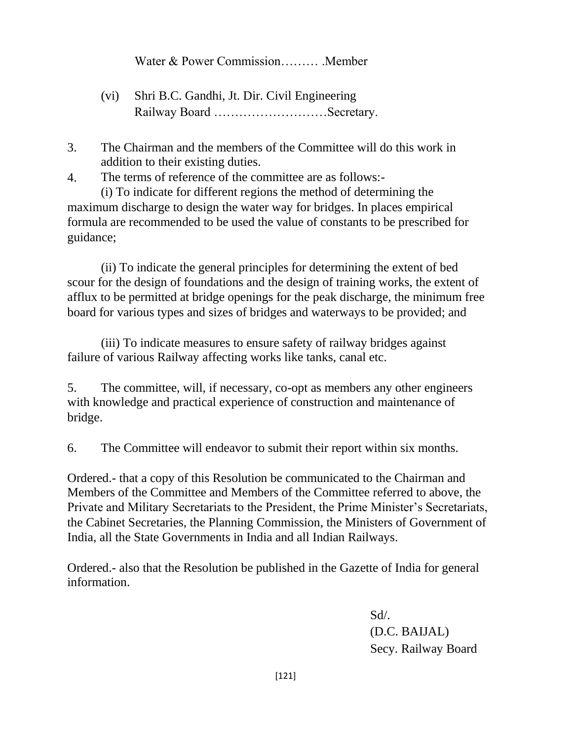Water & Power Commission……… Member

- (vi) Shri B.C. Gandhi, Jt. Dir. Civil Engineering Railway Board ………………………Secretary.
- 3. The Chairman and the members of the Committee will do this work in addition to their existing duties.
- 4. The terms of reference of the committee are as follows:-

(i) To indicate for different regions the method of determining the maximum discharge to design the water way for bridges. In places empirical formula are recommended to be used the value of constants to be prescribed for guidance;

(ii) To indicate the general principles for determining the extent of bed scour for the design of foundations and the design of training works, the extent of afflux to be permitted at bridge openings for the peak discharge, the minimum free board for various types and sizes of bridges and waterways to be provided; and

(iii) To indicate measures to ensure safety of railway bridges against failure of various Railway affecting works like tanks, canal etc.

5. The committee, will, if necessary, co-opt as members any other engineers with knowledge and practical experience of construction and maintenance of bridge.

6. The Committee will endeavor to submit their report within six months.

Ordered.- that a copy of this Resolution be communicated to the Chairman and Members of the Committee and Members of the Committee referred to above, the Private and Military Secretariats to the President, the Prime Minister's Secretariats, the Cabinet Secretaries, the Planning Commission, the Ministers of Government of India, all the State Governments in India and all Indian Railways.

Ordered.- also that the Resolution be published in the Gazette of India for general information.

> Sd/. (D.C. BAIJAL) Secy. Railway Board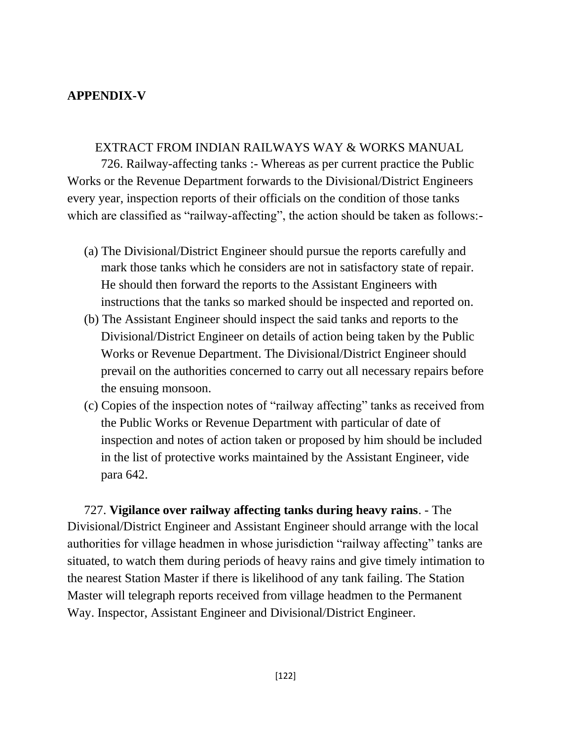#### **APPENDIX-V**

#### EXTRACT FROM INDIAN RAILWAYS WAY & WORKS MANUAL

726. Railway-affecting tanks :- Whereas as per current practice the Public Works or the Revenue Department forwards to the Divisional/District Engineers every year, inspection reports of their officials on the condition of those tanks which are classified as "railway-affecting", the action should be taken as follows:-

- (a) The Divisional/District Engineer should pursue the reports carefully and mark those tanks which he considers are not in satisfactory state of repair. He should then forward the reports to the Assistant Engineers with instructions that the tanks so marked should be inspected and reported on.
- (b) The Assistant Engineer should inspect the said tanks and reports to the Divisional/District Engineer on details of action being taken by the Public Works or Revenue Department. The Divisional/District Engineer should prevail on the authorities concerned to carry out all necessary repairs before the ensuing monsoon.
- (c) Copies of the inspection notes of "railway affecting" tanks as received from the Public Works or Revenue Department with particular of date of inspection and notes of action taken or proposed by him should be included in the list of protective works maintained by the Assistant Engineer, vide para 642.

727. **Vigilance over railway affecting tanks during heavy rains**. - The Divisional/District Engineer and Assistant Engineer should arrange with the local authorities for village headmen in whose jurisdiction "railway affecting" tanks are situated, to watch them during periods of heavy rains and give timely intimation to the nearest Station Master if there is likelihood of any tank failing. The Station Master will telegraph reports received from village headmen to the Permanent Way. Inspector, Assistant Engineer and Divisional/District Engineer.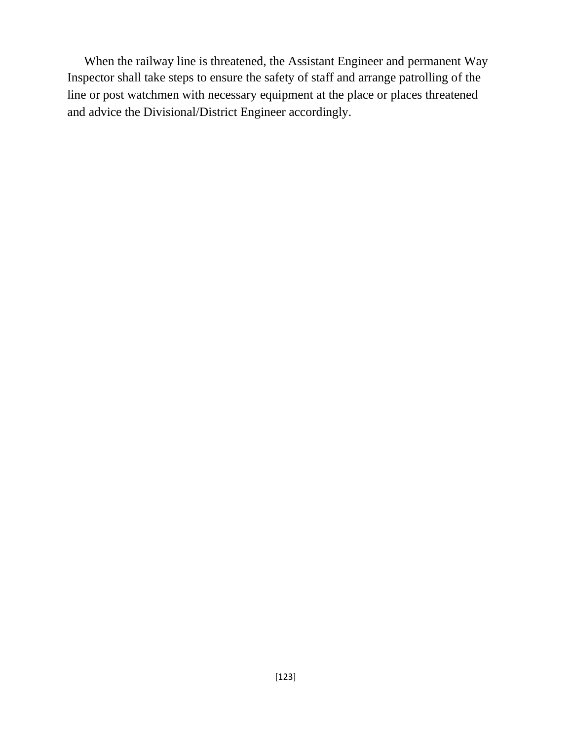When the railway line is threatened, the Assistant Engineer and permanent Way Inspector shall take steps to ensure the safety of staff and arrange patrolling of the line or post watchmen with necessary equipment at the place or places threatened and advice the Divisional/District Engineer accordingly.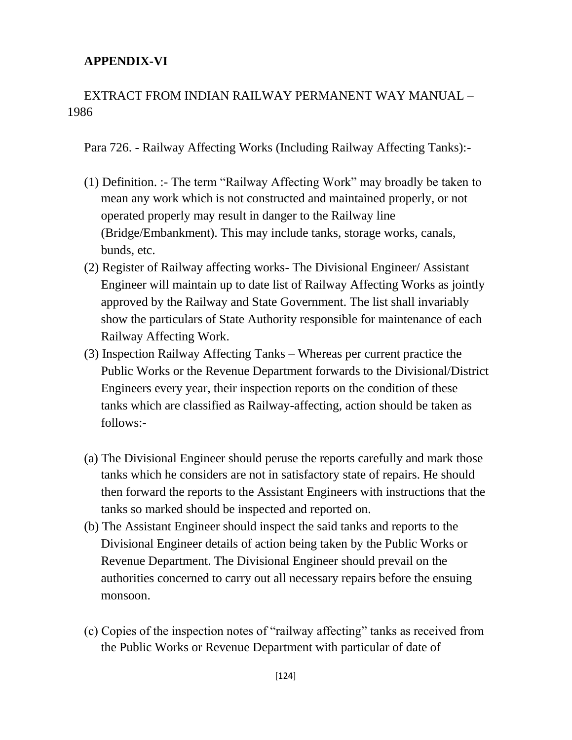### **APPENDIX-VI**

### EXTRACT FROM INDIAN RAILWAY PERMANENT WAY MANUAL – 1986

Para 726. - Railway Affecting Works (Including Railway Affecting Tanks):-

- (1) Definition. :- The term "Railway Affecting Work" may broadly be taken to mean any work which is not constructed and maintained properly, or not operated properly may result in danger to the Railway line (Bridge/Embankment). This may include tanks, storage works, canals, bunds, etc.
- (2) Register of Railway affecting works- The Divisional Engineer/ Assistant Engineer will maintain up to date list of Railway Affecting Works as jointly approved by the Railway and State Government. The list shall invariably show the particulars of State Authority responsible for maintenance of each Railway Affecting Work.
- (3) Inspection Railway Affecting Tanks Whereas per current practice the Public Works or the Revenue Department forwards to the Divisional/District Engineers every year, their inspection reports on the condition of these tanks which are classified as Railway-affecting, action should be taken as follows:-
- (a) The Divisional Engineer should peruse the reports carefully and mark those tanks which he considers are not in satisfactory state of repairs. He should then forward the reports to the Assistant Engineers with instructions that the tanks so marked should be inspected and reported on.
- (b) The Assistant Engineer should inspect the said tanks and reports to the Divisional Engineer details of action being taken by the Public Works or Revenue Department. The Divisional Engineer should prevail on the authorities concerned to carry out all necessary repairs before the ensuing monsoon.
- (c) Copies of the inspection notes of "railway affecting" tanks as received from the Public Works or Revenue Department with particular of date of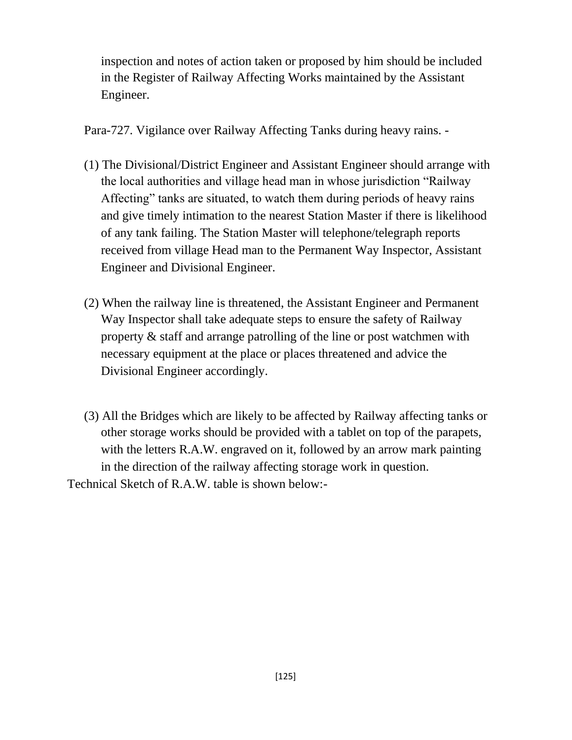inspection and notes of action taken or proposed by him should be included in the Register of Railway Affecting Works maintained by the Assistant Engineer.

Para-727. Vigilance over Railway Affecting Tanks during heavy rains. -

- (1) The Divisional/District Engineer and Assistant Engineer should arrange with the local authorities and village head man in whose jurisdiction "Railway Affecting" tanks are situated, to watch them during periods of heavy rains and give timely intimation to the nearest Station Master if there is likelihood of any tank failing. The Station Master will telephone/telegraph reports received from village Head man to the Permanent Way Inspector, Assistant Engineer and Divisional Engineer.
- (2) When the railway line is threatened, the Assistant Engineer and Permanent Way Inspector shall take adequate steps to ensure the safety of Railway property & staff and arrange patrolling of the line or post watchmen with necessary equipment at the place or places threatened and advice the Divisional Engineer accordingly.
- (3) All the Bridges which are likely to be affected by Railway affecting tanks or other storage works should be provided with a tablet on top of the parapets, with the letters R.A.W. engraved on it, followed by an arrow mark painting in the direction of the railway affecting storage work in question. Technical Sketch of R.A.W. table is shown below:-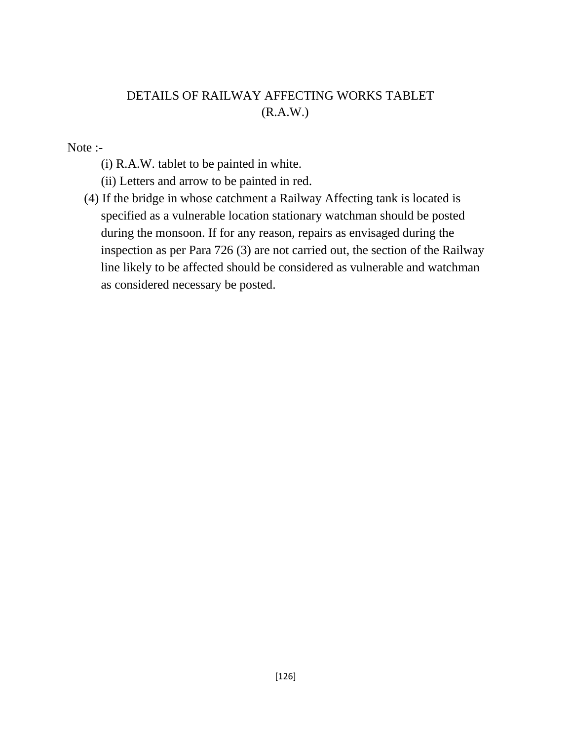### DETAILS OF RAILWAY AFFECTING WORKS TABLET (R.A.W.)

Note :-

- (i) R.A.W. tablet to be painted in white.
- (ii) Letters and arrow to be painted in red.
- (4) If the bridge in whose catchment a Railway Affecting tank is located is specified as a vulnerable location stationary watchman should be posted during the monsoon. If for any reason, repairs as envisaged during the inspection as per Para 726 (3) are not carried out, the section of the Railway line likely to be affected should be considered as vulnerable and watchman as considered necessary be posted.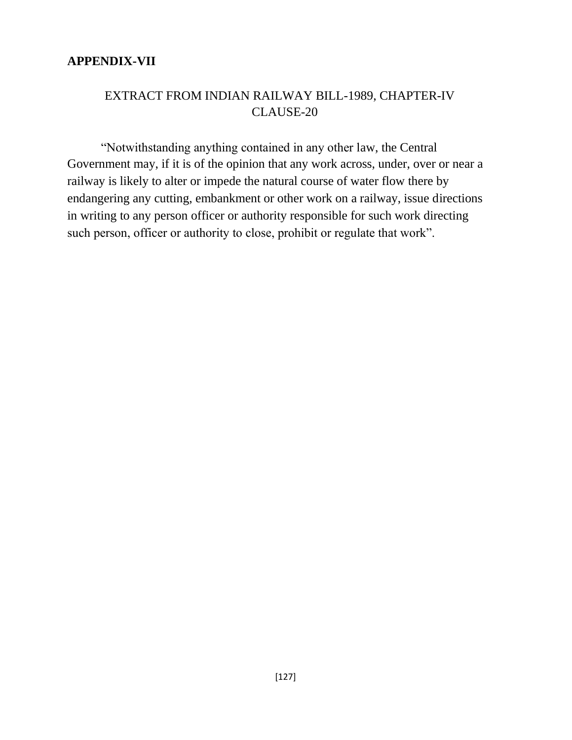### **APPENDIX-VII**

### EXTRACT FROM INDIAN RAILWAY BILL-1989, CHAPTER-IV CLAUSE-20

"Notwithstanding anything contained in any other law, the Central Government may, if it is of the opinion that any work across, under, over or near a railway is likely to alter or impede the natural course of water flow there by endangering any cutting, embankment or other work on a railway, issue directions in writing to any person officer or authority responsible for such work directing such person, officer or authority to close, prohibit or regulate that work".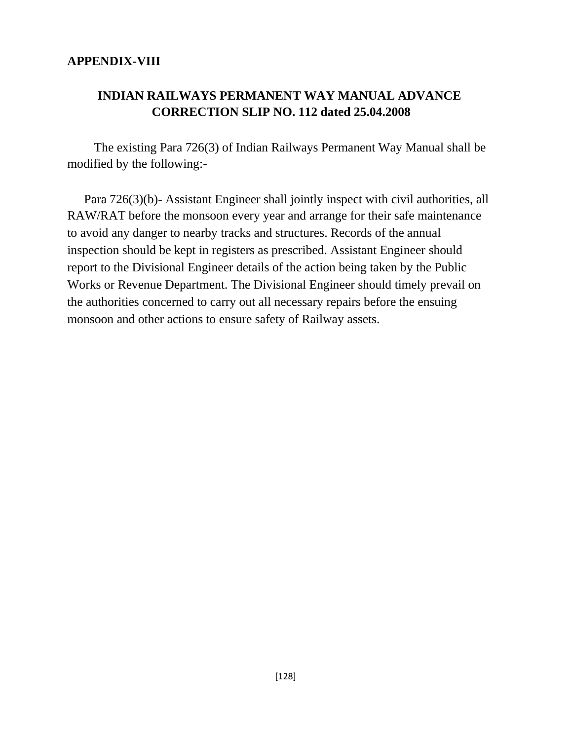### **APPENDIX-VIII**

### **INDIAN RAILWAYS PERMANENT WAY MANUAL ADVANCE CORRECTION SLIP NO. 112 dated 25.04.2008**

The existing Para 726(3) of Indian Railways Permanent Way Manual shall be modified by the following:-

Para 726(3)(b)- Assistant Engineer shall jointly inspect with civil authorities, all RAW/RAT before the monsoon every year and arrange for their safe maintenance to avoid any danger to nearby tracks and structures. Records of the annual inspection should be kept in registers as prescribed. Assistant Engineer should report to the Divisional Engineer details of the action being taken by the Public Works or Revenue Department. The Divisional Engineer should timely prevail on the authorities concerned to carry out all necessary repairs before the ensuing monsoon and other actions to ensure safety of Railway assets.